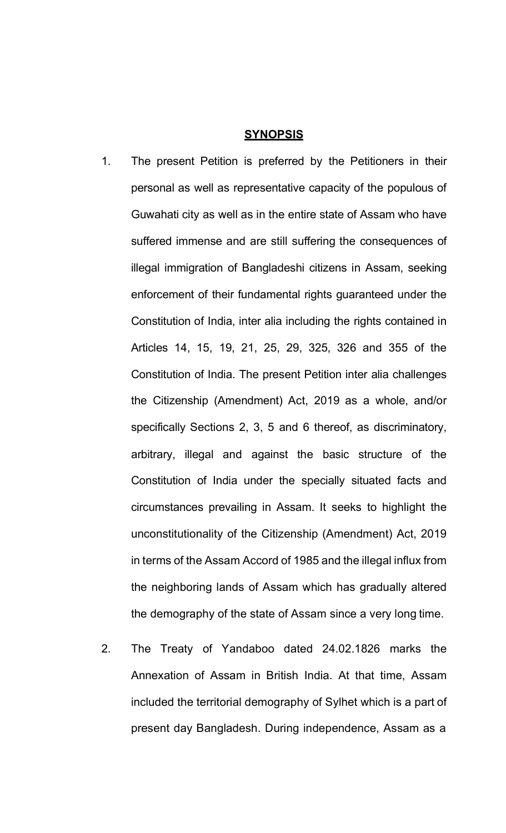#### **SYNOPSIS**

- 1. The present Petition is preferred by the Petitioners in their personal as well as representative capacity of the populous of Guwahati city as well as in the entire state of Assam who have suffered immense and are still suffering the consequences of illegal immigration of Bangladeshi citizens in Assam, seeking enforcement of their fundamental rights guaranteed under the Constitution of India, inter alia including the rights contained in Articles 14, 15, 19, 21, 25, 29, 325, 326 and 355 of the Constitution of India. The present Petition inter alia challenges the Citizenship (Amendment) Act, 2019 as a whole, and/or specifically Sections 2, 3, 5 and 6 thereof, as discriminatory, arbitrary, illegal and against the basic structure of the Constitution of India under the specially situated facts and circumstances prevailing in Assam. It seeks to highlight the unconstitutionality of the Citizenship (Amendment) Act, 2019 in terms of the Assam Accord of 1985 and the illegal influx from the neighboring lands of Assam which has gradually altered the demography of the state of Assam since a very long time.
- 2. The Treaty of Yandaboo dated 24.02.1826 marks the Annexation of Assam in British India. At that time, Assam included the territorial demography of Sylhet which is a part of present day Bangladesh. During independence, Assam as a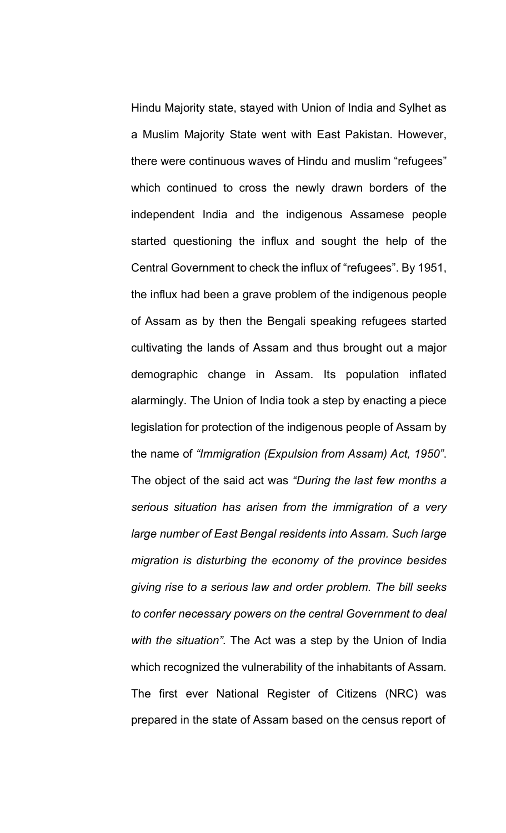Hindu Majority state, stayed with Union of India and Sylhet as a Muslim Majority State went with East Pakistan. However, there were continuous waves of Hindu and muslim "refugees" which continued to cross the newly drawn borders of the independent India and the indigenous Assamese people started questioning the influx and sought the help of the Central Government to check the influx of "refugees". By 1951, the influx had been a grave problem of the indigenous people of Assam as by then the Bengali speaking refugees started cultivating the lands of Assam and thus brought out a major demographic change in Assam. Its population inflated alarmingly. The Union of India took a step by enacting a piece legislation for protection of the indigenous people of Assam by the name of *"Immigration (Expulsion from Assam) Act, 1950"*. The object of the said act was *"During the last few months a serious situation has arisen from the immigration of a very large number of East Bengal residents into Assam. Such large migration is disturbing the economy of the province besides giving rise to a serious law and order problem. The bill seeks to confer necessary powers on the central Government to deal with the situation".* The Act was a step by the Union of India which recognized the vulnerability of the inhabitants of Assam. The first ever National Register of Citizens (NRC) was prepared in the state of Assam based on the census report of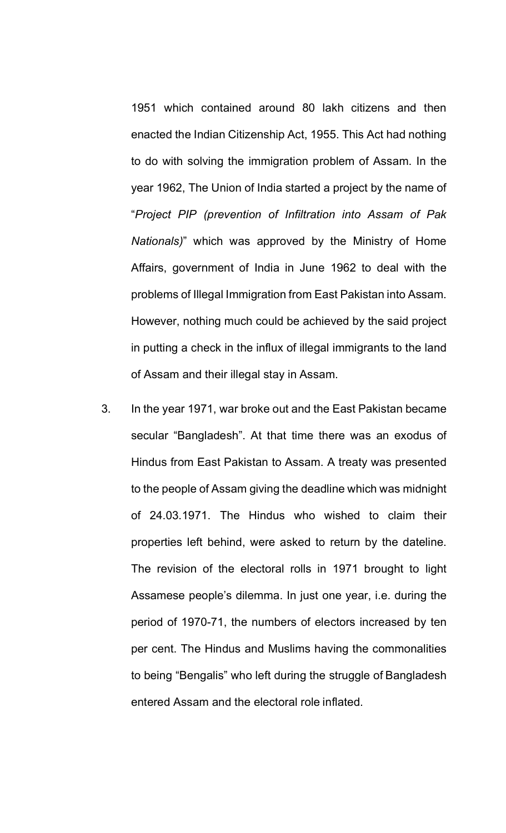1951 which contained around 80 lakh citizens and then enacted the Indian Citizenship Act, 1955. This Act had nothing to do with solving the immigration problem of Assam. In the year 1962, The Union of India started a project by the name of "*Project PIP (prevention of Infiltration into Assam of Pak Nationals)*" which was approved by the Ministry of Home Affairs, government of India in June 1962 to deal with the problems of Illegal Immigration from East Pakistan into Assam. However, nothing much could be achieved by the said project in putting a check in the influx of illegal immigrants to the land of Assam and their illegal stay in Assam.

3. In the year 1971, war broke out and the East Pakistan became secular "Bangladesh". At that time there was an exodus of Hindus from East Pakistan to Assam. A treaty was presented to the people of Assam giving the deadline which was midnight of 24.03.1971. The Hindus who wished to claim their properties left behind, were asked to return by the dateline. The revision of the electoral rolls in 1971 brought to light Assamese people's dilemma. In just one year, i.e. during the period of 1970-71, the numbers of electors increased by ten per cent. The Hindus and Muslims having the commonalities to being "Bengalis" who left during the struggle of Bangladesh entered Assam and the electoral role inflated.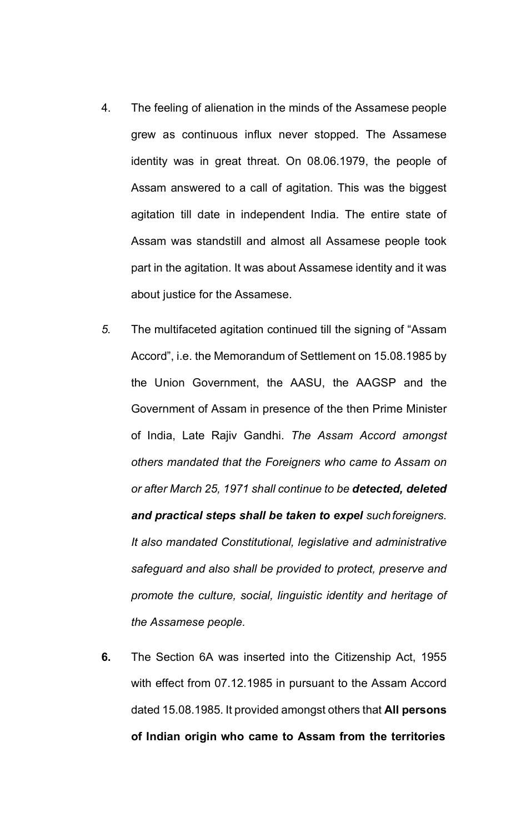- 4. The feeling of alienation in the minds of the Assamese people grew as continuous influx never stopped. The Assamese identity was in great threat. On 08.06.1979, the people of Assam answered to a call of agitation. This was the biggest agitation till date in independent India. The entire state of Assam was standstill and almost all Assamese people took part in the agitation. It was about Assamese identity and it was about justice for the Assamese.
- *5.* The multifaceted agitation continued till the signing of "Assam Accord", i.e. the Memorandum of Settlement on 15.08.1985 by the Union Government, the AASU, the AAGSP and the Government of Assam in presence of the then Prime Minister of India, Late Rajiv Gandhi. *The Assam Accord amongst others mandated that the Foreigners who came to Assam on or after March 25, 1971 shall continue to be detected, deleted and practical steps shall be taken to expel suchforeigners. It also mandated Constitutional, legislative and administrative safeguard and also shall be provided to protect, preserve and promote the culture, social, linguistic identity and heritage of the Assamese people.*
- **6.** The Section 6A was inserted into the Citizenship Act, 1955 with effect from 07.12.1985 in pursuant to the Assam Accord dated 15.08.1985. It provided amongst others that **All persons of Indian origin who came to Assam from the territories**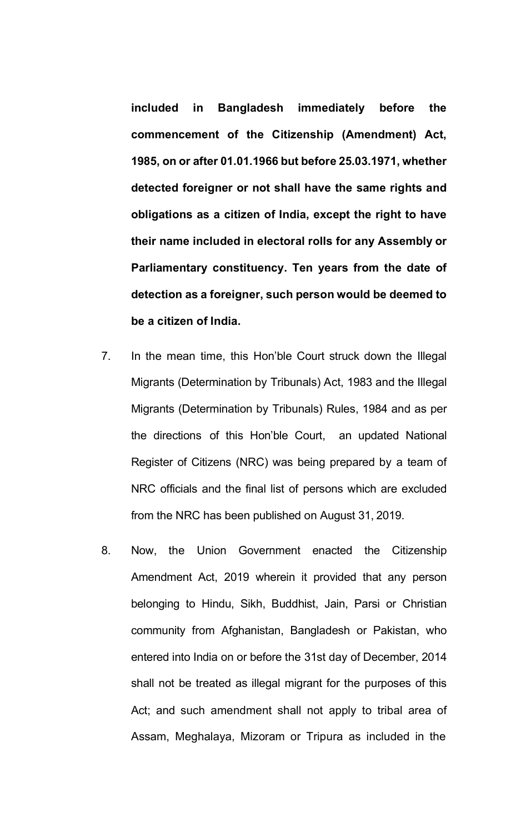**included in Bangladesh immediately before the commencement of the Citizenship (Amendment) Act, 1985, on or after 01.01.1966 but before 25.03.1971, whether detected foreigner or not shall have the same rights and obligations as a citizen of India, except the right to have their name included in electoral rolls for any Assembly or Parliamentary constituency. Ten years from the date of detection as a foreigner, such person would be deemed to be a citizen of India.**

- 7. In the mean time, this Hon'ble Court struck down the Illegal Migrants (Determination by Tribunals) Act, 1983 and the Illegal Migrants (Determination by Tribunals) Rules, 1984 and as per the directions of this Hon'ble Court, an updated National Register of Citizens (NRC) was being prepared by a team of NRC officials and the final list of persons which are excluded from the NRC has been published on August 31, 2019.
- 8. Now, the Union Government enacted the Citizenship Amendment Act, 2019 wherein it provided that any person belonging to Hindu, Sikh, Buddhist, Jain, Parsi or Christian community from Afghanistan, Bangladesh or Pakistan, who entered into India on or before the 31st day of December, 2014 shall not be treated as illegal migrant for the purposes of this Act; and such amendment shall not apply to tribal area of Assam, Meghalaya, Mizoram or Tripura as included in the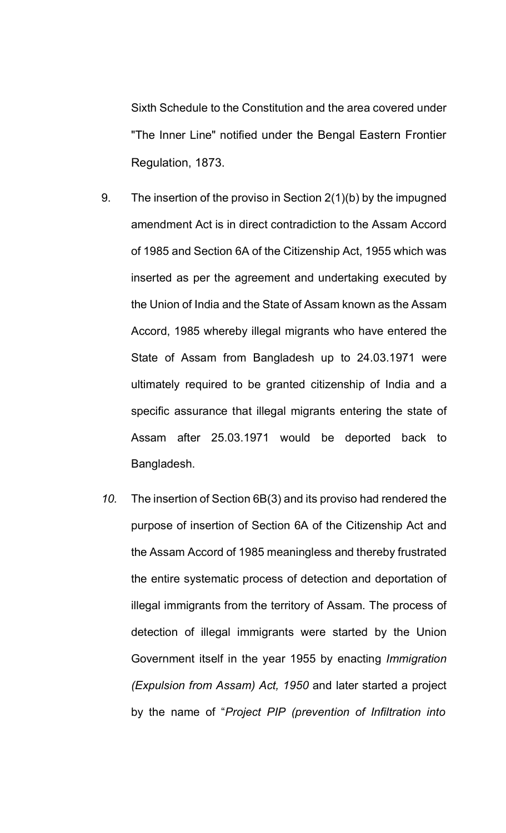Sixth Schedule to the Constitution and the area covered under "The Inner Line" notified under the Bengal Eastern Frontier Regulation, 1873.

- 9. The insertion of the proviso in Section 2(1)(b) by the impugned amendment Act is in direct contradiction to the Assam Accord of 1985 and Section 6A of the Citizenship Act, 1955 which was inserted as per the agreement and undertaking executed by the Union of India and the State of Assam known as the Assam Accord, 1985 whereby illegal migrants who have entered the State of Assam from Bangladesh up to 24.03.1971 were ultimately required to be granted citizenship of India and a specific assurance that illegal migrants entering the state of Assam after 25.03.1971 would be deported back to Bangladesh.
- *10.* The insertion of Section 6B(3) and its proviso had rendered the purpose of insertion of Section 6A of the Citizenship Act and the Assam Accord of 1985 meaningless and thereby frustrated the entire systematic process of detection and deportation of illegal immigrants from the territory of Assam. The process of detection of illegal immigrants were started by the Union Government itself in the year 1955 by enacting *Immigration (Expulsion from Assam) Act, 1950* and later started a project by the name of "*Project PIP (prevention of Infiltration into*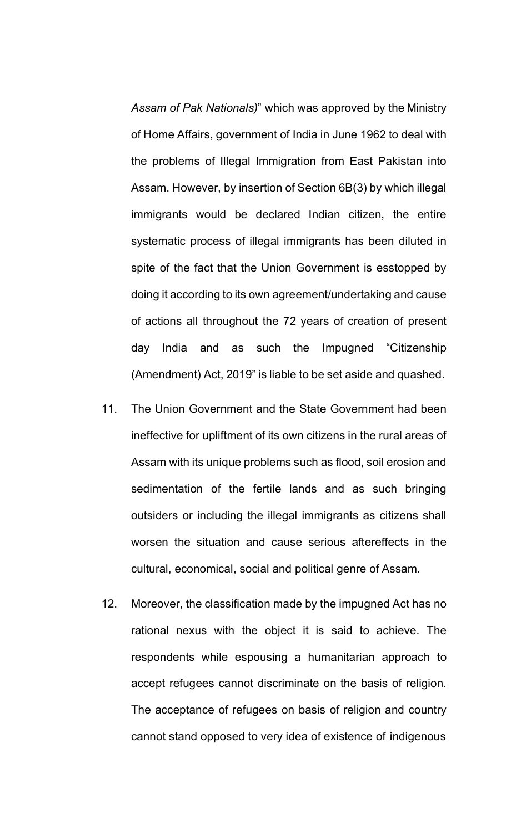*Assam of Pak Nationals)*" which was approved by the Ministry of Home Affairs, government of India in June 1962 to deal with the problems of Illegal Immigration from East Pakistan into Assam. However, by insertion of Section 6B(3) by which illegal immigrants would be declared Indian citizen, the entire systematic process of illegal immigrants has been diluted in spite of the fact that the Union Government is esstopped by doing it according to its own agreement/undertaking and cause of actions all throughout the 72 years of creation of present day India and as such the Impugned "Citizenship (Amendment) Act, 2019" is liable to be set aside and quashed.

- 11. The Union Government and the State Government had been ineffective for upliftment of its own citizens in the rural areas of Assam with its unique problems such as flood, soil erosion and sedimentation of the fertile lands and as such bringing outsiders or including the illegal immigrants as citizens shall worsen the situation and cause serious aftereffects in the cultural, economical, social and political genre of Assam.
- 12. Moreover, the classification made by the impugned Act has no rational nexus with the object it is said to achieve. The respondents while espousing a humanitarian approach to accept refugees cannot discriminate on the basis of religion. The acceptance of refugees on basis of religion and country cannot stand opposed to very idea of existence of indigenous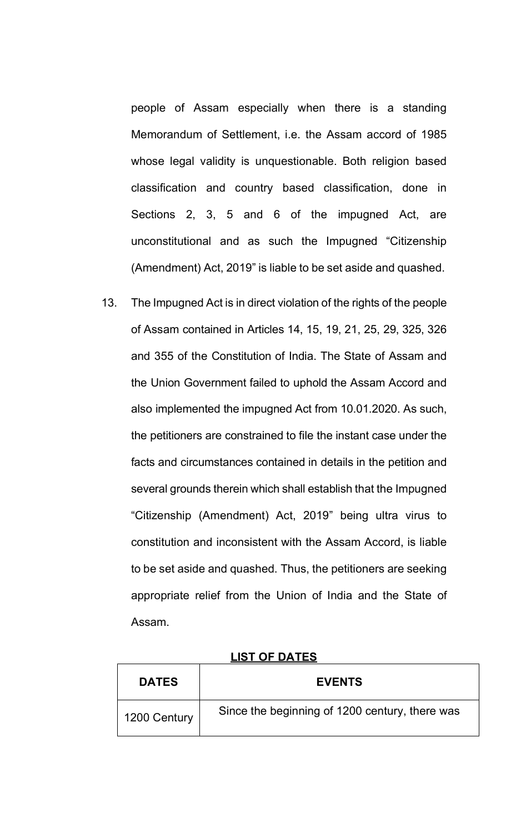people of Assam especially when there is a standing Memorandum of Settlement, i.e. the Assam accord of 1985 whose legal validity is unquestionable. Both religion based classification and country based classification, done in Sections 2, 3, 5 and 6 of the impugned Act, are unconstitutional and as such the Impugned "Citizenship (Amendment) Act, 2019" is liable to be set aside and quashed.

13. The Impugned Act is in direct violation of the rights of the people of Assam contained in Articles 14, 15, 19, 21, 25, 29, 325, 326 and 355 of the Constitution of India. The State of Assam and the Union Government failed to uphold the Assam Accord and also implemented the impugned Act from 10.01.2020. As such, the petitioners are constrained to file the instant case under the facts and circumstances contained in details in the petition and several grounds therein which shall establish that the Impugned "Citizenship (Amendment) Act, 2019" being ultra virus to constitution and inconsistent with the Assam Accord, is liable to be set aside and quashed. Thus, the petitioners are seeking appropriate relief from the Union of India and the State of Assam.

| <b>DATES</b> | <b>EVENTS</b>                                  |
|--------------|------------------------------------------------|
| 1200 Century | Since the beginning of 1200 century, there was |

# **LIST OF DATES**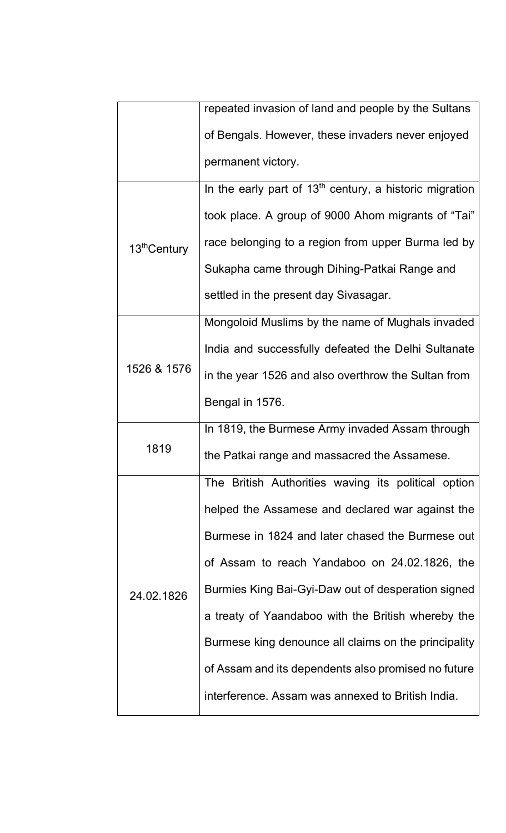|                          | repeated invasion of land and people by the Sultans       |
|--------------------------|-----------------------------------------------------------|
|                          | of Bengals. However, these invaders never enjoyed         |
|                          | permanent victory.                                        |
| 13 <sup>th</sup> Century | In the early part of $13th$ century, a historic migration |
|                          | took place. A group of 9000 Ahom migrants of "Tai"        |
|                          | race belonging to a region from upper Burma led by        |
|                          | Sukapha came through Dihing-Patkai Range and              |
|                          | settled in the present day Sivasagar.                     |
|                          | Mongoloid Muslims by the name of Mughals invaded          |
|                          | India and successfully defeated the Delhi Sultanate       |
| 1526 & 1576              | in the year 1526 and also overthrow the Sultan from       |
|                          | Bengal in 1576.                                           |
| 1819                     | In 1819, the Burmese Army invaded Assam through           |
|                          | the Patkai range and massacred the Assamese.              |
|                          | The British Authorities waving its political option       |
| 24.02.1826               | helped the Assamese and declared war against the          |
|                          | Burmese in 1824 and later chased the Burmese out          |
|                          | of Assam to reach Yandaboo on 24.02.1826, the             |
|                          | Burmies King Bai-Gyi-Daw out of desperation signed        |
|                          | a treaty of Yaandaboo with the British whereby the        |
|                          | Burmese king denounce all claims on the principality      |
|                          | of Assam and its dependents also promised no future       |
|                          | interference. Assam was annexed to British India.         |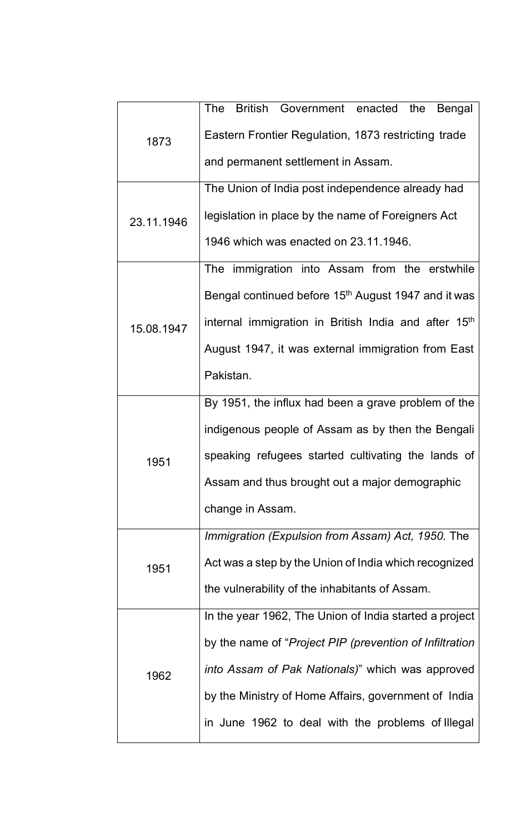| 1873       | The<br>British Government enacted the Bengal                     |
|------------|------------------------------------------------------------------|
|            | Eastern Frontier Regulation, 1873 restricting trade              |
|            | and permanent settlement in Assam.                               |
|            | The Union of India post independence already had                 |
| 23.11.1946 | legislation in place by the name of Foreigners Act               |
|            | 1946 which was enacted on 23.11.1946.                            |
|            | The immigration into Assam from the erstwhile                    |
|            | Bengal continued before 15 <sup>th</sup> August 1947 and it was  |
| 15.08.1947 | internal immigration in British India and after 15 <sup>th</sup> |
|            | August 1947, it was external immigration from East               |
|            | Pakistan.                                                        |
|            | By 1951, the influx had been a grave problem of the              |
|            | indigenous people of Assam as by then the Bengali                |
| 1951       | speaking refugees started cultivating the lands of               |
|            | Assam and thus brought out a major demographic                   |
|            | change in Assam.                                                 |
| 1951       | Immigration (Expulsion from Assam) Act, 1950. The                |
|            | Act was a step by the Union of India which recognized            |
|            | the vulnerability of the inhabitants of Assam.                   |
| 1962       | In the year 1962, The Union of India started a project           |
|            | by the name of "Project PIP (prevention of Infiltration          |
|            | into Assam of Pak Nationals)" which was approved                 |
|            | by the Ministry of Home Affairs, government of India             |
|            | in June 1962 to deal with the problems of Illegal                |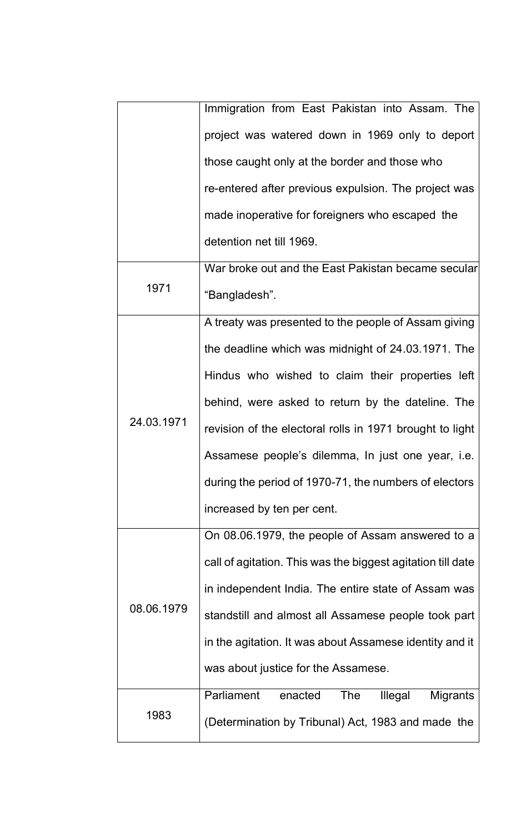|            | Immigration from East Pakistan into Assam. The              |
|------------|-------------------------------------------------------------|
|            | project was watered down in 1969 only to deport             |
|            | those caught only at the border and those who               |
|            | re-entered after previous expulsion. The project was        |
|            | made inoperative for foreigners who escaped the             |
|            | detention net till 1969.                                    |
|            | War broke out and the East Pakistan became secular          |
| 1971       | "Bangladesh".                                               |
|            | A treaty was presented to the people of Assam giving        |
|            | the deadline which was midnight of 24.03.1971. The          |
|            | Hindus who wished to claim their properties left            |
|            | behind, were asked to return by the dateline. The           |
| 24.03.1971 | revision of the electoral rolls in 1971 brought to light    |
|            | Assamese people's dilemma, In just one year, i.e.           |
|            | during the period of 1970-71, the numbers of electors       |
| 08.06.1979 | increased by ten per cent.                                  |
|            | On 08.06.1979, the people of Assam answered to a            |
|            | call of agitation. This was the biggest agitation till date |
|            | in independent India. The entire state of Assam was         |
|            | standstill and almost all Assamese people took part         |
|            | in the agitation. It was about Assamese identity and it     |
|            | was about justice for the Assamese.                         |
|            | Parliament<br>Illegal<br><b>Migrants</b><br>enacted<br>The  |
| 1983       | (Determination by Tribunal) Act, 1983 and made the          |
|            |                                                             |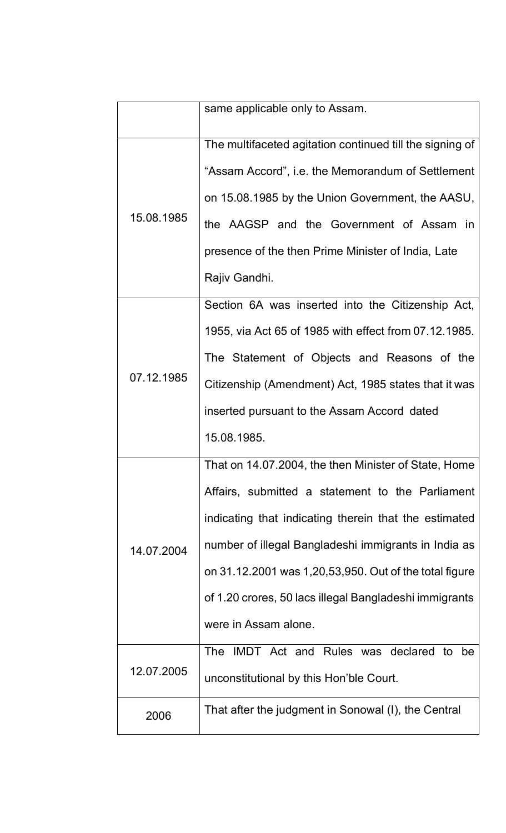|            | same applicable only to Assam.                           |
|------------|----------------------------------------------------------|
|            | The multifaceted agitation continued till the signing of |
|            | "Assam Accord", i.e. the Memorandum of Settlement        |
|            | on 15.08.1985 by the Union Government, the AASU,         |
| 15.08.1985 | the AAGSP and the Government of Assam in                 |
|            | presence of the then Prime Minister of India, Late       |
|            | Rajiv Gandhi.                                            |
|            | Section 6A was inserted into the Citizenship Act,        |
|            | 1955, via Act 65 of 1985 with effect from 07.12.1985.    |
|            | The Statement of Objects and Reasons of the              |
| 07.12.1985 | Citizenship (Amendment) Act, 1985 states that it was     |
|            | inserted pursuant to the Assam Accord dated              |
|            | 15.08.1985.                                              |
|            | That on 14.07.2004, the then Minister of State, Home     |
|            | Affairs, submitted a statement to the Parliament         |
|            | indicating that indicating therein that the estimated    |
| 14.07.2004 | number of illegal Bangladeshi immigrants in India as     |
|            | on 31.12.2001 was 1,20,53,950. Out of the total figure   |
|            | of 1.20 crores, 50 lacs illegal Bangladeshi immigrants   |
|            | were in Assam alone.                                     |
|            | The IMDT Act and Rules was declared to be                |
| 12.07.2005 | unconstitutional by this Hon'ble Court.                  |
| 2006       | That after the judgment in Sonowal (I), the Central      |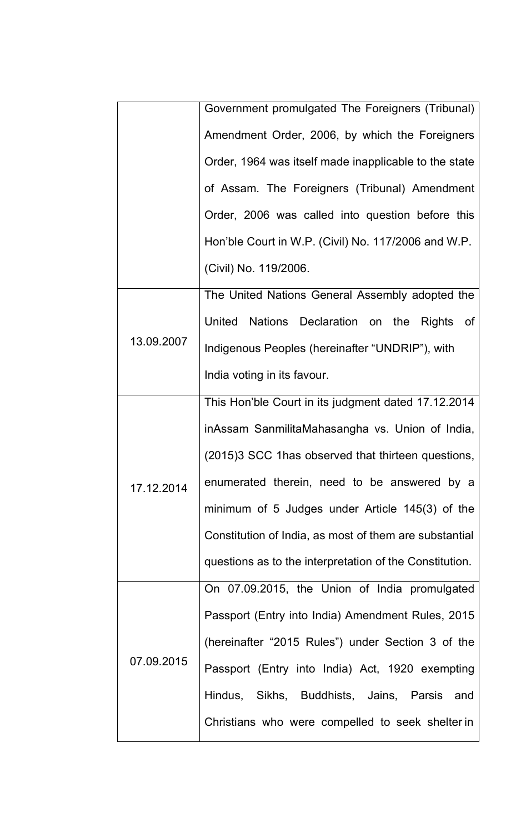|            | Government promulgated The Foreigners (Tribunal)        |
|------------|---------------------------------------------------------|
|            | Amendment Order, 2006, by which the Foreigners          |
|            | Order, 1964 was itself made inapplicable to the state   |
|            | of Assam. The Foreigners (Tribunal) Amendment           |
|            | Order, 2006 was called into question before this        |
|            | Hon'ble Court in W.P. (Civil) No. 117/2006 and W.P.     |
|            | (Civil) No. 119/2006.                                   |
|            | The United Nations General Assembly adopted the         |
|            | United Nations Declaration on the Rights<br>of          |
| 13.09.2007 | Indigenous Peoples (hereinafter "UNDRIP"), with         |
|            | India voting in its favour.                             |
|            | This Hon'ble Court in its judgment dated 17.12.2014     |
|            | inAssam SanmilitaMahasangha vs. Union of India,         |
|            | (2015)3 SCC 1 has observed that thirteen questions,     |
| 17.12.2014 | enumerated therein, need to be answered by a            |
|            | minimum of 5 Judges under Article 145(3) of the         |
|            | Constitution of India, as most of them are substantial  |
|            | questions as to the interpretation of the Constitution. |
| 07.09.2015 | On 07.09.2015, the Union of India promulgated           |
|            | Passport (Entry into India) Amendment Rules, 2015       |
|            | (hereinafter "2015 Rules") under Section 3 of the       |
|            | Passport (Entry into India) Act, 1920 exempting         |
|            | Hindus, Sikhs, Buddhists, Jains, Parsis and             |
|            | Christians who were compelled to seek shelter in        |
|            |                                                         |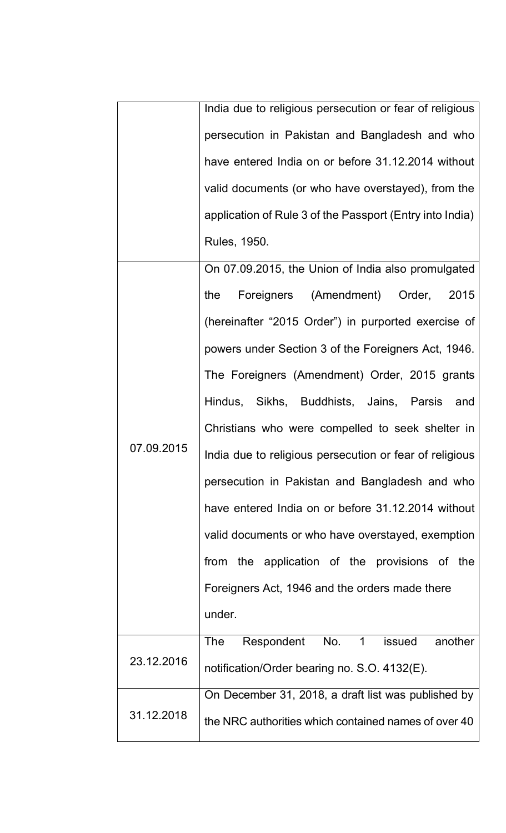|            | India due to religious persecution or fear of religious  |
|------------|----------------------------------------------------------|
|            | persecution in Pakistan and Bangladesh and who           |
|            | have entered India on or before 31.12.2014 without       |
|            | valid documents (or who have overstayed), from the       |
|            | application of Rule 3 of the Passport (Entry into India) |
|            | Rules, 1950.                                             |
|            | On 07.09.2015, the Union of India also promulgated       |
|            | Foreigners (Amendment) Order, 2015<br>the                |
|            | (hereinafter "2015 Order") in purported exercise of      |
|            | powers under Section 3 of the Foreigners Act, 1946.      |
|            | The Foreigners (Amendment) Order, 2015 grants            |
|            | Hindus, Sikhs, Buddhists, Jains, Parsis and              |
|            | Christians who were compelled to seek shelter in         |
| 07.09.2015 | India due to religious persecution or fear of religious  |
|            | persecution in Pakistan and Bangladesh and who           |
|            | have entered India on or before 31.12.2014 without       |
|            | valid documents or who have overstayed, exemption        |
|            | from the application of the provisions of the            |
|            | Foreigners Act, 1946 and the orders made there           |
|            | under.                                                   |
|            | Respondent No. 1 issued<br>The<br>another                |
| 23.12.2016 | notification/Order bearing no. S.O. 4132(E).             |
|            | On December 31, 2018, a draft list was published by      |
| 31.12.2018 | the NRC authorities which contained names of over 40     |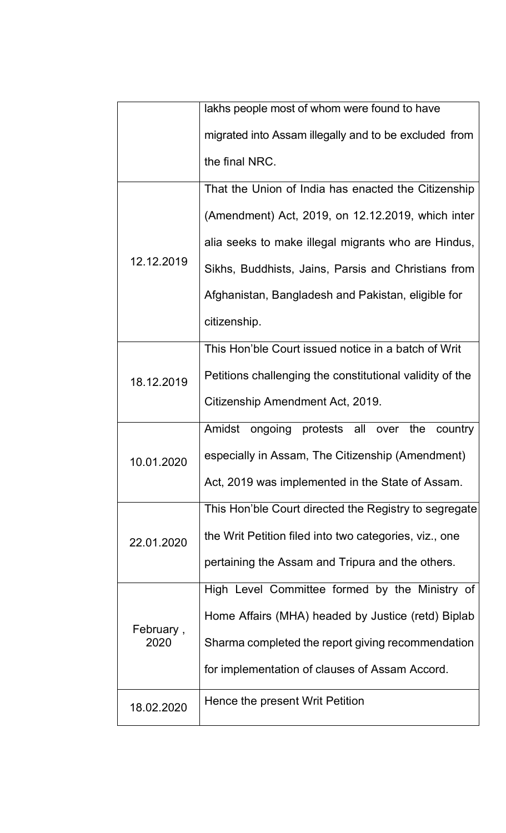|                   | lakhs people most of whom were found to have             |
|-------------------|----------------------------------------------------------|
|                   | migrated into Assam illegally and to be excluded from    |
|                   | the final NRC.                                           |
|                   | That the Union of India has enacted the Citizenship      |
|                   | (Amendment) Act, 2019, on 12.12.2019, which inter        |
|                   | alia seeks to make illegal migrants who are Hindus,      |
| 12.12.2019        | Sikhs, Buddhists, Jains, Parsis and Christians from      |
|                   | Afghanistan, Bangladesh and Pakistan, eligible for       |
|                   | citizenship.                                             |
|                   | This Hon'ble Court issued notice in a batch of Writ      |
| 18.12.2019        | Petitions challenging the constitutional validity of the |
|                   | Citizenship Amendment Act, 2019.                         |
|                   | Amidst ongoing protests all over the<br>country          |
| 10.01.2020        | especially in Assam, The Citizenship (Amendment)         |
| 22.01.2020        | Act, 2019 was implemented in the State of Assam.         |
|                   | This Hon'ble Court directed the Registry to segregate    |
|                   | the Writ Petition filed into two categories, viz., one   |
| February,<br>2020 | pertaining the Assam and Tripura and the others.         |
|                   | High Level Committee formed by the Ministry of           |
|                   | Home Affairs (MHA) headed by Justice (retd) Biplab       |
|                   | Sharma completed the report giving recommendation        |
|                   | for implementation of clauses of Assam Accord.           |
| 18.02.2020        | Hence the present Writ Petition                          |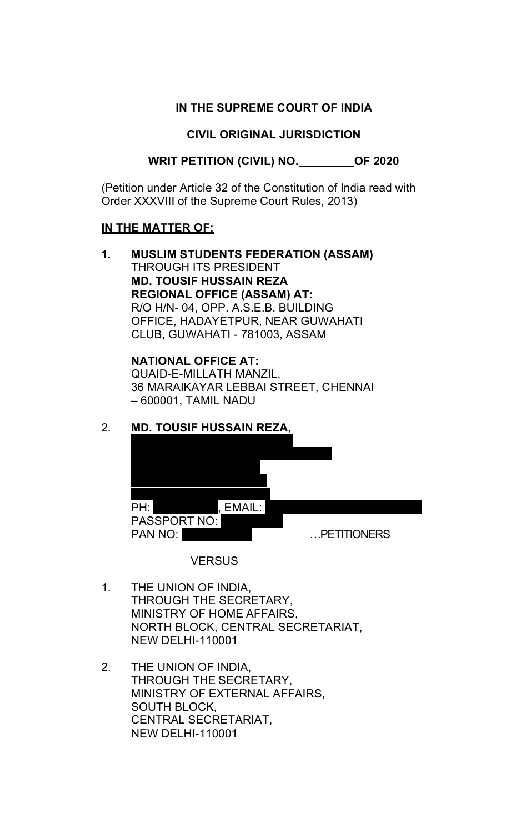## **IN THE SUPREME COURT OF INDIA**

### **CIVIL ORIGINAL JURISDICTION**

**WRIT PETITION (CIVIL) NO. \_\_\_\_\_\_\_\_\_OF 2020** 

(Petition under Article 32 of the Constitution of India read with Order XXXVIII of the Supreme Court Rules, 2013)

### **IN THE MATTER OF:**

**1. MUSLIM STUDENTS FEDERATION (ASSAM)** THROUGH ITS PRESIDENT **MD. TOUSIF HUSSAIN REZA REGIONAL OFFICE (ASSAM) AT:** R/O H/N- 04, OPP. A.S.E.B. BUILDING OFFICE, HADAYETPUR, NEAR GUWAHATI CLUB, GUWAHATI - 781003, ASSAM

> **NATIONAL OFFICE AT:** QUAID-E-MILLATH MANZIL, 36 MARAIKAYAR LEBBAI STREET, CHENNAI – 600001, TAMIL NADU

# 2. **MD. TOUSIF HUSSAIN REZA**,



### **VERSUS**

- 1. THE UNION OF INDIA, THROUGH THE SECRETARY, MINISTRY OF HOME AFFAIRS, NORTH BLOCK, CENTRAL SECRETARIAT, NEW DELHI-110001
- 2. THE UNION OF INDIA, THROUGH THE SECRETARY, MINISTRY OF EXTERNAL AFFAIRS, SOUTH BLOCK, CENTRAL SECRETARIAT, NEW DELHI-110001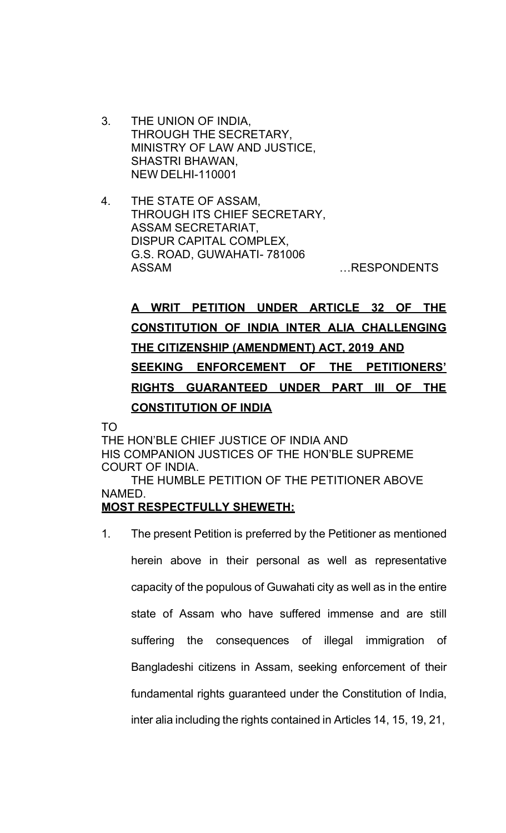- 3. THE UNION OF INDIA, THROUGH THE SECRETARY, MINISTRY OF LAW AND JUSTICE, SHASTRI BHAWAN, NEW DELHI-110001
- 4. THE STATE OF ASSAM, THROUGH ITS CHIEF SECRETARY, ASSAM SECRETARIAT, DISPUR CAPITAL COMPLEX, G.S. ROAD, GUWAHATI- 781006 ASSAM EXAMPLE THE RESPONDENTS

# **A WRIT PETITION UNDER ARTICLE 32 OF THE CONSTITUTION OF INDIA INTER ALIA CHALLENGING THE CITIZENSHIP (AMENDMENT) ACT, 2019 AND SEEKING ENFORCEMENT OF THE PETITIONERS' RIGHTS GUARANTEED UNDER PART III OF THE CONSTITUTION OF INDIA**

TO

THE HON'BLE CHIEF JUSTICE OF INDIA AND HIS COMPANION JUSTICES OF THE HON'BLE SUPREME COURT OF INDIA. THE HUMBLE PETITION OF THE PETITIONER ABOVE NAMED.

# **MOST RESPECTFULLY SHEWETH:**

1. The present Petition is preferred by the Petitioner as mentioned herein above in their personal as well as representative capacity of the populous of Guwahati city as well as in the entire state of Assam who have suffered immense and are still suffering the consequences of illegal immigration of Bangladeshi citizens in Assam, seeking enforcement of their fundamental rights guaranteed under the Constitution of India, inter alia including the rights contained in Articles 14, 15, 19, 21,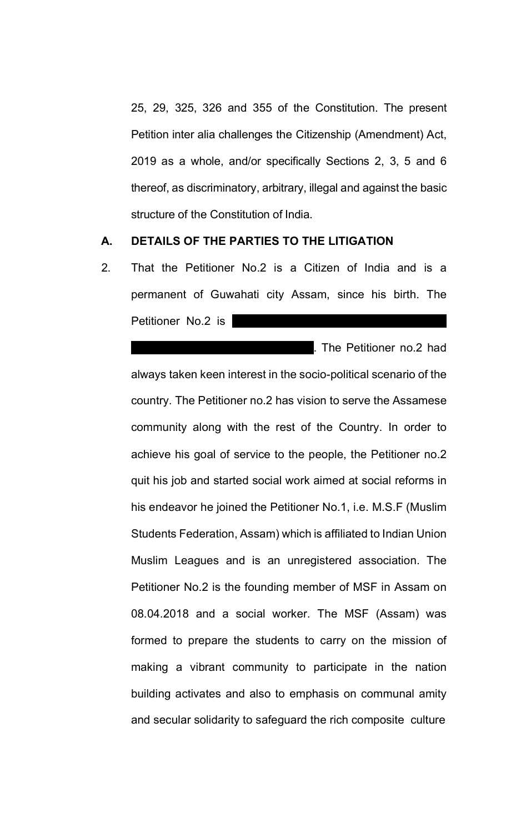25, 29, 325, 326 and 355 of the Constitution. The present Petition inter alia challenges the Citizenship (Amendment) Act, 2019 as a whole, and/or specifically Sections 2, 3, 5 and 6 thereof, as discriminatory, arbitrary, illegal and against the basic structure of the Constitution of India.

### **A. DETAILS OF THE PARTIES TO THE LITIGATION**

2. That the Petitioner No.2 is a Citizen of India and is a permanent of Guwahati city Assam, since his birth. The Petitioner No.2 is

steveral companies as an engineer. The Petitioner no.2 had always taken keen interest in the socio-political scenario of the country. The Petitioner no.2 has vision to serve the Assamese community along with the rest of the Country. In order to achieve his goal of service to the people, the Petitioner no.2 quit his job and started social work aimed at social reforms in his endeavor he joined the Petitioner No.1, i.e. M.S.F (Muslim Students Federation, Assam) which is affiliated to Indian Union Muslim Leagues and is an unregistered association. The Petitioner No.2 is the founding member of MSF in Assam on 08.04.2018 and a social worker. The MSF (Assam) was formed to prepare the students to carry on the mission of making a vibrant community to participate in the nation building activates and also to emphasis on communal amity and secular solidarity to safeguard the rich composite culture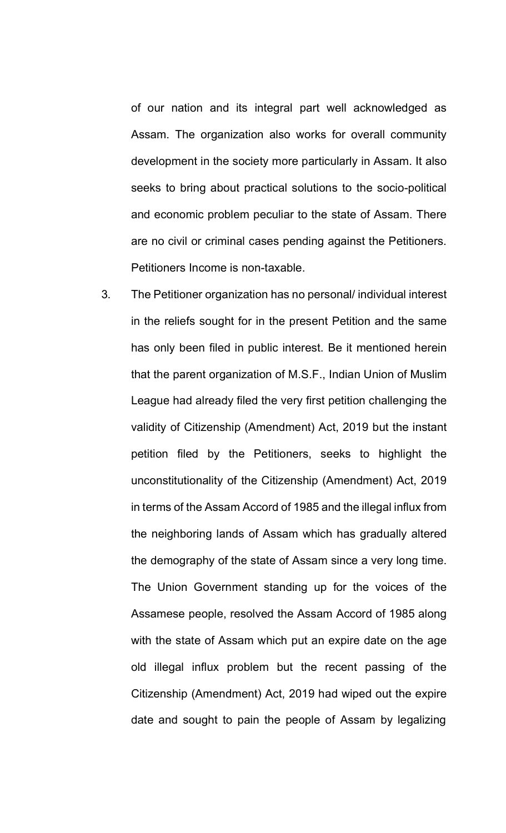of our nation and its integral part well acknowledged as Assam. The organization also works for overall community development in the society more particularly in Assam. It also seeks to bring about practical solutions to the socio-political and economic problem peculiar to the state of Assam. There are no civil or criminal cases pending against the Petitioners. Petitioners Income is non-taxable.

3. The Petitioner organization has no personal/ individual interest in the reliefs sought for in the present Petition and the same has only been filed in public interest. Be it mentioned herein that the parent organization of M.S.F., Indian Union of Muslim League had already filed the very first petition challenging the validity of Citizenship (Amendment) Act, 2019 but the instant petition filed by the Petitioners, seeks to highlight the unconstitutionality of the Citizenship (Amendment) Act, 2019 in terms of the Assam Accord of 1985 and the illegal influx from the neighboring lands of Assam which has gradually altered the demography of the state of Assam since a very long time. The Union Government standing up for the voices of the Assamese people, resolved the Assam Accord of 1985 along with the state of Assam which put an expire date on the age old illegal influx problem but the recent passing of the Citizenship (Amendment) Act, 2019 had wiped out the expire date and sought to pain the people of Assam by legalizing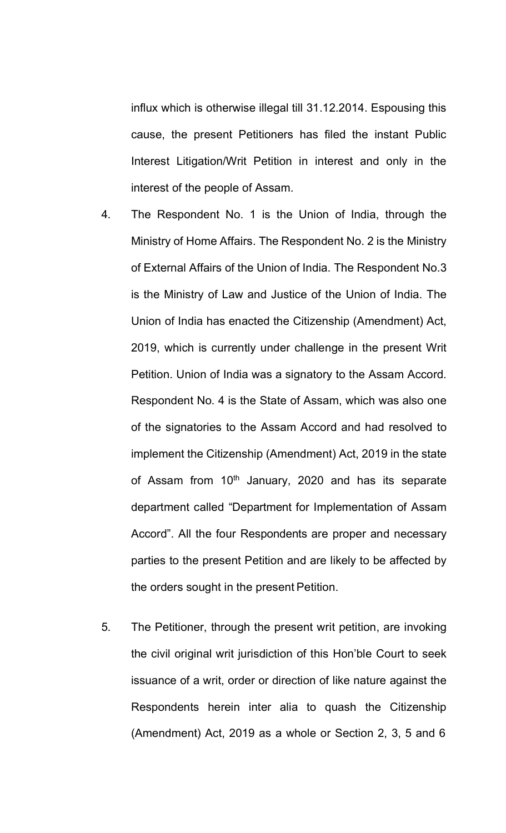influx which is otherwise illegal till 31.12.2014. Espousing this cause, the present Petitioners has filed the instant Public Interest Litigation/Writ Petition in interest and only in the interest of the people of Assam.

- 4. The Respondent No. 1 is the Union of India, through the Ministry of Home Affairs. The Respondent No. 2 is the Ministry of External Affairs of the Union of India. The Respondent No.3 is the Ministry of Law and Justice of the Union of India. The Union of India has enacted the Citizenship (Amendment) Act, 2019, which is currently under challenge in the present Writ Petition. Union of India was a signatory to the Assam Accord. Respondent No. 4 is the State of Assam, which was also one of the signatories to the Assam Accord and had resolved to implement the Citizenship (Amendment) Act, 2019 in the state of Assam from  $10<sup>th</sup>$  January, 2020 and has its separate department called "Department for Implementation of Assam Accord". All the four Respondents are proper and necessary parties to the present Petition and are likely to be affected by the orders sought in the present Petition.
- 5. The Petitioner, through the present writ petition, are invoking the civil original writ jurisdiction of this Hon'ble Court to seek issuance of a writ, order or direction of like nature against the Respondents herein inter alia to quash the Citizenship (Amendment) Act, 2019 as a whole or Section 2, 3, 5 and 6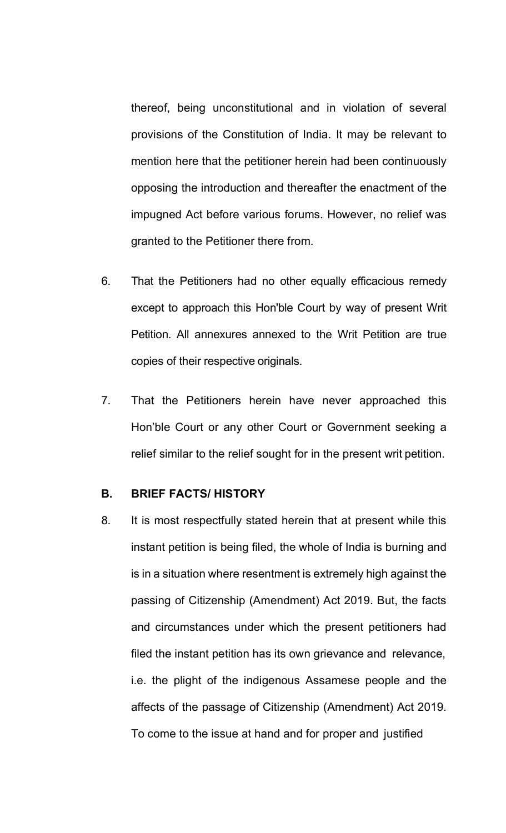thereof, being unconstitutional and in violation of several provisions of the Constitution of India. It may be relevant to mention here that the petitioner herein had been continuously opposing the introduction and thereafter the enactment of the impugned Act before various forums. However, no relief was granted to the Petitioner there from.

- 6. That the Petitioners had no other equally efficacious remedy except to approach this Hon'ble Court by way of present Writ Petition. All annexures annexed to the Writ Petition are true copies of their respective originals.
- 7. That the Petitioners herein have never approached this Hon'ble Court or any other Court or Government seeking a relief similar to the relief sought for in the present writ petition.

### **B. BRIEF FACTS/ HISTORY**

8. It is most respectfully stated herein that at present while this instant petition is being filed, the whole of India is burning and is in a situation where resentment is extremely high against the passing of Citizenship (Amendment) Act 2019. But, the facts and circumstances under which the present petitioners had filed the instant petition has its own grievance and relevance, i.e. the plight of the indigenous Assamese people and the affects of the passage of Citizenship (Amendment) Act 2019. To come to the issue at hand and for proper and justified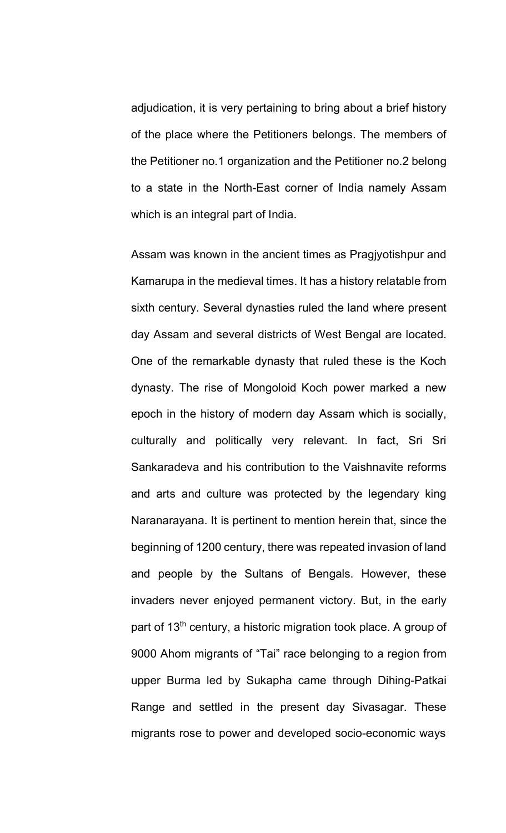adjudication, it is very pertaining to bring about a brief history of the place where the Petitioners belongs. The members of the Petitioner no.1 organization and the Petitioner no.2 belong to a state in the North-East corner of India namely Assam which is an integral part of India.

Assam was known in the ancient times as Pragjyotishpur and Kamarupa in the medieval times. It has a history relatable from sixth century. Several dynasties ruled the land where present day Assam and several districts of West Bengal are located. One of the remarkable dynasty that ruled these is the Koch dynasty. The rise of Mongoloid Koch power marked a new epoch in the history of modern day Assam which is socially, culturally and politically very relevant. In fact, Sri Sri Sankaradeva and his contribution to the Vaishnavite reforms and arts and culture was protected by the legendary king Naranarayana. It is pertinent to mention herein that, since the beginning of 1200 century, there was repeated invasion of land and people by the Sultans of Bengals. However, these invaders never enjoyed permanent victory. But, in the early part of 13<sup>th</sup> century, a historic migration took place. A group of 9000 Ahom migrants of "Tai" race belonging to a region from upper Burma led by Sukapha came through Dihing-Patkai Range and settled in the present day Sivasagar. These migrants rose to power and developed socio-economic ways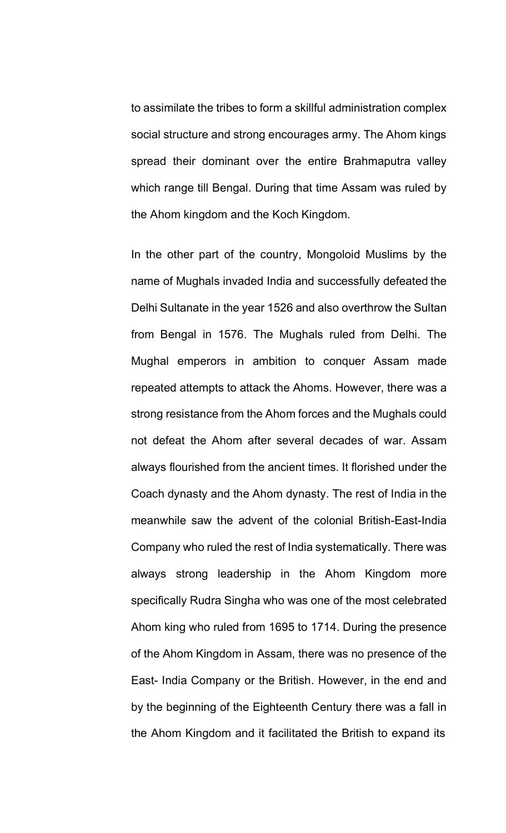to assimilate the tribes to form a skillful administration complex social structure and strong encourages army. The Ahom kings spread their dominant over the entire Brahmaputra valley which range till Bengal. During that time Assam was ruled by the Ahom kingdom and the Koch Kingdom.

In the other part of the country, Mongoloid Muslims by the name of Mughals invaded India and successfully defeated the Delhi Sultanate in the year 1526 and also overthrow the Sultan from Bengal in 1576. The Mughals ruled from Delhi. The Mughal emperors in ambition to conquer Assam made repeated attempts to attack the Ahoms. However, there was a strong resistance from the Ahom forces and the Mughals could not defeat the Ahom after several decades of war. Assam always flourished from the ancient times. It florished under the Coach dynasty and the Ahom dynasty. The rest of India in the meanwhile saw the advent of the colonial British-East-India Company who ruled the rest of India systematically. There was always strong leadership in the Ahom Kingdom more specifically Rudra Singha who was one of the most celebrated Ahom king who ruled from 1695 to 1714. During the presence of the Ahom Kingdom in Assam, there was no presence of the East- India Company or the British. However, in the end and by the beginning of the Eighteenth Century there was a fall in the Ahom Kingdom and it facilitated the British to expand its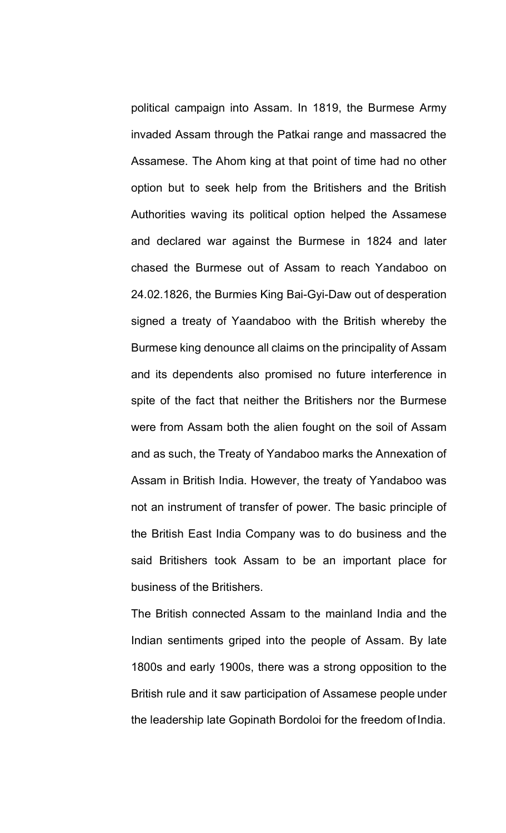political campaign into Assam. In 1819, the Burmese Army invaded Assam through the Patkai range and massacred the Assamese. The Ahom king at that point of time had no other option but to seek help from the Britishers and the British Authorities waving its political option helped the Assamese and declared war against the Burmese in 1824 and later chased the Burmese out of Assam to reach Yandaboo on 24.02.1826, the Burmies King Bai-Gyi-Daw out of desperation signed a treaty of Yaandaboo with the British whereby the Burmese king denounce all claims on the principality of Assam and its dependents also promised no future interference in spite of the fact that neither the Britishers nor the Burmese were from Assam both the alien fought on the soil of Assam and as such, the Treaty of Yandaboo marks the Annexation of Assam in British India. However, the treaty of Yandaboo was not an instrument of transfer of power. The basic principle of the British East India Company was to do business and the said Britishers took Assam to be an important place for business of the Britishers.

The British connected Assam to the mainland India and the Indian sentiments griped into the people of Assam. By late 1800s and early 1900s, there was a strong opposition to the British rule and it saw participation of Assamese people under the leadership late Gopinath Bordoloi for the freedom of India.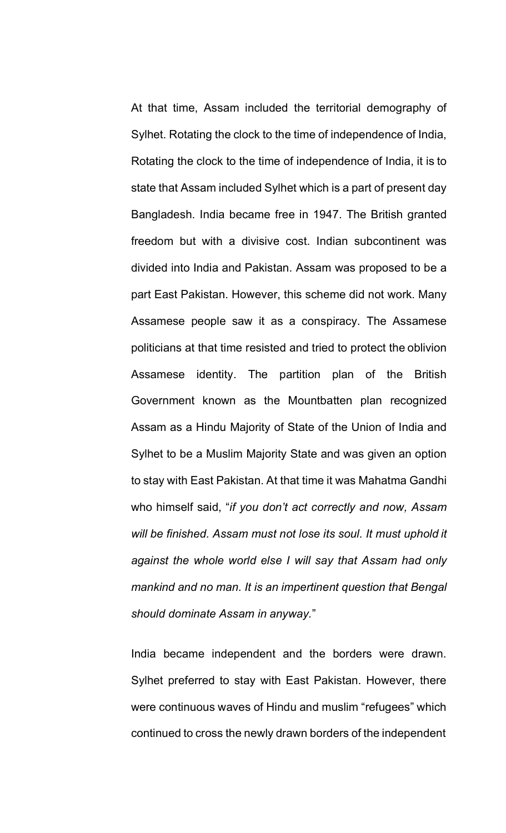At that time, Assam included the territorial demography of Sylhet. Rotating the clock to the time of independence of India, Rotating the clock to the time of independence of India, it is to state that Assam included Sylhet which is a part of present day Bangladesh. India became free in 1947. The British granted freedom but with a divisive cost. Indian subcontinent was divided into India and Pakistan. Assam was proposed to be a part East Pakistan. However, this scheme did not work. Many Assamese people saw it as a conspiracy. The Assamese politicians at that time resisted and tried to protect the oblivion Assamese identity. The partition plan of the British Government known as the Mountbatten plan recognized Assam as a Hindu Majority of State of the Union of India and Sylhet to be a Muslim Majority State and was given an option to stay with East Pakistan. At that time it was Mahatma Gandhi who himself said, "*if you don't act correctly and now, Assam will be finished. Assam must not lose its soul. It must uphold it against the whole world else I will say that Assam had only mankind and no man. It is an impertinent question that Bengal should dominate Assam in anyway.*"

India became independent and the borders were drawn. Sylhet preferred to stay with East Pakistan. However, there were continuous waves of Hindu and muslim "refugees" which continued to cross the newly drawn borders of the independent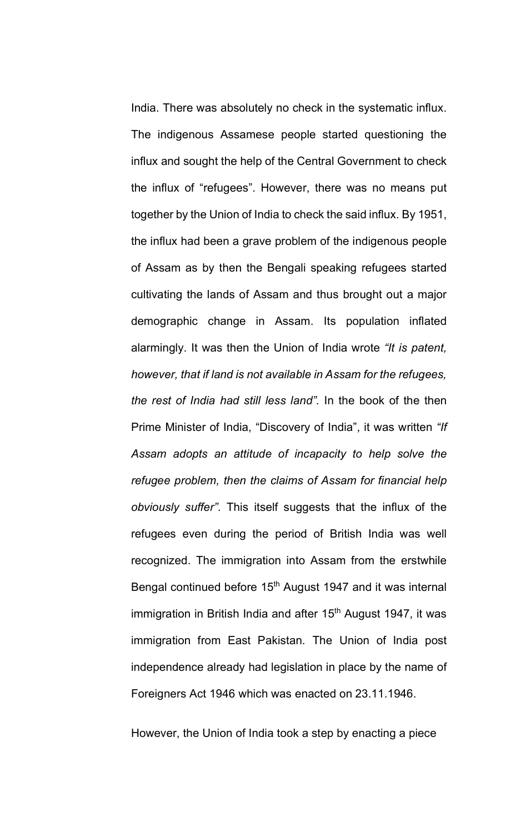India. There was absolutely no check in the systematic influx. The indigenous Assamese people started questioning the influx and sought the help of the Central Government to check the influx of "refugees". However, there was no means put together by the Union of India to check the said influx. By 1951, the influx had been a grave problem of the indigenous people of Assam as by then the Bengali speaking refugees started cultivating the lands of Assam and thus brought out a major demographic change in Assam. Its population inflated alarmingly. It was then the Union of India wrote *"It is patent, however, that if land is not available in Assam for the refugees, the rest of India had still less land".* In the book of the then Prime Minister of India, "Discovery of India", it was written *"If Assam adopts an attitude of incapacity to help solve the refugee problem, then the claims of Assam for financial help obviously suffer"*. This itself suggests that the influx of the refugees even during the period of British India was well recognized. The immigration into Assam from the erstwhile Bengal continued before 15<sup>th</sup> August 1947 and it was internal immigration in British India and after  $15<sup>th</sup>$  August 1947, it was immigration from East Pakistan. The Union of India post independence already had legislation in place by the name of Foreigners Act 1946 which was enacted on 23.11.1946.

However, the Union of India took a step by enacting a piece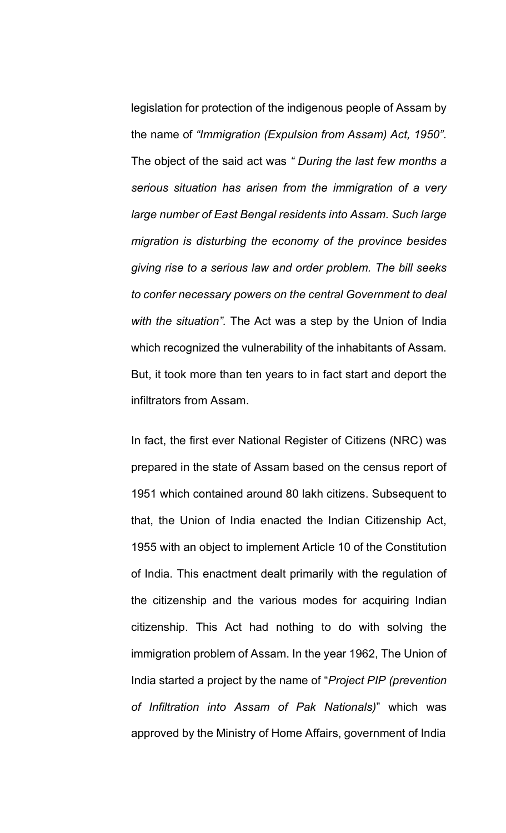legislation for protection of the indigenous people of Assam by the name of *"Immigration (Expulsion from Assam) Act, 1950"*. The object of the said act was *" During the last few months a serious situation has arisen from the immigration of a very large number of East Bengal residents into Assam. Such large migration is disturbing the economy of the province besides giving rise to a serious law and order problem. The bill seeks to confer necessary powers on the central Government to deal with the situation".* The Act was a step by the Union of India which recognized the vulnerability of the inhabitants of Assam. But, it took more than ten years to in fact start and deport the infiltrators from Assam.

In fact, the first ever National Register of Citizens (NRC) was prepared in the state of Assam based on the census report of 1951 which contained around 80 lakh citizens. Subsequent to that, the Union of India enacted the Indian Citizenship Act, 1955 with an object to implement Article 10 of the Constitution of India. This enactment dealt primarily with the regulation of the citizenship and the various modes for acquiring Indian citizenship. This Act had nothing to do with solving the immigration problem of Assam. In the year 1962, The Union of India started a project by the name of "*Project PIP (prevention of Infiltration into Assam of Pak Nationals)*" which was approved by the Ministry of Home Affairs, government of India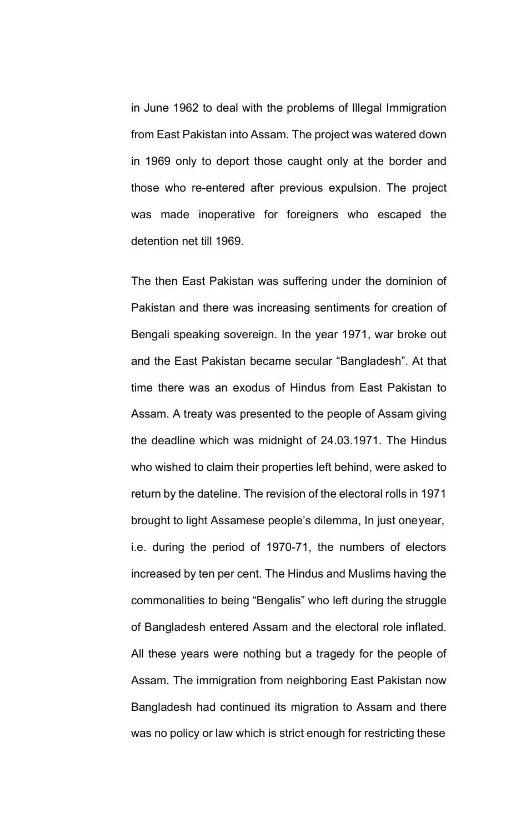in June 1962 to deal with the problems of Illegal Immigration from East Pakistan into Assam. The project was watered down in 1969 only to deport those caught only at the border and those who re-entered after previous expulsion. The project was made inoperative for foreigners who escaped the detention net till 1969.

The then East Pakistan was suffering under the dominion of Pakistan and there was increasing sentiments for creation of Bengali speaking sovereign. In the year 1971, war broke out and the East Pakistan became secular "Bangladesh". At that time there was an exodus of Hindus from East Pakistan to Assam. A treaty was presented to the people of Assam giving the deadline which was midnight of 24.03.1971. The Hindus who wished to claim their properties left behind, were asked to return by the dateline. The revision of the electoral rolls in 1971 brought to light Assamese people's dilemma, In just oneyear, i.e. during the period of 1970-71, the numbers of electors increased by ten per cent. The Hindus and Muslims having the commonalities to being "Bengalis" who left during the struggle of Bangladesh entered Assam and the electoral role inflated. All these years were nothing but a tragedy for the people of Assam. The immigration from neighboring East Pakistan now Bangladesh had continued its migration to Assam and there was no policy or law which is strict enough for restricting these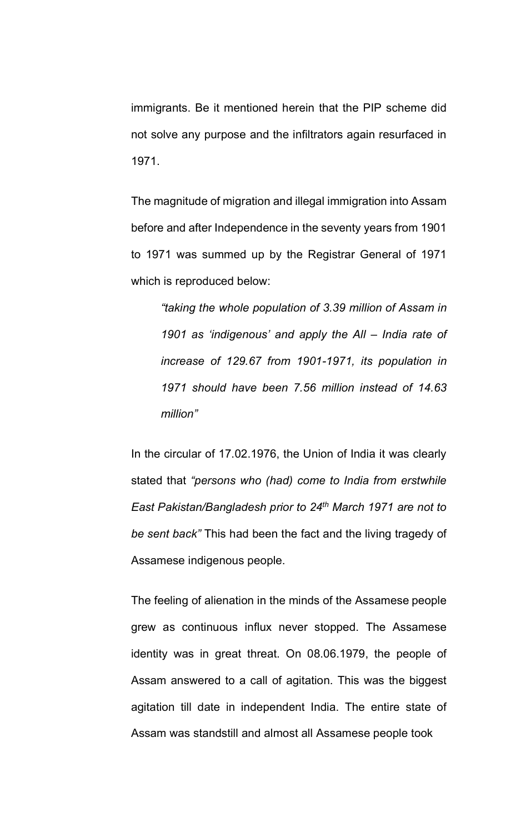immigrants. Be it mentioned herein that the PIP scheme did not solve any purpose and the infiltrators again resurfaced in 1971.

The magnitude of migration and illegal immigration into Assam before and after Independence in the seventy years from 1901 to 1971 was summed up by the Registrar General of 1971 which is reproduced below:

*"taking the whole population of 3.39 million of Assam in 1901 as 'indigenous' and apply the All – India rate of increase of 129.67 from 1901-1971, its population in 1971 should have been 7.56 million instead of 14.63 million"*

In the circular of 17.02.1976, the Union of India it was clearly stated that *"persons who (had) come to India from erstwhile East Pakistan/Bangladesh prior to 24th March 1971 are not to be sent back"* This had been the fact and the living tragedy of Assamese indigenous people.

The feeling of alienation in the minds of the Assamese people grew as continuous influx never stopped. The Assamese identity was in great threat. On 08.06.1979, the people of Assam answered to a call of agitation. This was the biggest agitation till date in independent India. The entire state of Assam was standstill and almost all Assamese people took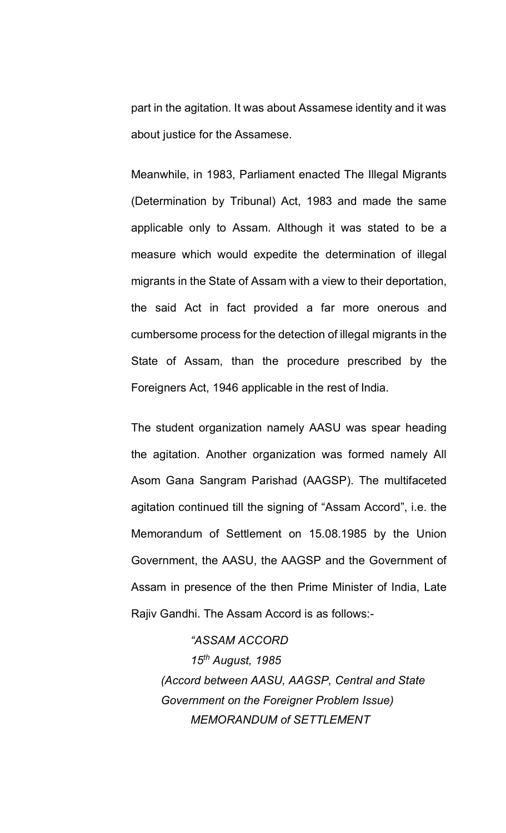part in the agitation. It was about Assamese identity and it was about justice for the Assamese.

Meanwhile, in 1983, Parliament enacted The Illegal Migrants (Determination by Tribunal) Act, 1983 and made the same applicable only to Assam. Although it was stated to be a measure which would expedite the determination of illegal migrants in the State of Assam with a view to their deportation, the said Act in fact provided a far more onerous and cumbersome process for the detection of illegal migrants in the State of Assam, than the procedure prescribed by the Foreigners Act, 1946 applicable in the rest of India.

The student organization namely AASU was spear heading the agitation. Another organization was formed namely All Asom Gana Sangram Parishad (AAGSP). The multifaceted agitation continued till the signing of "Assam Accord", i.e. the Memorandum of Settlement on 15.08.1985 by the Union Government, the AASU, the AAGSP and the Government of Assam in presence of the then Prime Minister of India, Late Rajiv Gandhi. The Assam Accord is as follows:-

*"ASSAM ACCORD 15th August, 1985 (Accord between AASU, AAGSP, Central and State Government on the Foreigner Problem Issue) MEMORANDUM of SETTLEMENT*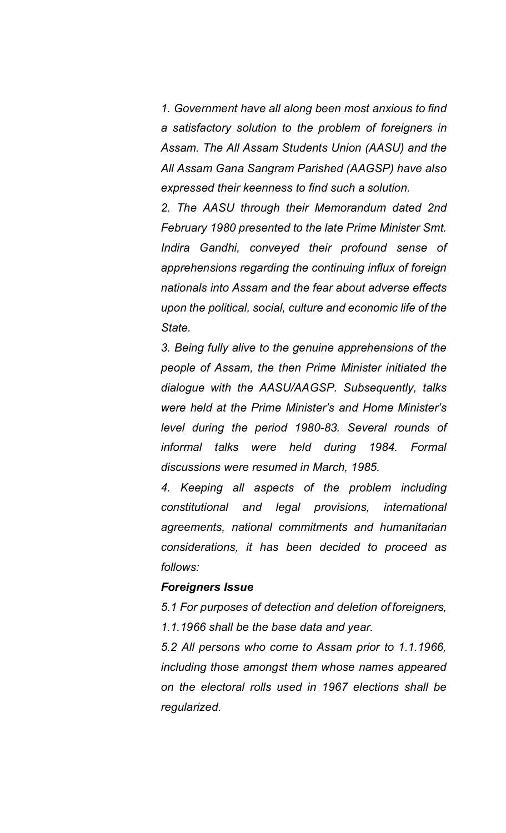*1. Government have all along been most anxious to find a satisfactory solution to the problem of foreigners in Assam. The All Assam Students Union (AASU) and the All Assam Gana Sangram Parished (AAGSP) have also expressed their keenness to find such a solution.*

*2. The AASU through their Memorandum dated 2nd February 1980 presented to the late Prime Minister Smt. Indira Gandhi, conveyed their profound sense of apprehensions regarding the continuing influx of foreign nationals into Assam and the fear about adverse effects upon the political, social, culture and economic life of the State.*

*3. Being fully alive to the genuine apprehensions of the people of Assam, the then Prime Minister initiated the dialogue with the AASU/AAGSP. Subsequently, talks were held at the Prime Minister's and Home Minister's level during the period 1980-83. Several rounds of informal talks were held during 1984. Formal discussions were resumed in March, 1985.*

*4. Keeping all aspects of the problem including constitutional and legal provisions, international agreements, national commitments and humanitarian considerations, it has been decided to proceed as follows:*

#### *Foreigners Issue*

*5.1 For purposes of detection and deletion of foreigners, 1.1.1966 shall be the base data and year.*

*5.2 All persons who come to Assam prior to 1.1.1966, including those amongst them whose names appeared on the electoral rolls used in 1967 elections shall be regularized.*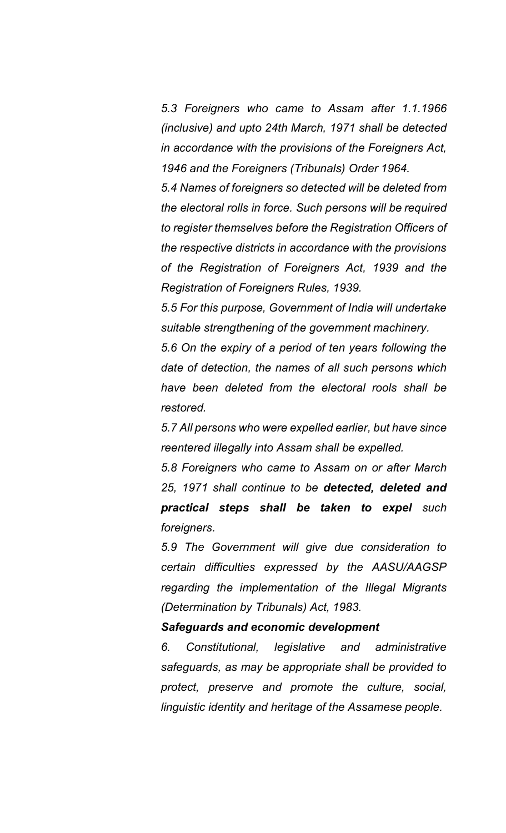*5.3 Foreigners who came to Assam after 1.1.1966 (inclusive) and upto 24th March, 1971 shall be detected in accordance with the provisions of the Foreigners Act, 1946 and the Foreigners (Tribunals) Order 1964.*

*5.4 Names of foreigners so detected will be deleted from the electoral rolls in force. Such persons will be required to register themselves before the Registration Officers of the respective districts in accordance with the provisions of the Registration of Foreigners Act, 1939 and the Registration of Foreigners Rules, 1939.*

*5.5 For this purpose, Government of India will undertake suitable strengthening of the government machinery.*

*5.6 On the expiry of a period of ten years following the date of detection, the names of all such persons which have been deleted from the electoral rools shall be restored.*

*5.7 All persons who were expelled earlier, but have since reentered illegally into Assam shall be expelled.*

*5.8 Foreigners who came to Assam on or after March 25, 1971 shall continue to be detected, deleted and practical steps shall be taken to expel such foreigners.*

*5.9 The Government will give due consideration to certain difficulties expressed by the AASU/AAGSP regarding the implementation of the Illegal Migrants (Determination by Tribunals) Act, 1983.*

### *Safeguards and economic development*

*6. Constitutional, legislative and administrative safeguards, as may be appropriate shall be provided to protect, preserve and promote the culture, social, linguistic identity and heritage of the Assamese people.*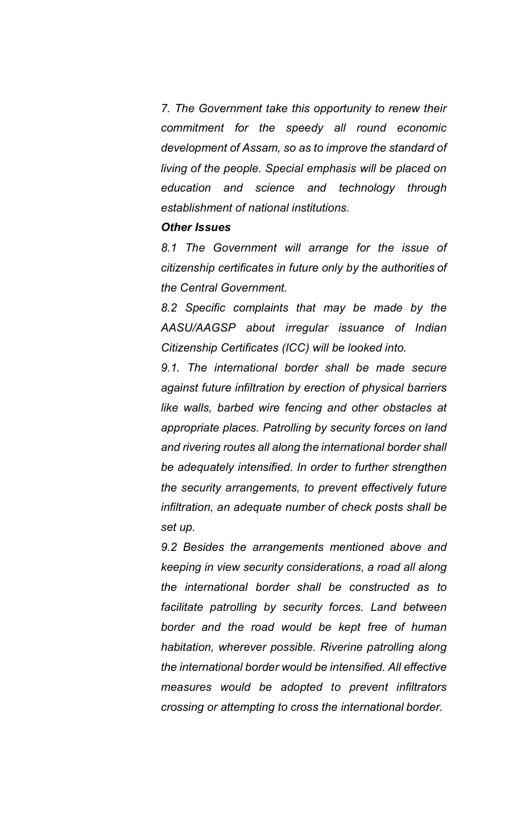*7. The Government take this opportunity to renew their commitment for the speedy all round economic development of Assam, so as to improve the standard of living of the people. Special emphasis will be placed on education and science and technology through establishment of national institutions.*

### *Other Issues*

*8.1 The Government will arrange for the issue of citizenship certificates in future only by the authorities of the Central Government.*

*8.2 Specific complaints that may be made by the AASU/AAGSP about irregular issuance of Indian Citizenship Certificates (ICC) will be looked into.*

*9.1. The international border shall be made secure against future infiltration by erection of physical barriers like walls, barbed wire fencing and other obstacles at appropriate places. Patrolling by security forces on land and rivering routes all along the international border shall be adequately intensified. In order to further strengthen the security arrangements, to prevent effectively future infiltration, an adequate number of check posts shall be set up.*

*9.2 Besides the arrangements mentioned above and keeping in view security considerations, a road all along the international border shall be constructed as to facilitate patrolling by security forces. Land between border and the road would be kept free of human habitation, wherever possible. Riverine patrolling along the international border would be intensified. All effective measures would be adopted to prevent infiltrators crossing or attempting to cross the international border.*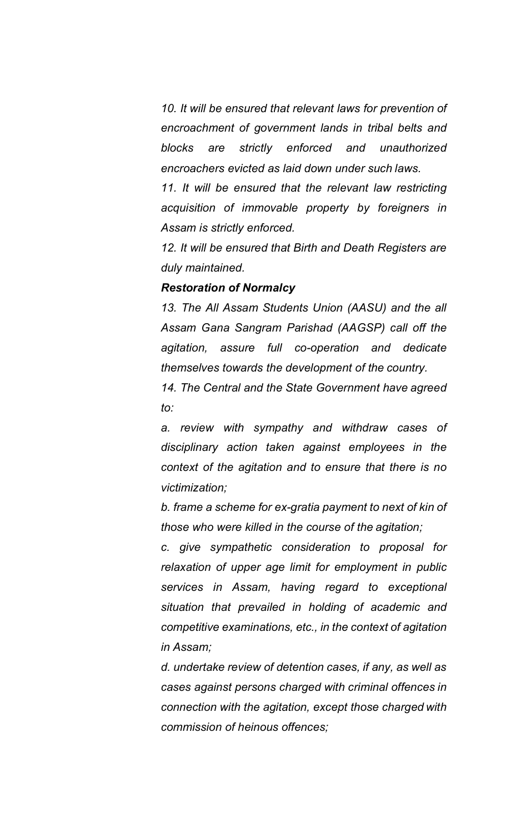*10. It will be ensured that relevant laws for prevention of encroachment of government lands in tribal belts and blocks are strictly enforced and unauthorized encroachers evicted as laid down under such laws.*

*11. It will be ensured that the relevant law restricting acquisition of immovable property by foreigners in Assam is strictly enforced.*

*12. It will be ensured that Birth and Death Registers are duly maintained.*

### *Restoration of Normalcy*

*13. The All Assam Students Union (AASU) and the all Assam Gana Sangram Parishad (AAGSP) call off the agitation, assure full co-operation and dedicate themselves towards the development of the country.*

*14. The Central and the State Government have agreed to:*

*a. review with sympathy and withdraw cases of disciplinary action taken against employees in the context of the agitation and to ensure that there is no victimization;*

*b. frame a scheme for ex-gratia payment to next of kin of those who were killed in the course of the agitation;*

*c. give sympathetic consideration to proposal for relaxation of upper age limit for employment in public services in Assam, having regard to exceptional situation that prevailed in holding of academic and competitive examinations, etc., in the context of agitation in Assam;*

*d. undertake review of detention cases, if any, as well as cases against persons charged with criminal offences in connection with the agitation, except those charged with commission of heinous offences;*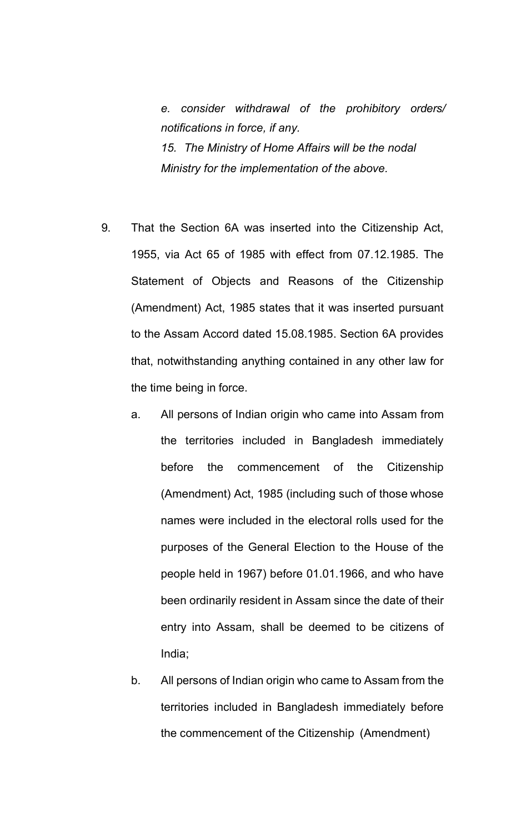*e. consider withdrawal of the prohibitory orders/ notifications in force, if any. 15. The Ministry of Home Affairs will be the nodal Ministry for the implementation of the above.*

- 9. That the Section 6A was inserted into the Citizenship Act, 1955, via Act 65 of 1985 with effect from 07.12.1985. The Statement of Objects and Reasons of the Citizenship (Amendment) Act, 1985 states that it was inserted pursuant to the Assam Accord dated 15.08.1985. Section 6A provides that, notwithstanding anything contained in any other law for the time being in force.
	- a. All persons of Indian origin who came into Assam from the territories included in Bangladesh immediately before the commencement of the Citizenship (Amendment) Act, 1985 (including such of those whose names were included in the electoral rolls used for the purposes of the General Election to the House of the people held in 1967) before 01.01.1966, and who have been ordinarily resident in Assam since the date of their entry into Assam, shall be deemed to be citizens of India;
	- b. All persons of Indian origin who came to Assam from the territories included in Bangladesh immediately before the commencement of the Citizenship (Amendment)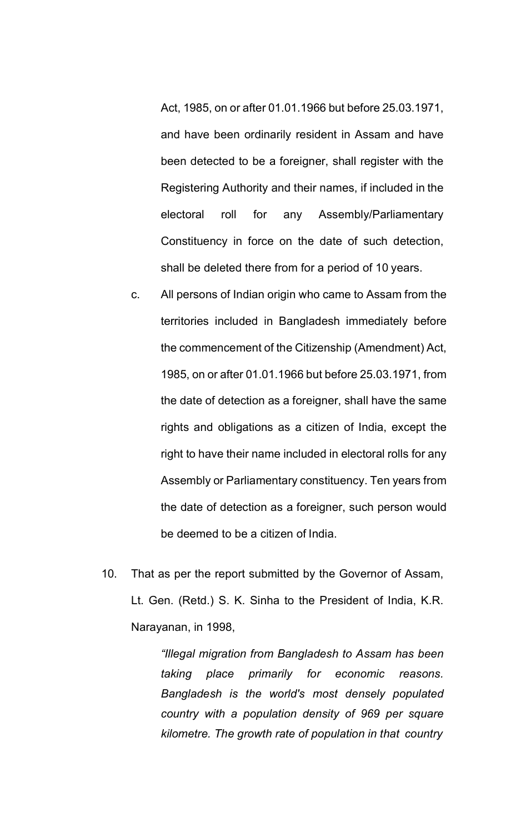Act, 1985, on or after 01.01.1966 but before 25.03.1971, and have been ordinarily resident in Assam and have been detected to be a foreigner, shall register with the Registering Authority and their names, if included in the electoral roll for any Assembly/Parliamentary Constituency in force on the date of such detection, shall be deleted there from for a period of 10 years.

- c. All persons of Indian origin who came to Assam from the territories included in Bangladesh immediately before the commencement of the Citizenship (Amendment) Act, 1985, on or after 01.01.1966 but before 25.03.1971, from the date of detection as a foreigner, shall have the same rights and obligations as a citizen of India, except the right to have their name included in electoral rolls for any Assembly or Parliamentary constituency. Ten years from the date of detection as a foreigner, such person would be deemed to be a citizen of India.
- 10. That as per the report submitted by the Governor of Assam, Lt. Gen. (Retd.) S. K. Sinha to the President of India, K.R. Narayanan, in 1998,

*"Illegal migration from Bangladesh to Assam has been taking place primarily for economic reasons. Bangladesh is the world's most densely populated country with a population density of 969 per square kilometre. The growth rate of population in that country*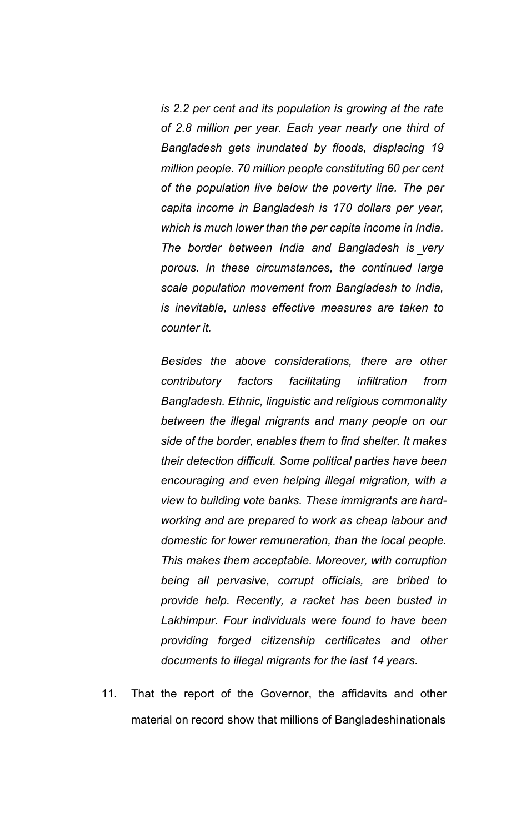*is 2.2 per cent and its population is growing at the rate of 2.8 million per year. Each year nearly one third of Bangladesh gets inundated by floods, displacing 19 million people. 70 million people constituting 60 per cent of the population live below the poverty line. The per capita income in Bangladesh is 170 dollars per year, which is much lower than the per capita income in India. The border between India and Bangladesh is very porous. In these circumstances, the continued large scale population movement from Bangladesh to India, is inevitable, unless effective measures are taken to counter it.*

*Besides the above considerations, there are other contributory factors facilitating infiltration from Bangladesh. Ethnic, linguistic and religious commonality between the illegal migrants and many people on our side of the border, enables them to find shelter. It makes their detection difficult. Some political parties have been encouraging and even helping illegal migration, with a view to building vote banks. These immigrants are hardworking and are prepared to work as cheap labour and domestic for lower remuneration, than the local people. This makes them acceptable. Moreover, with corruption being all pervasive, corrupt officials, are bribed to provide help. Recently, a racket has been busted in Lakhimpur. Four individuals were found to have been providing forged citizenship certificates and other documents to illegal migrants for the last 14 years.*

11. That the report of the Governor, the affidavits and other material on record show that millions of Bangladeshinationals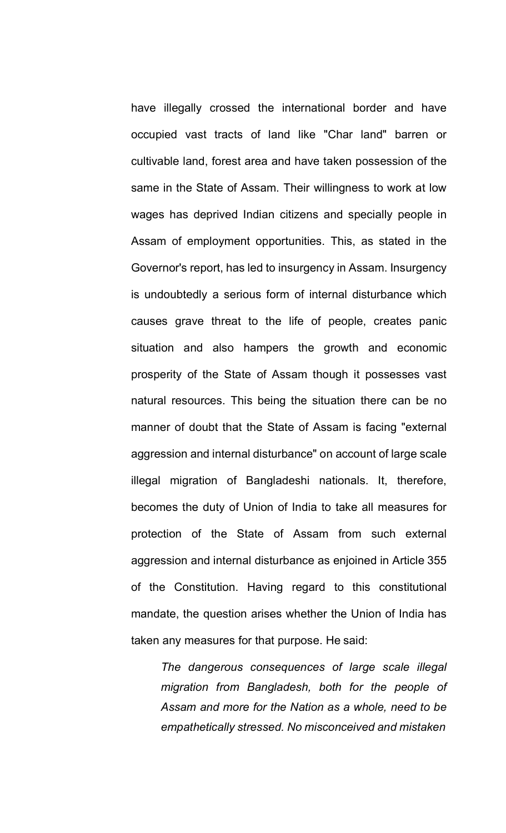have illegally crossed the international border and have occupied vast tracts of land like "Char land" barren or cultivable land, forest area and have taken possession of the same in the State of Assam. Their willingness to work at low wages has deprived Indian citizens and specially people in Assam of employment opportunities. This, as stated in the Governor's report, has led to insurgency in Assam. Insurgency is undoubtedly a serious form of internal disturbance which causes grave threat to the life of people, creates panic situation and also hampers the growth and economic prosperity of the State of Assam though it possesses vast natural resources. This being the situation there can be no manner of doubt that the State of Assam is facing "external aggression and internal disturbance" on account of large scale illegal migration of Bangladeshi nationals. It, therefore, becomes the duty of Union of India to take all measures for protection of the State of Assam from such external aggression and internal disturbance as enjoined in Article 355 of the Constitution. Having regard to this constitutional mandate, the question arises whether the Union of India has taken any measures for that purpose. He said:

*The dangerous consequences of large scale illegal migration from Bangladesh, both for the people of Assam and more for the Nation as a whole, need to be empathetically stressed. No misconceived and mistaken*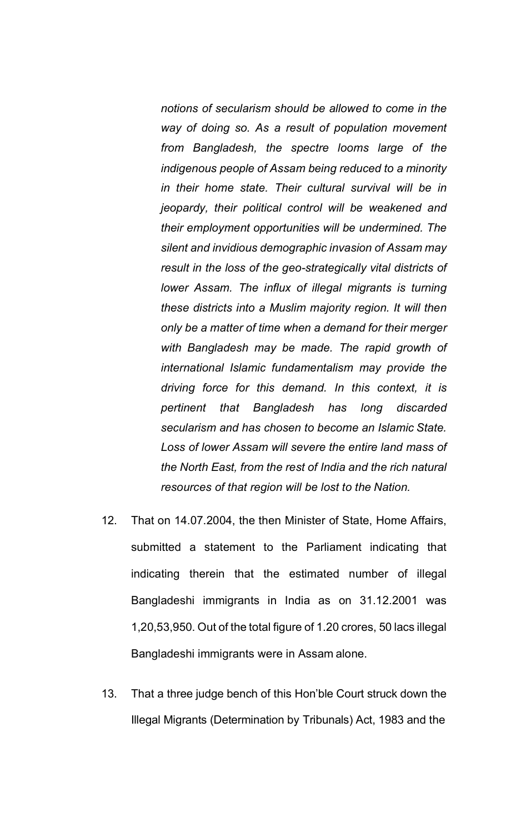*notions of secularism should be allowed to come in the way of doing so. As a result of population movement from Bangladesh, the spectre looms large of the indigenous people of Assam being reduced to a minority in their home state. Their cultural survival will be in jeopardy, their political control will be weakened and their employment opportunities will be undermined. The silent and invidious demographic invasion of Assam may result in the loss of the geo-strategically vital districts of lower Assam. The influx of illegal migrants is turning these districts into a Muslim majority region. It will then only be a matter of time when a demand for their merger with Bangladesh may be made. The rapid growth of international Islamic fundamentalism may provide the driving force for this demand. In this context, it is pertinent that Bangladesh has long discarded secularism and has chosen to become an Islamic State. Loss of lower Assam will severe the entire land mass of the North East, from the rest of India and the rich natural resources of that region will be lost to the Nation.*

- 12. That on 14.07.2004, the then Minister of State, Home Affairs, submitted a statement to the Parliament indicating that indicating therein that the estimated number of illegal Bangladeshi immigrants in India as on 31.12.2001 was 1,20,53,950. Out of the total figure of 1.20 crores, 50 lacs illegal Bangladeshi immigrants were in Assam alone.
- 13. That a three judge bench of this Hon'ble Court struck down the Illegal Migrants (Determination by Tribunals) Act, 1983 and the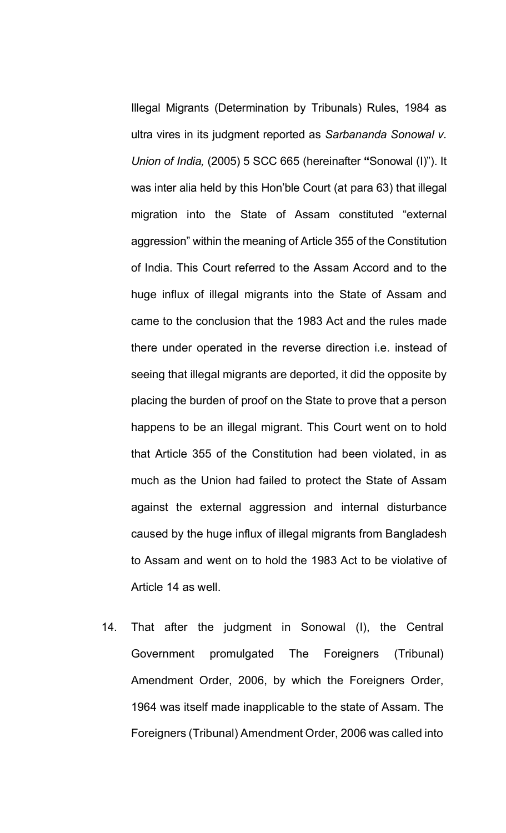Illegal Migrants (Determination by Tribunals) Rules, 1984 as ultra vires in its judgment reported as *Sarbananda Sonowal v. Union of India,* (2005) 5 SCC 665 (hereinafter **"**Sonowal (I)"). It was inter alia held by this Hon'ble Court (at para 63) that illegal migration into the State of Assam constituted "external aggression" within the meaning of Article 355 of the Constitution of India. This Court referred to the Assam Accord and to the huge influx of illegal migrants into the State of Assam and came to the conclusion that the 1983 Act and the rules made there under operated in the reverse direction i.e. instead of seeing that illegal migrants are deported, it did the opposite by placing the burden of proof on the State to prove that a person happens to be an illegal migrant. This Court went on to hold that Article 355 of the Constitution had been violated, in as much as the Union had failed to protect the State of Assam against the external aggression and internal disturbance caused by the huge influx of illegal migrants from Bangladesh to Assam and went on to hold the 1983 Act to be violative of Article 14 as well.

14. That after the judgment in Sonowal (I), the Central Government promulgated The Foreigners (Tribunal) Amendment Order, 2006, by which the Foreigners Order, 1964 was itself made inapplicable to the state of Assam. The Foreigners (Tribunal) Amendment Order, 2006 was called into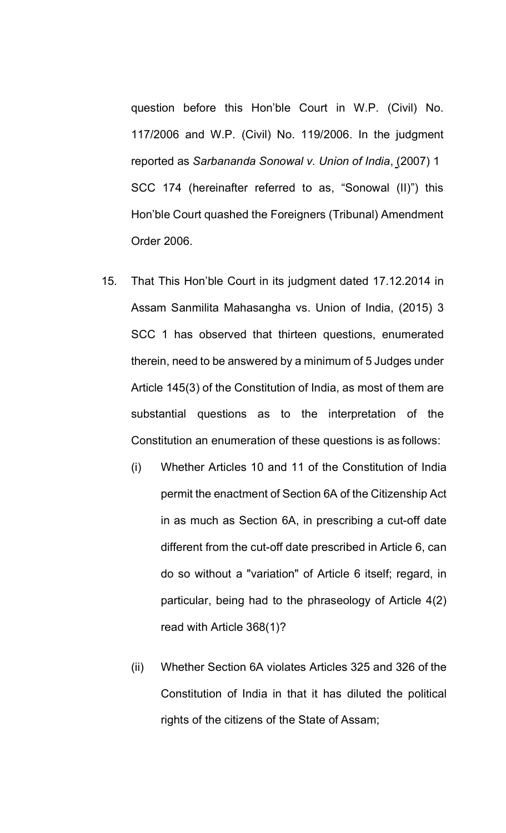question before this Hon'ble Court in W.P. (Civil) No. 117/2006 and W.P. (Civil) No. 119/2006. In the judgment reported as *Sarbananda Sonowal v. Union of India*, (2007) 1 SCC 174 (hereinafter referred to as, "Sonowal (II)") this Hon'ble Court quashed the Foreigners (Tribunal) Amendment Order 2006.

- 15. That This Hon'ble Court in its judgment dated 17.12.2014 in Assam Sanmilita Mahasangha vs. Union of India, (2015) 3 SCC 1 has observed that thirteen questions, enumerated therein, need to be answered by a minimum of 5 Judges under Article 145(3) of the Constitution of India, as most of them are substantial questions as to the interpretation of the Constitution an enumeration of these questions is as follows:
	- (i) Whether Articles 10 and 11 of the Constitution of India permit the enactment of Section 6A of the Citizenship Act in as much as Section 6A, in prescribing a cut-off date different from the cut-off date prescribed in Article 6, can do so without a "variation" of Article 6 itself; regard, in particular, being had to the phraseology of Article 4(2) read with Article 368(1)?
	- (ii) Whether Section 6A violates Articles 325 and 326 of the Constitution of India in that it has diluted the political rights of the citizens of the State of Assam;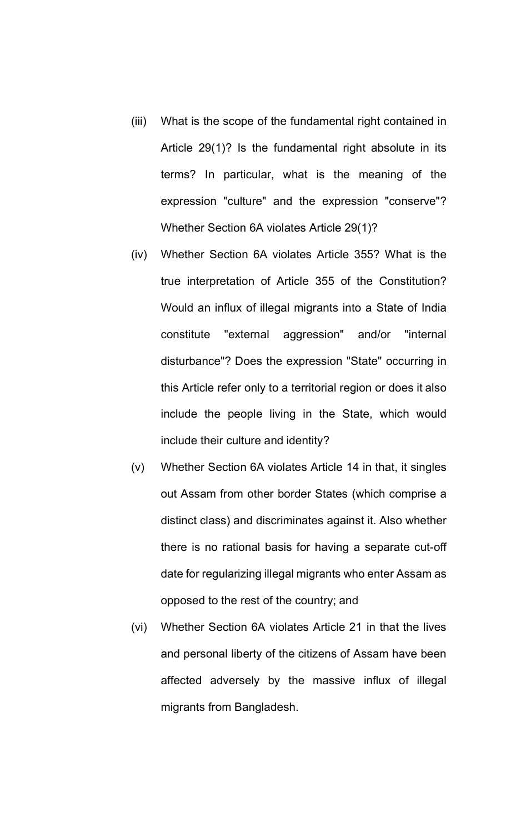- (iii) What is the scope of the fundamental right contained in Article 29(1)? Is the fundamental right absolute in its terms? In particular, what is the meaning of the expression "culture" and the expression "conserve"? Whether Section 6A violates Article 29(1)?
- (iv) Whether Section 6A violates Article 355? What is the true interpretation of Article 355 of the Constitution? Would an influx of illegal migrants into a State of India constitute "external aggression" and/or "internal disturbance"? Does the expression "State" occurring in this Article refer only to a territorial region or does it also include the people living in the State, which would include their culture and identity?
- (v) Whether Section 6A violates Article 14 in that, it singles out Assam from other border States (which comprise a distinct class) and discriminates against it. Also whether there is no rational basis for having a separate cut-off date for regularizing illegal migrants who enter Assam as opposed to the rest of the country; and
- (vi) Whether Section 6A violates Article 21 in that the lives and personal liberty of the citizens of Assam have been affected adversely by the massive influx of illegal migrants from Bangladesh.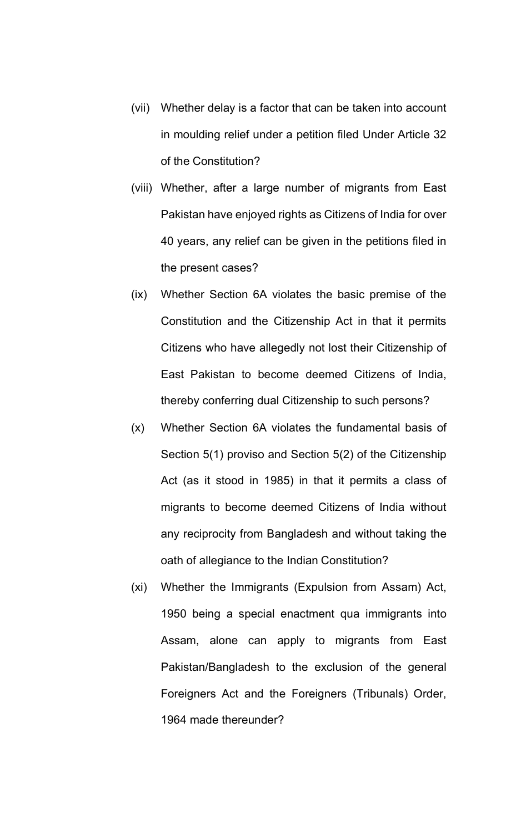- (vii) Whether delay is a factor that can be taken into account in moulding relief under a petition filed Under Article 32 of the Constitution?
- (viii) Whether, after a large number of migrants from East Pakistan have enjoyed rights as Citizens of India for over 40 years, any relief can be given in the petitions filed in the present cases?
- (ix) Whether Section 6A violates the basic premise of the Constitution and the Citizenship Act in that it permits Citizens who have allegedly not lost their Citizenship of East Pakistan to become deemed Citizens of India, thereby conferring dual Citizenship to such persons?
- (x) Whether Section 6A violates the fundamental basis of Section 5(1) proviso and Section 5(2) of the Citizenship Act (as it stood in 1985) in that it permits a class of migrants to become deemed Citizens of India without any reciprocity from Bangladesh and without taking the oath of allegiance to the Indian Constitution?
- (xi) Whether the Immigrants (Expulsion from Assam) Act, 1950 being a special enactment qua immigrants into Assam, alone can apply to migrants from East Pakistan/Bangladesh to the exclusion of the general Foreigners Act and the Foreigners (Tribunals) Order, 1964 made thereunder?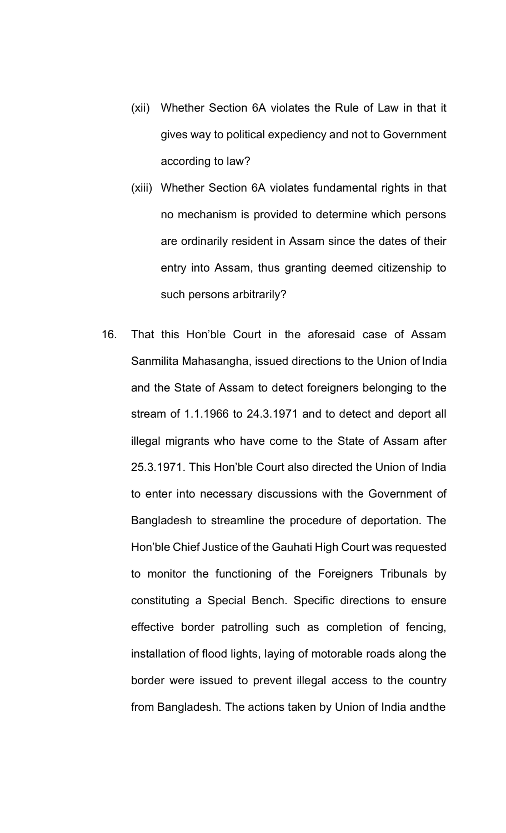- (xii) Whether Section 6A violates the Rule of Law in that it gives way to political expediency and not to Government according to law?
- (xiii) Whether Section 6A violates fundamental rights in that no mechanism is provided to determine which persons are ordinarily resident in Assam since the dates of their entry into Assam, thus granting deemed citizenship to such persons arbitrarily?
- 16. That this Hon'ble Court in the aforesaid case of Assam Sanmilita Mahasangha, issued directions to the Union of India and the State of Assam to detect foreigners belonging to the stream of 1.1.1966 to 24.3.1971 and to detect and deport all illegal migrants who have come to the State of Assam after 25.3.1971. This Hon'ble Court also directed the Union of India to enter into necessary discussions with the Government of Bangladesh to streamline the procedure of deportation. The Hon'ble Chief Justice of the Gauhati High Court was requested to monitor the functioning of the Foreigners Tribunals by constituting a Special Bench. Specific directions to ensure effective border patrolling such as completion of fencing, installation of flood lights, laying of motorable roads along the border were issued to prevent illegal access to the country from Bangladesh. The actions taken by Union of India andthe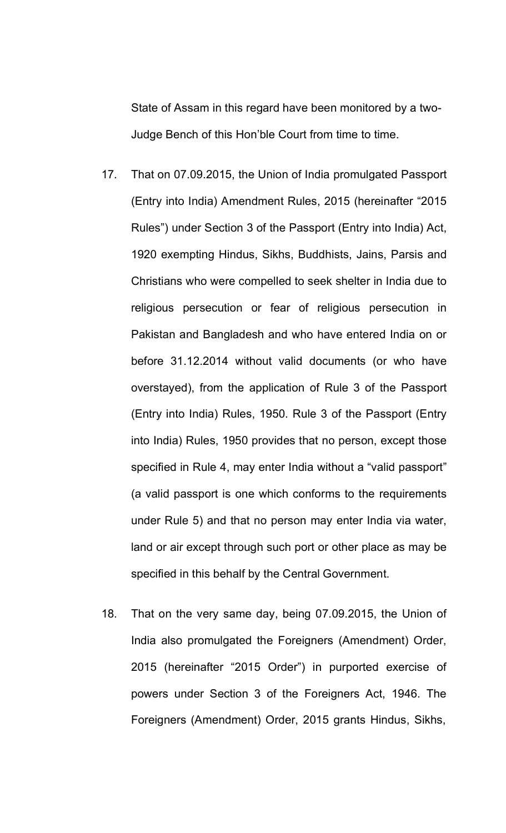State of Assam in this regard have been monitored by a two-Judge Bench of this Hon'ble Court from time to time.

- 17. That on 07.09.2015, the Union of India promulgated Passport (Entry into India) Amendment Rules, 2015 (hereinafter "2015 Rules") under Section 3 of the Passport (Entry into India) Act, 1920 exempting Hindus, Sikhs, Buddhists, Jains, Parsis and Christians who were compelled to seek shelter in India due to religious persecution or fear of religious persecution in Pakistan and Bangladesh and who have entered India on or before 31.12.2014 without valid documents (or who have overstayed), from the application of Rule 3 of the Passport (Entry into India) Rules, 1950. Rule 3 of the Passport (Entry into India) Rules, 1950 provides that no person, except those specified in Rule 4, may enter India without a "valid passport" (a valid passport is one which conforms to the requirements under Rule 5) and that no person may enter India via water, land or air except through such port or other place as may be specified in this behalf by the Central Government.
- 18. That on the very same day, being 07.09.2015, the Union of India also promulgated the Foreigners (Amendment) Order, 2015 (hereinafter "2015 Order") in purported exercise of powers under Section 3 of the Foreigners Act, 1946. The Foreigners (Amendment) Order, 2015 grants Hindus, Sikhs,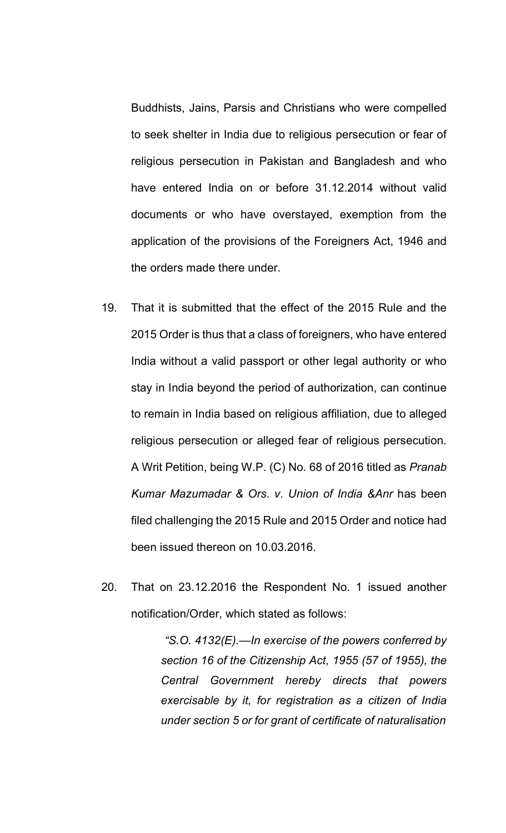Buddhists, Jains, Parsis and Christians who were compelled to seek shelter in India due to religious persecution or fear of religious persecution in Pakistan and Bangladesh and who have entered India on or before 31.12.2014 without valid documents or who have overstayed, exemption from the application of the provisions of the Foreigners Act, 1946 and the orders made there under.

- 19. That it is submitted that the effect of the 2015 Rule and the 2015 Order is thus that a class of foreigners, who have entered India without a valid passport or other legal authority or who stay in India beyond the period of authorization, can continue to remain in India based on religious affiliation, due to alleged religious persecution or alleged fear of religious persecution. A Writ Petition, being W.P. (C) No. 68 of 2016 titled as *Pranab Kumar Mazumadar & Ors. v. Union of India &Anr* has been filed challenging the 2015 Rule and 2015 Order and notice had been issued thereon on 10.03.2016.
- 20. That on 23.12.2016 the Respondent No. 1 issued another notification/Order, which stated as follows:

*"S.O. 4132(E).—In exercise of the powers conferred by section 16 of the Citizenship Act, 1955 (57 of 1955), the Central Government hereby directs that powers exercisable by it, for registration as a citizen of India under section 5 or for grant of certificate of naturalisation*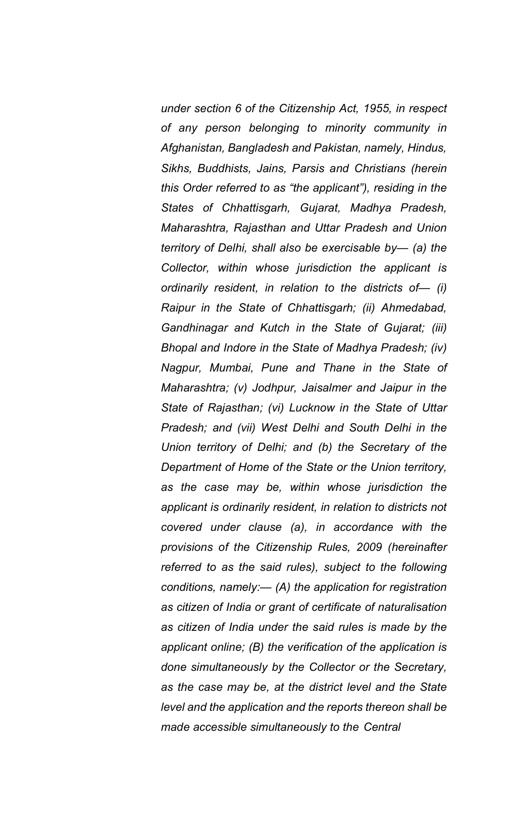*under section 6 of the Citizenship Act, 1955, in respect of any person belonging to minority community in Afghanistan, Bangladesh and Pakistan, namely, Hindus, Sikhs, Buddhists, Jains, Parsis and Christians (herein this Order referred to as "the applicant"), residing in the States of Chhattisgarh, Gujarat, Madhya Pradesh, Maharashtra, Rajasthan and Uttar Pradesh and Union territory of Delhi, shall also be exercisable by— (a) the Collector, within whose jurisdiction the applicant is ordinarily resident, in relation to the districts of— (i) Raipur in the State of Chhattisgarh; (ii) Ahmedabad, Gandhinagar and Kutch in the State of Gujarat; (iii) Bhopal and Indore in the State of Madhya Pradesh; (iv) Nagpur, Mumbai, Pune and Thane in the State of Maharashtra; (v) Jodhpur, Jaisalmer and Jaipur in the State of Rajasthan; (vi) Lucknow in the State of Uttar Pradesh; and (vii) West Delhi and South Delhi in the Union territory of Delhi; and (b) the Secretary of the Department of Home of the State or the Union territory, as the case may be, within whose jurisdiction the applicant is ordinarily resident, in relation to districts not covered under clause (a), in accordance with the provisions of the Citizenship Rules, 2009 (hereinafter referred to as the said rules), subject to the following conditions, namely:— (A) the application for registration as citizen of India or grant of certificate of naturalisation as citizen of India under the said rules is made by the applicant online; (B) the verification of the application is done simultaneously by the Collector or the Secretary, as the case may be, at the district level and the State level and the application and the reports thereon shall be made accessible simultaneously to the Central*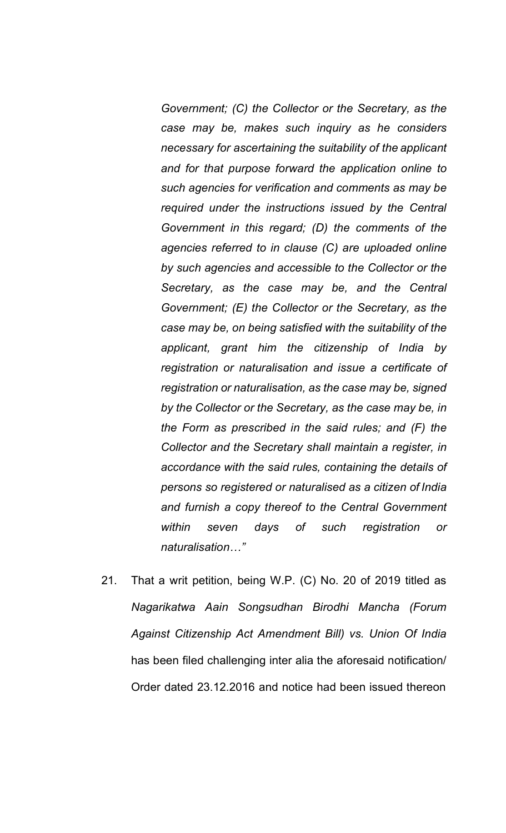*Government; (C) the Collector or the Secretary, as the case may be, makes such inquiry as he considers necessary for ascertaining the suitability of the applicant and for that purpose forward the application online to such agencies for verification and comments as may be required under the instructions issued by the Central Government in this regard; (D) the comments of the agencies referred to in clause (C) are uploaded online by such agencies and accessible to the Collector or the Secretary, as the case may be, and the Central Government; (E) the Collector or the Secretary, as the case may be, on being satisfied with the suitability of the applicant, grant him the citizenship of India by registration or naturalisation and issue a certificate of registration or naturalisation, as the case may be, signed by the Collector or the Secretary, as the case may be, in the Form as prescribed in the said rules; and (F) the Collector and the Secretary shall maintain a register, in accordance with the said rules, containing the details of persons so registered or naturalised as a citizen of India and furnish a copy thereof to the Central Government within seven days of such registration or naturalisation…"*

21. That a writ petition, being W.P. (C) No. 20 of 2019 titled as *Nagarikatwa Aain Songsudhan Birodhi Mancha (Forum Against Citizenship Act Amendment Bill) vs. Union Of India*  has been filed challenging inter alia the aforesaid notification/ Order dated 23.12.2016 and notice had been issued thereon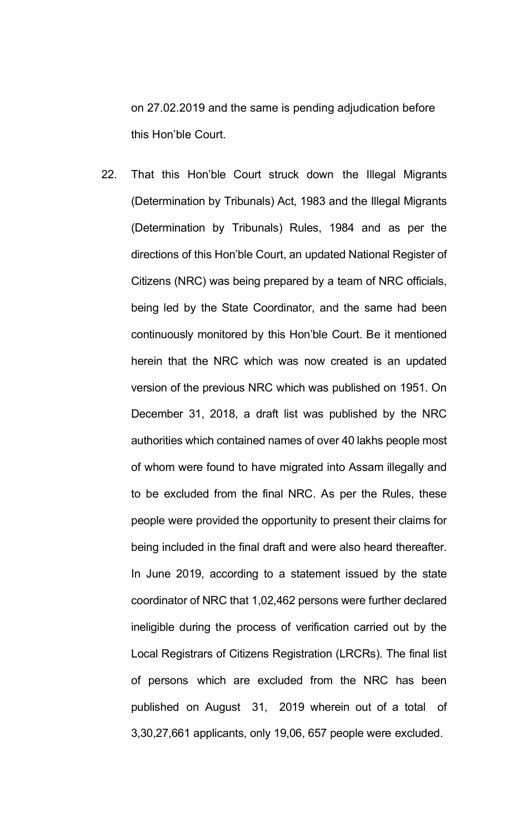on 27.02.2019 and the same is pending adjudication before this Hon'ble Court.

22. That this Hon'ble Court struck down the Illegal Migrants (Determination by Tribunals) Act, 1983 and the Illegal Migrants (Determination by Tribunals) Rules, 1984 and as per the directions of this Hon'ble Court, an updated National Register of Citizens (NRC) was being prepared by a team of NRC officials, being led by the State Coordinator, and the same had been continuously monitored by this Hon'ble Court. Be it mentioned herein that the NRC which was now created is an updated version of the previous NRC which was published on 1951. On December 31, 2018, a draft list was published by the NRC authorities which contained names of over 40 lakhs people most of whom were found to have migrated into Assam illegally and to be excluded from the final NRC. As per the Rules, these people were provided the opportunity to present their claims for being included in the final draft and were also heard thereafter. In June 2019, according to a statement issued by the state coordinator of NRC that 1,02,462 persons were further declared ineligible during the process of verification carried out by the Local Registrars of Citizens Registration (LRCRs). The final list of persons which are excluded from the NRC has been published on August 31, 2019 wherein out of a total of 3,30,27,661 applicants, only 19,06, 657 people were excluded.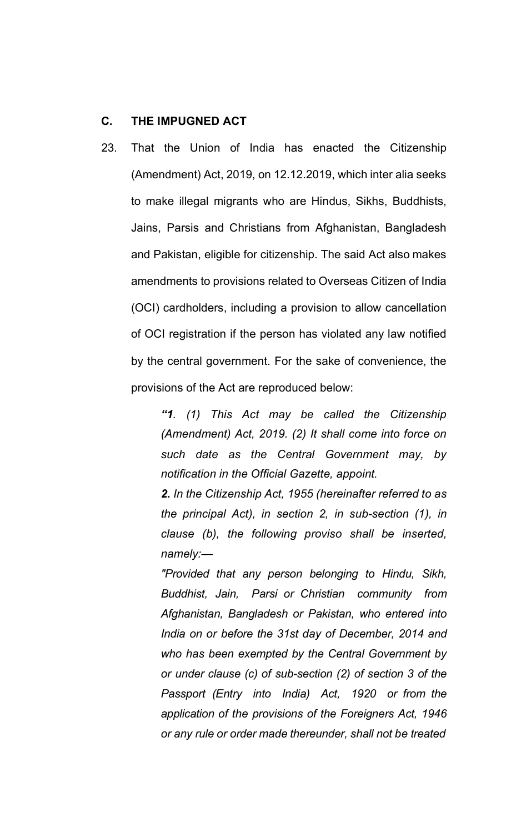## **C. THE IMPUGNED ACT**

23. That the Union of India has enacted the Citizenship (Amendment) Act, 2019, on 12.12.2019, which inter alia seeks to make illegal migrants who are Hindus, Sikhs, Buddhists, Jains, Parsis and Christians from Afghanistan, Bangladesh and Pakistan, eligible for citizenship. The said Act also makes amendments to provisions related to Overseas Citizen of India (OCI) cardholders, including a provision to allow cancellation of OCI registration if the person has violated any law notified by the central government. For the sake of convenience, the provisions of the Act are reproduced below:

> *"1. (1) This Act may be called the Citizenship (Amendment) Act, 2019. (2) It shall come into force on such date as the Central Government may, by notification in the Official Gazette, appoint.*

> *2. In the Citizenship Act, 1955 (hereinafter referred to as the principal Act), in section 2, in sub-section (1), in clause (b), the following proviso shall be inserted, namely:—*

> *"Provided that any person belonging to Hindu, Sikh, Buddhist, Jain, Parsi or Christian community from Afghanistan, Bangladesh or Pakistan, who entered into India on or before the 31st day of December, 2014 and who has been exempted by the Central Government by or under clause (c) of sub-section (2) of section 3 of the Passport (Entry into India) Act, 1920 or from the application of the provisions of the Foreigners Act, 1946 or any rule or order made thereunder, shall not be treated*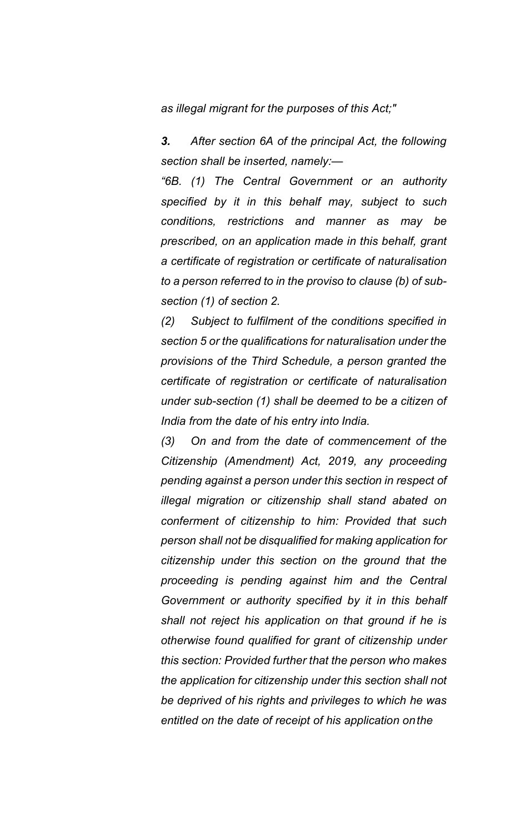*as illegal migrant for the purposes of this Act;"*

*3. After section 6A of the principal Act, the following section shall be inserted, namely:—*

*"6B. (1) The Central Government or an authority specified by it in this behalf may, subject to such conditions, restrictions and manner as may be prescribed, on an application made in this behalf, grant a certificate of registration or certificate of naturalisation to a person referred to in the proviso to clause (b) of subsection (1) of section 2.*

*(2) Subject to fulfilment of the conditions specified in section 5 or the qualifications for naturalisation under the provisions of the Third Schedule, a person granted the certificate of registration or certificate of naturalisation under sub-section (1) shall be deemed to be a citizen of India from the date of his entry into India.*

*(3) On and from the date of commencement of the Citizenship (Amendment) Act, 2019, any proceeding pending against a person under this section in respect of illegal migration or citizenship shall stand abated on conferment of citizenship to him: Provided that such person shall not be disqualified for making application for citizenship under this section on the ground that the proceeding is pending against him and the Central Government or authority specified by it in this behalf shall not reject his application on that ground if he is otherwise found qualified for grant of citizenship under this section: Provided further that the person who makes the application for citizenship under this section shall not be deprived of his rights and privileges to which he was entitled on the date of receipt of his application onthe*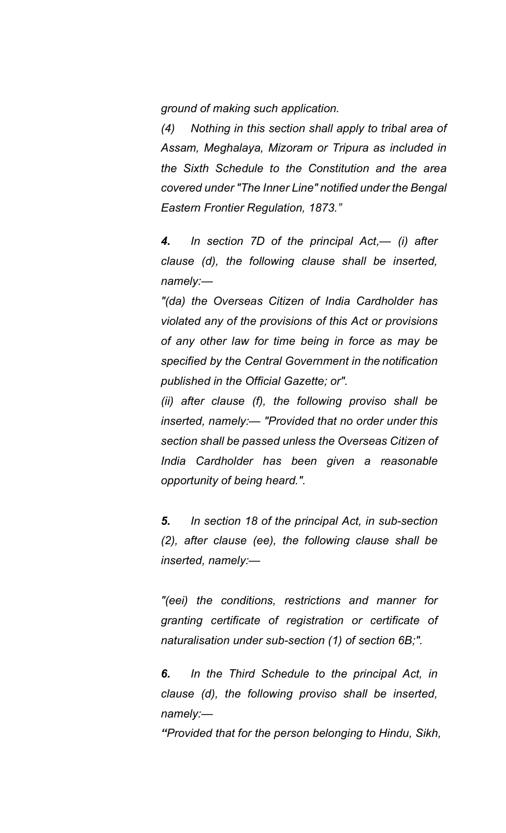*ground of making such application.*

*(4) Nothing in this section shall apply to tribal area of Assam, Meghalaya, Mizoram or Tripura as included in the Sixth Schedule to the Constitution and the area covered under "The Inner Line" notified under the Bengal Eastern Frontier Regulation, 1873."*

*4. In section 7D of the principal Act,— (i) after clause (d), the following clause shall be inserted, namely:—*

*"(da) the Overseas Citizen of India Cardholder has violated any of the provisions of this Act or provisions of any other law for time being in force as may be specified by the Central Government in the notification published in the Official Gazette; or".*

*(ii) after clause (f), the following proviso shall be inserted, namely:— "Provided that no order under this section shall be passed unless the Overseas Citizen of India Cardholder has been given a reasonable opportunity of being heard.".*

*5. In section 18 of the principal Act, in sub-section (2), after clause (ee), the following clause shall be inserted, namely:—*

*"(eei) the conditions, restrictions and manner for granting certificate of registration or certificate of naturalisation under sub-section (1) of section 6B;".*

*6. In the Third Schedule to the principal Act, in clause (d), the following proviso shall be inserted, namely:—*

*"Provided that for the person belonging to Hindu, Sikh,*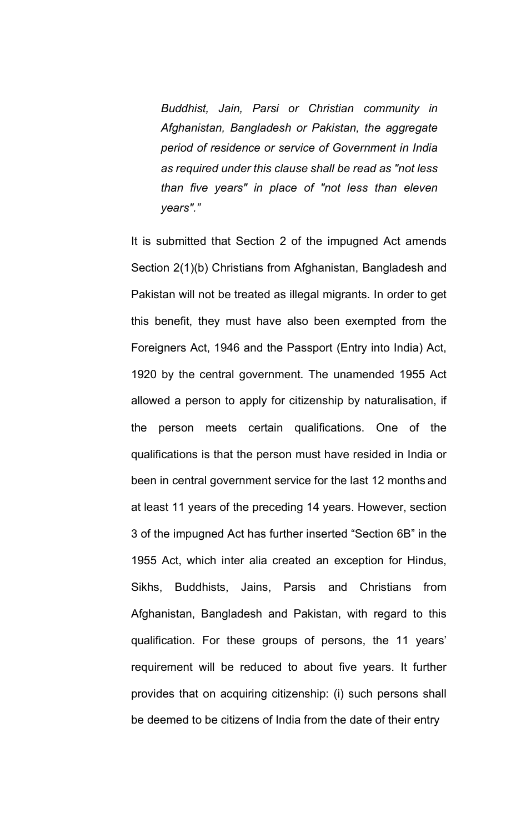*Buddhist, Jain, Parsi or Christian community in Afghanistan, Bangladesh or Pakistan, the aggregate period of residence or service of Government in India as required under this clause shall be read as "not less than five years" in place of "not less than eleven years"."*

It is submitted that Section 2 of the impugned Act amends Section 2(1)(b) Christians from Afghanistan, Bangladesh and Pakistan will not be treated as illegal migrants. In order to get this benefit, they must have also been exempted from the Foreigners Act, 1946 and the Passport (Entry into India) Act, 1920 by the central government. The unamended 1955 Act allowed a person to apply for citizenship by naturalisation, if the person meets certain qualifications. One of the qualifications is that the person must have resided in India or been in central government service for the last 12 months and at least 11 years of the preceding 14 years. However, section 3 of the impugned Act has further inserted "Section 6B" in the 1955 Act, which inter alia created an exception for Hindus, Sikhs, Buddhists, Jains, Parsis and Christians from Afghanistan, Bangladesh and Pakistan, with regard to this qualification. For these groups of persons, the 11 years' requirement will be reduced to about five years. It further provides that on acquiring citizenship: (i) such persons shall be deemed to be citizens of India from the date of their entry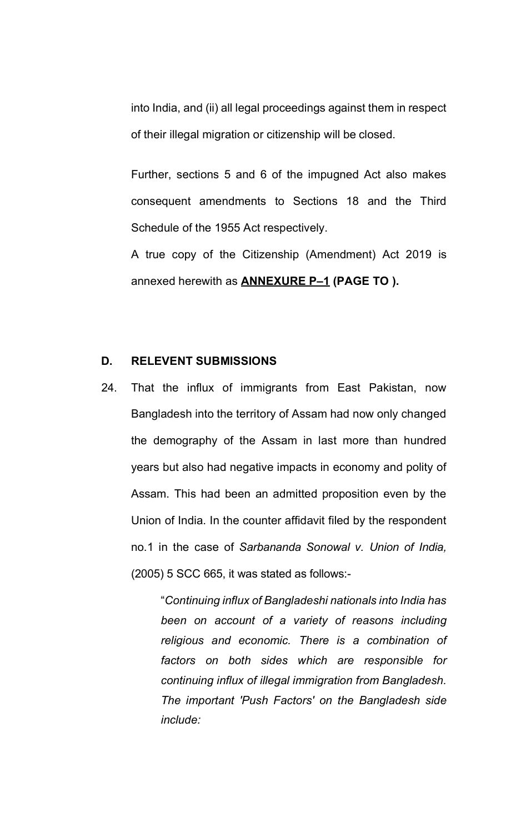into India, and (ii) all legal proceedings against them in respect of their illegal migration or citizenship will be closed.

Further, sections 5 and 6 of the impugned Act also makes consequent amendments to Sections 18 and the Third Schedule of the 1955 Act respectively.

A true copy of the Citizenship (Amendment) Act 2019 is annexed herewith as **ANNEXURE P–1 (PAGE TO ).**

# **D. RELEVENT SUBMISSIONS**

24. That the influx of immigrants from East Pakistan, now Bangladesh into the territory of Assam had now only changed the demography of the Assam in last more than hundred years but also had negative impacts in economy and polity of Assam. This had been an admitted proposition even by the Union of India. In the counter affidavit filed by the respondent no.1 in the case of *Sarbananda Sonowal v. Union of India,*  (2005) 5 SCC 665, it was stated as follows:-

> "*Continuing influx of Bangladeshi nationals into India has been on account of a variety of reasons including religious and economic. There is a combination of factors on both sides which are responsible for continuing influx of illegal immigration from Bangladesh. The important 'Push Factors' on the Bangladesh side include:*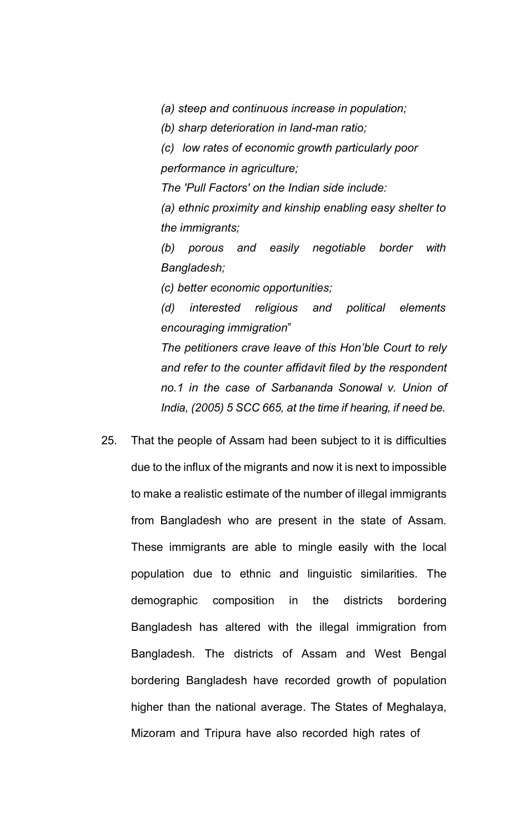*(a) steep and continuous increase in population;*

*(b) sharp deterioration in land-man ratio;*

*(c) low rates of economic growth particularly poor performance in agriculture;*

*The 'Pull Factors' on the Indian side include:*

*(a) ethnic proximity and kinship enabling easy shelter to the immigrants;*

*(b) porous and easily negotiable border with Bangladesh;*

*(c) better economic opportunities;*

*(d) interested religious and political elements encouraging immigration*"

*The petitioners crave leave of this Hon'ble Court to rely and refer to the counter affidavit filed by the respondent no.1 in the case of Sarbananda Sonowal v. Union of India, (2005) 5 SCC 665, at the time if hearing, if need be.*

25. That the people of Assam had been subject to it is difficulties due to the influx of the migrants and now it is next to impossible to make a realistic estimate of the number of illegal immigrants from Bangladesh who are present in the state of Assam. These immigrants are able to mingle easily with the local population due to ethnic and linguistic similarities. The demographic composition in the districts bordering Bangladesh has altered with the illegal immigration from Bangladesh. The districts of Assam and West Bengal bordering Bangladesh have recorded growth of population higher than the national average. The States of Meghalaya, Mizoram and Tripura have also recorded high rates of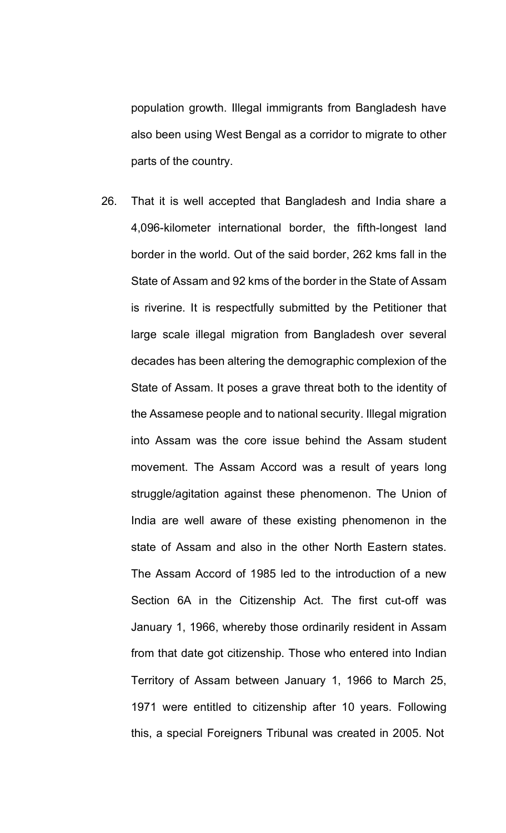population growth. Illegal immigrants from Bangladesh have also been using West Bengal as a corridor to migrate to other parts of the country.

26. That it is well accepted that Bangladesh and India share a 4,096-kilometer international border, the fifth-longest land border in the world. Out of the said border, 262 kms fall in the State of Assam and 92 kms of the border in the State of Assam is riverine. It is respectfully submitted by the Petitioner that large scale illegal migration from Bangladesh over several decades has been altering the demographic complexion of the State of Assam. It poses a grave threat both to the identity of the Assamese people and to national security. Illegal migration into Assam was the core issue behind the Assam student movement. The Assam Accord was a result of years long struggle/agitation against these phenomenon. The Union of India are well aware of these existing phenomenon in the state of Assam and also in the other North Eastern states. The Assam Accord of 1985 led to the introduction of a new Section 6A in the Citizenship Act. The first cut-off was January 1, 1966, whereby those ordinarily resident in Assam from that date got citizenship. Those who entered into Indian Territory of Assam between January 1, 1966 to March 25, 1971 were entitled to citizenship after 10 years. Following this, a special Foreigners Tribunal was created in 2005. Not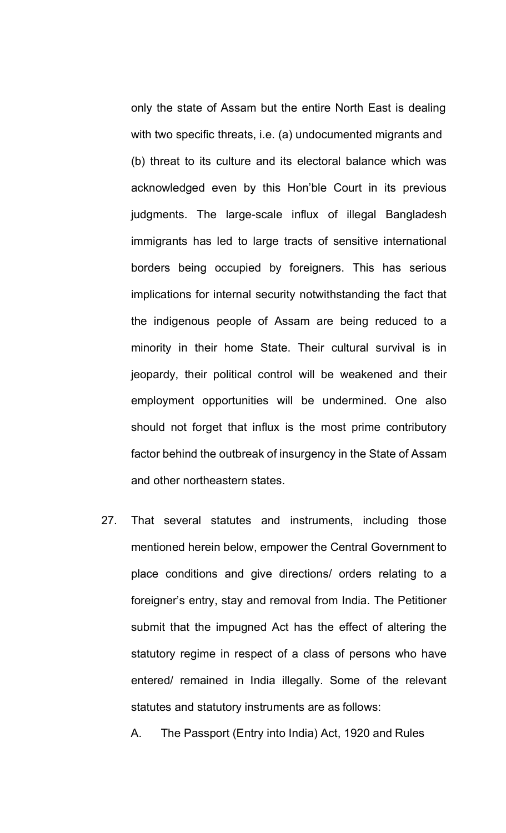only the state of Assam but the entire North East is dealing with two specific threats, i.e. (a) undocumented migrants and (b) threat to its culture and its electoral balance which was acknowledged even by this Hon'ble Court in its previous judgments. The large-scale influx of illegal Bangladesh immigrants has led to large tracts of sensitive international borders being occupied by foreigners. This has serious implications for internal security notwithstanding the fact that the indigenous people of Assam are being reduced to a minority in their home State. Their cultural survival is in jeopardy, their political control will be weakened and their employment opportunities will be undermined. One also should not forget that influx is the most prime contributory factor behind the outbreak of insurgency in the State of Assam and other northeastern states.

27. That several statutes and instruments, including those mentioned herein below, empower the Central Government to place conditions and give directions/ orders relating to a foreigner's entry, stay and removal from India. The Petitioner submit that the impugned Act has the effect of altering the statutory regime in respect of a class of persons who have entered/ remained in India illegally. Some of the relevant statutes and statutory instruments are as follows:

A. The Passport (Entry into India) Act, 1920 and Rules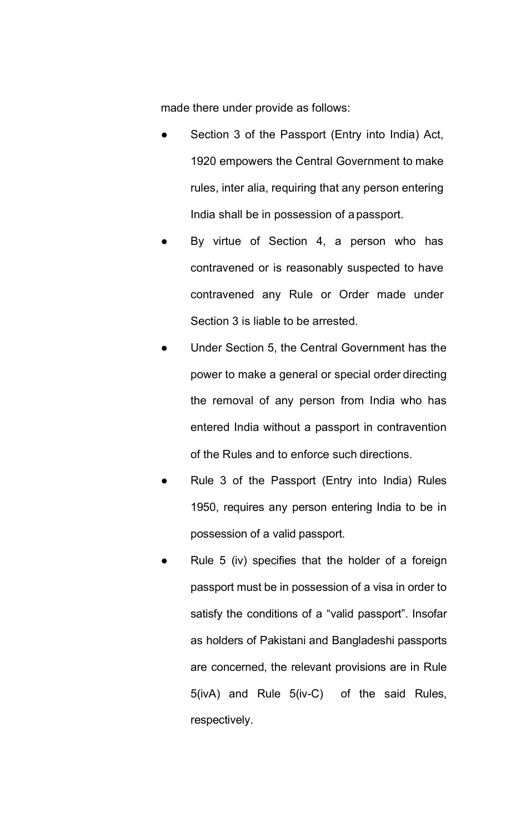made there under provide as follows:

- Section 3 of the Passport (Entry into India) Act, 1920 empowers the Central Government to make rules, inter alia, requiring that any person entering India shall be in possession of a passport.
- By virtue of Section 4, a person who has contravened or is reasonably suspected to have contravened any Rule or Order made under Section 3 is liable to be arrested.
- Under Section 5, the Central Government has the power to make a general or special order directing the removal of any person from India who has entered India without a passport in contravention of the Rules and to enforce such directions.
- Rule 3 of the Passport (Entry into India) Rules 1950, requires any person entering India to be in possession of a valid passport.
- Rule 5 (iv) specifies that the holder of a foreign passport must be in possession of a visa in order to satisfy the conditions of a "valid passport". Insofar as holders of Pakistani and Bangladeshi passports are concerned, the relevant provisions are in Rule 5(ivA) and Rule 5(iv-C) of the said Rules, respectively.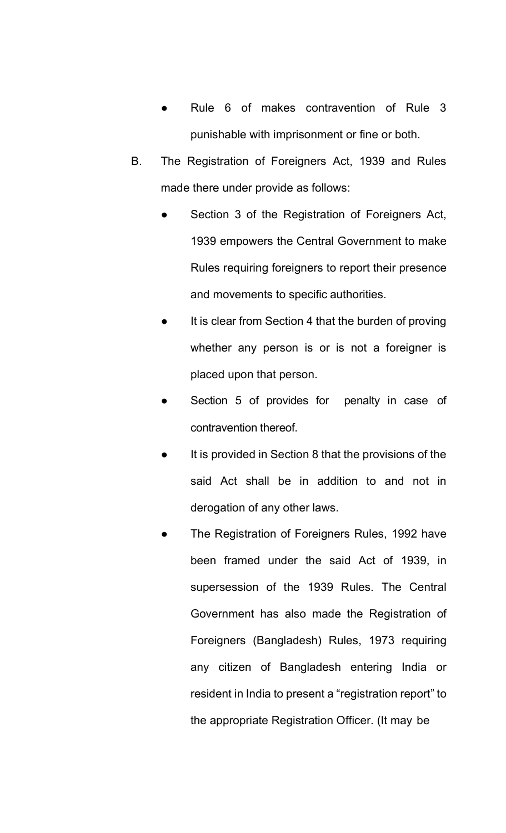- Rule 6 of makes contravention of Rule 3 punishable with imprisonment or fine or both.
- B. The Registration of Foreigners Act, 1939 and Rules made there under provide as follows:
	- Section 3 of the Registration of Foreigners Act, 1939 empowers the Central Government to make Rules requiring foreigners to report their presence and movements to specific authorities.
	- It is clear from Section 4 that the burden of proving whether any person is or is not a foreigner is placed upon that person.
	- Section 5 of provides for penalty in case of contravention thereof.
	- It is provided in Section 8 that the provisions of the said Act shall be in addition to and not in derogation of any other laws.
	- The Registration of Foreigners Rules, 1992 have been framed under the said Act of 1939, in supersession of the 1939 Rules. The Central Government has also made the Registration of Foreigners (Bangladesh) Rules, 1973 requiring any citizen of Bangladesh entering India or resident in India to present a "registration report" to the appropriate Registration Officer. (It may be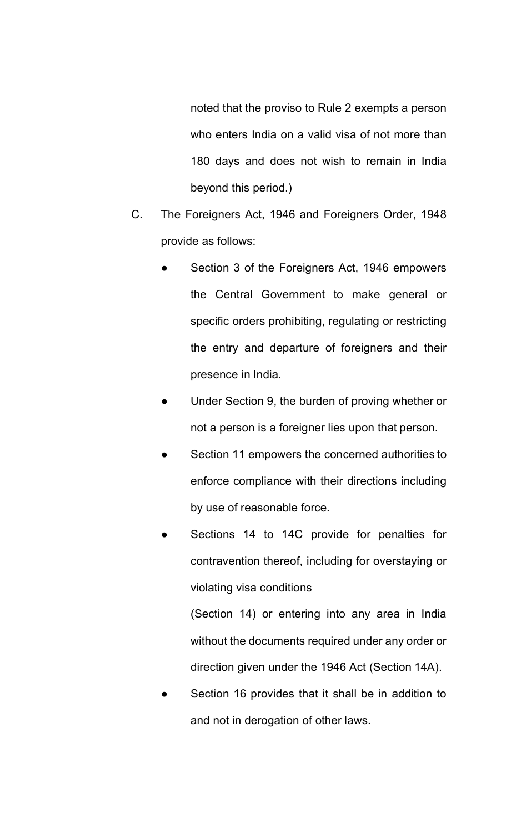noted that the proviso to Rule 2 exempts a person who enters India on a valid visa of not more than 180 days and does not wish to remain in India beyond this period.)

- C. The Foreigners Act, 1946 and Foreigners Order, 1948 provide as follows:
	- Section 3 of the Foreigners Act, 1946 empowers the Central Government to make general or specific orders prohibiting, regulating or restricting the entry and departure of foreigners and their presence in India.
	- Under Section 9, the burden of proving whether or not a person is a foreigner lies upon that person.
	- Section 11 empowers the concerned authorities to enforce compliance with their directions including by use of reasonable force.
	- Sections 14 to 14C provide for penalties for contravention thereof, including for overstaying or violating visa conditions

(Section 14) or entering into any area in India without the documents required under any order or direction given under the 1946 Act (Section 14A).

Section 16 provides that it shall be in addition to and not in derogation of other laws.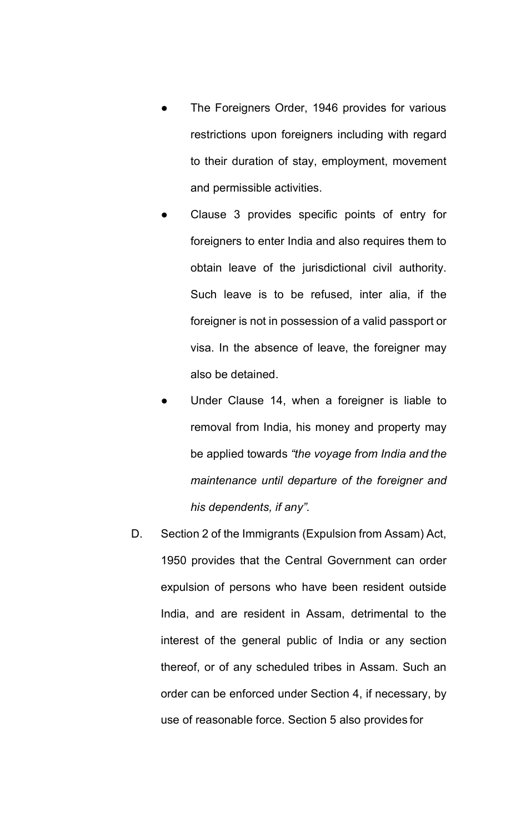- The Foreigners Order, 1946 provides for various restrictions upon foreigners including with regard to their duration of stay, employment, movement and permissible activities.
- Clause 3 provides specific points of entry for foreigners to enter India and also requires them to obtain leave of the jurisdictional civil authority. Such leave is to be refused, inter alia, if the foreigner is not in possession of a valid passport or visa. In the absence of leave, the foreigner may also be detained.
- Under Clause 14, when a foreigner is liable to removal from India, his money and property may be applied towards *"the voyage from India and the maintenance until departure of the foreigner and his dependents, if any".*
- D. Section 2 of the Immigrants (Expulsion from Assam) Act, 1950 provides that the Central Government can order expulsion of persons who have been resident outside India, and are resident in Assam, detrimental to the interest of the general public of India or any section thereof, or of any scheduled tribes in Assam. Such an order can be enforced under Section 4, if necessary, by use of reasonable force. Section 5 also provides for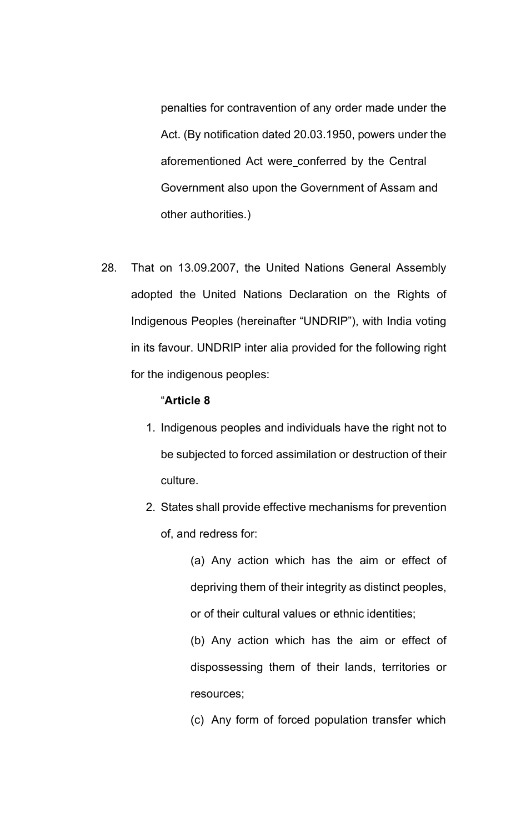penalties for contravention of any order made under the Act. (By notification dated 20.03.1950, powers under the aforementioned Act were conferred by the Central Government also upon the Government of Assam and other authorities.)

28. That on 13.09.2007, the United Nations General Assembly adopted the United Nations Declaration on the Rights of Indigenous Peoples (hereinafter "UNDRIP"), with India voting in its favour. UNDRIP inter alia provided for the following right for the indigenous peoples:

## "**Article 8**

- 1. Indigenous peoples and individuals have the right not to be subjected to forced assimilation or destruction of their culture.
- 2. States shall provide effective mechanisms for prevention of, and redress for:

(a) Any action which has the aim or effect of depriving them of their integrity as distinct peoples, or of their cultural values or ethnic identities;

(b) Any action which has the aim or effect of dispossessing them of their lands, territories or resources;

(c) Any form of forced population transfer which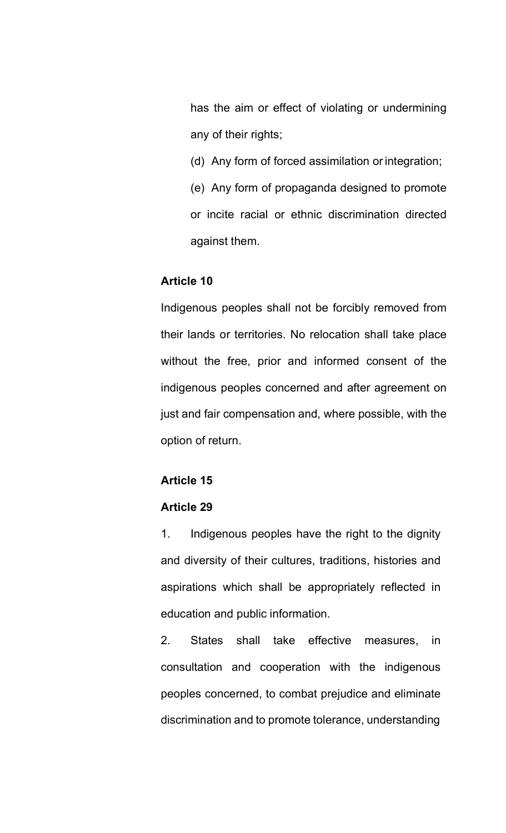has the aim or effect of violating or undermining any of their rights;

- (d) Any form of forced assimilation or integration;
- (e) Any form of propaganda designed to promote or incite racial or ethnic discrimination directed against them.

# **Article 10**

Indigenous peoples shall not be forcibly removed from their lands or territories. No relocation shall take place without the free, prior and informed consent of the indigenous peoples concerned and after agreement on just and fair compensation and, where possible, with the option of return.

# **Article 15**

# **Article 29**

1. Indigenous peoples have the right to the dignity and diversity of their cultures, traditions, histories and aspirations which shall be appropriately reflected in education and public information.

2. States shall take effective measures, in consultation and cooperation with the indigenous peoples concerned, to combat prejudice and eliminate discrimination and to promote tolerance, understanding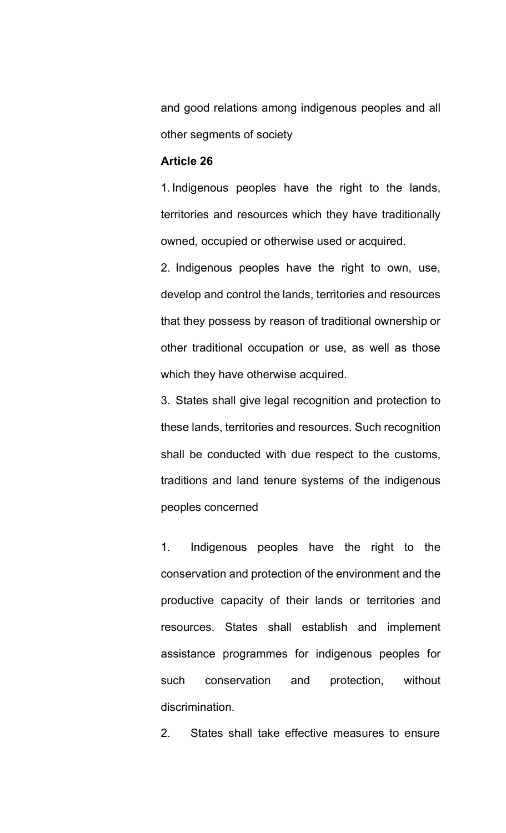and good relations among indigenous peoples and all other segments of society

## **Article 26**

1. Indigenous peoples have the right to the lands, territories and resources which they have traditionally owned, occupied or otherwise used or acquired.

2. Indigenous peoples have the right to own, use, develop and control the lands, territories and resources that they possess by reason of traditional ownership or other traditional occupation or use, as well as those which they have otherwise acquired.

3. States shall give legal recognition and protection to these lands, territories and resources. Such recognition shall be conducted with due respect to the customs, traditions and land tenure systems of the indigenous peoples concerned

1. Indigenous peoples have the right to the conservation and protection of the environment and the productive capacity of their lands or territories and resources. States shall establish and implement assistance programmes for indigenous peoples for such conservation and protection, without discrimination.

2. States shall take effective measures to ensure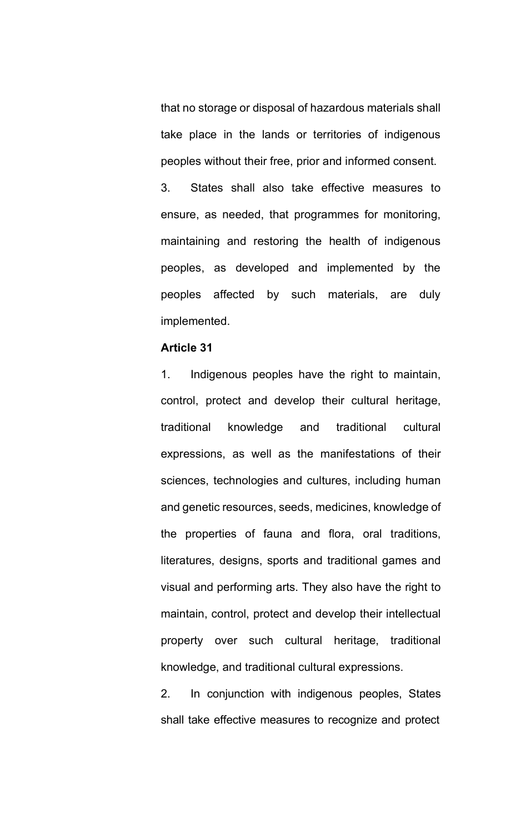that no storage or disposal of hazardous materials shall take place in the lands or territories of indigenous peoples without their free, prior and informed consent.

3. States shall also take effective measures to ensure, as needed, that programmes for monitoring, maintaining and restoring the health of indigenous peoples, as developed and implemented by the peoples affected by such materials, are duly implemented.

## **Article 31**

1. Indigenous peoples have the right to maintain, control, protect and develop their cultural heritage, traditional knowledge and traditional cultural expressions, as well as the manifestations of their sciences, technologies and cultures, including human and genetic resources, seeds, medicines, knowledge of the properties of fauna and flora, oral traditions, literatures, designs, sports and traditional games and visual and performing arts. They also have the right to maintain, control, protect and develop their intellectual property over such cultural heritage, traditional knowledge, and traditional cultural expressions.

2. In conjunction with indigenous peoples, States shall take effective measures to recognize and protect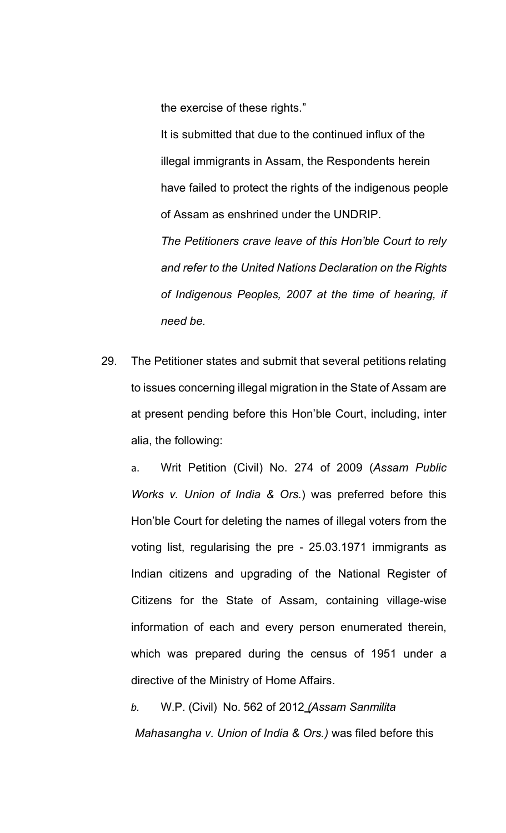the exercise of these rights."

It is submitted that due to the continued influx of the illegal immigrants in Assam, the Respondents herein have failed to protect the rights of the indigenous people of Assam as enshrined under the UNDRIP.

*The Petitioners crave leave of this Hon'ble Court to rely and refer to the United Nations Declaration on the Rights of Indigenous Peoples, 2007 at the time of hearing, if need be.*

29. The Petitioner states and submit that several petitions relating to issues concerning illegal migration in the State of Assam are at present pending before this Hon'ble Court, including, inter alia, the following:

a. Writ Petition (Civil) No. 274 of 2009 (*Assam Public Works v. Union of India & Ors.*) was preferred before this Hon'ble Court for deleting the names of illegal voters from the voting list, regularising the pre - 25.03.1971 immigrants as Indian citizens and upgrading of the National Register of Citizens for the State of Assam, containing village-wise information of each and every person enumerated therein, which was prepared during the census of 1951 under a directive of the Ministry of Home Affairs.

*b.* W.P. (Civil) No. 562 of 2012 *(Assam Sanmilita Mahasangha v. Union of India & Ors.)* was filed before this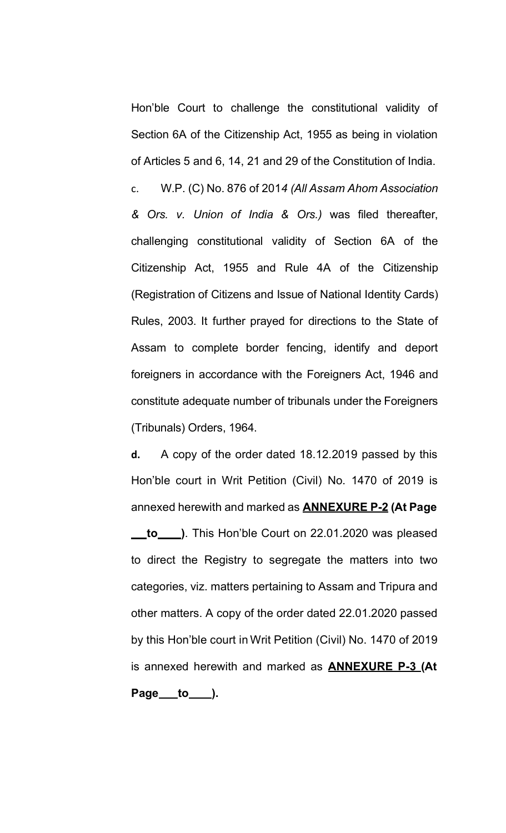Hon'ble Court to challenge the constitutional validity of Section 6A of the Citizenship Act, 1955 as being in violation of Articles 5 and 6, 14, 21 and 29 of the Constitution of India.

c. W.P. (C) No. 876 of 201*4 (All Assam Ahom Association & Ors. v. Union of India & Ors.)* was filed thereafter, challenging constitutional validity of Section 6A of the Citizenship Act, 1955 and Rule 4A of the Citizenship (Registration of Citizens and Issue of National Identity Cards) Rules, 2003. It further prayed for directions to the State of Assam to complete border fencing, identify and deport foreigners in accordance with the Foreigners Act, 1946 and constitute adequate number of tribunals under the Foreigners (Tribunals) Orders, 1964.

**d.** A copy of the order dated 18.12.2019 passed by this Hon'ble court in Writ Petition (Civil) No. 1470 of 2019 is annexed herewith and marked as **ANNEXURE P-2 (At Page to \_\_\_\_.**). This Hon'ble Court on 22.01.2020 was pleased to direct the Registry to segregate the matters into two categories, viz. matters pertaining to Assam and Tripura and other matters. A copy of the order dated 22.01.2020 passed by this Hon'ble court in Writ Petition (Civil) No. 1470 of 2019 is annexed herewith and marked as **ANNEXURE P-3 (At Page to ).**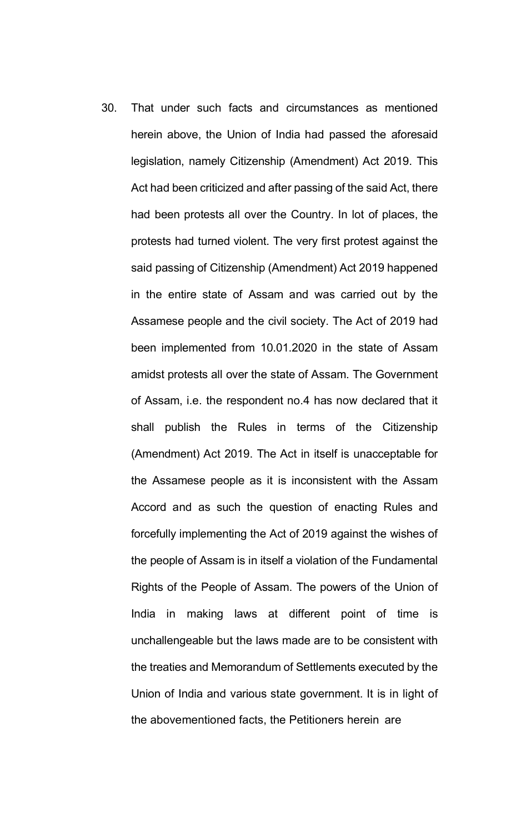30. That under such facts and circumstances as mentioned herein above, the Union of India had passed the aforesaid legislation, namely Citizenship (Amendment) Act 2019. This Act had been criticized and after passing of the said Act, there had been protests all over the Country. In lot of places, the protests had turned violent. The very first protest against the said passing of Citizenship (Amendment) Act 2019 happened in the entire state of Assam and was carried out by the Assamese people and the civil society. The Act of 2019 had been implemented from 10.01.2020 in the state of Assam amidst protests all over the state of Assam. The Government of Assam, i.e. the respondent no.4 has now declared that it shall publish the Rules in terms of the Citizenship (Amendment) Act 2019. The Act in itself is unacceptable for the Assamese people as it is inconsistent with the Assam Accord and as such the question of enacting Rules and forcefully implementing the Act of 2019 against the wishes of the people of Assam is in itself a violation of the Fundamental Rights of the People of Assam. The powers of the Union of India in making laws at different point of time is unchallengeable but the laws made are to be consistent with the treaties and Memorandum of Settlements executed by the Union of India and various state government. It is in light of the abovementioned facts, the Petitioners herein are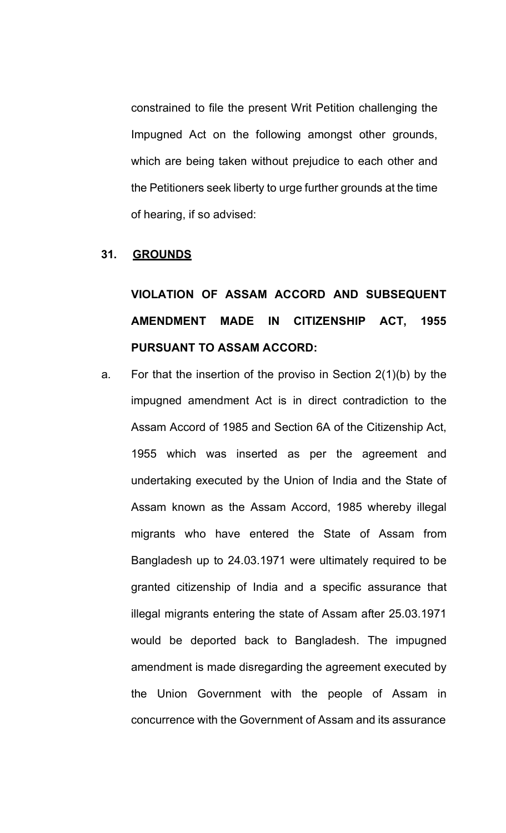constrained to file the present Writ Petition challenging the Impugned Act on the following amongst other grounds, which are being taken without prejudice to each other and the Petitioners seek liberty to urge further grounds at the time of hearing, if so advised:

#### **31. GROUNDS**

# **VIOLATION OF ASSAM ACCORD AND SUBSEQUENT AMENDMENT MADE IN CITIZENSHIP ACT, 1955 PURSUANT TO ASSAM ACCORD:**

a. For that the insertion of the proviso in Section 2(1)(b) by the impugned amendment Act is in direct contradiction to the Assam Accord of 1985 and Section 6A of the Citizenship Act, 1955 which was inserted as per the agreement and undertaking executed by the Union of India and the State of Assam known as the Assam Accord, 1985 whereby illegal migrants who have entered the State of Assam from Bangladesh up to 24.03.1971 were ultimately required to be granted citizenship of India and a specific assurance that illegal migrants entering the state of Assam after 25.03.1971 would be deported back to Bangladesh. The impugned amendment is made disregarding the agreement executed by the Union Government with the people of Assam in concurrence with the Government of Assam and its assurance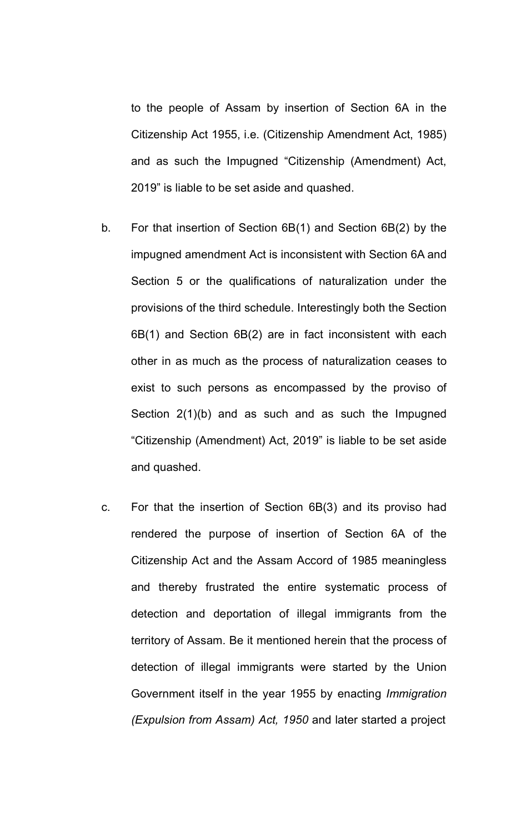to the people of Assam by insertion of Section 6A in the Citizenship Act 1955, i.e. (Citizenship Amendment Act, 1985) and as such the Impugned "Citizenship (Amendment) Act, 2019" is liable to be set aside and quashed.

- b. For that insertion of Section 6B(1) and Section 6B(2) by the impugned amendment Act is inconsistent with Section 6A and Section 5 or the qualifications of naturalization under the provisions of the third schedule. Interestingly both the Section 6B(1) and Section 6B(2) are in fact inconsistent with each other in as much as the process of naturalization ceases to exist to such persons as encompassed by the proviso of Section 2(1)(b) and as such and as such the Impugned "Citizenship (Amendment) Act, 2019" is liable to be set aside and quashed.
- c. For that the insertion of Section 6B(3) and its proviso had rendered the purpose of insertion of Section 6A of the Citizenship Act and the Assam Accord of 1985 meaningless and thereby frustrated the entire systematic process of detection and deportation of illegal immigrants from the territory of Assam. Be it mentioned herein that the process of detection of illegal immigrants were started by the Union Government itself in the year 1955 by enacting *Immigration (Expulsion from Assam) Act, 1950* and later started a project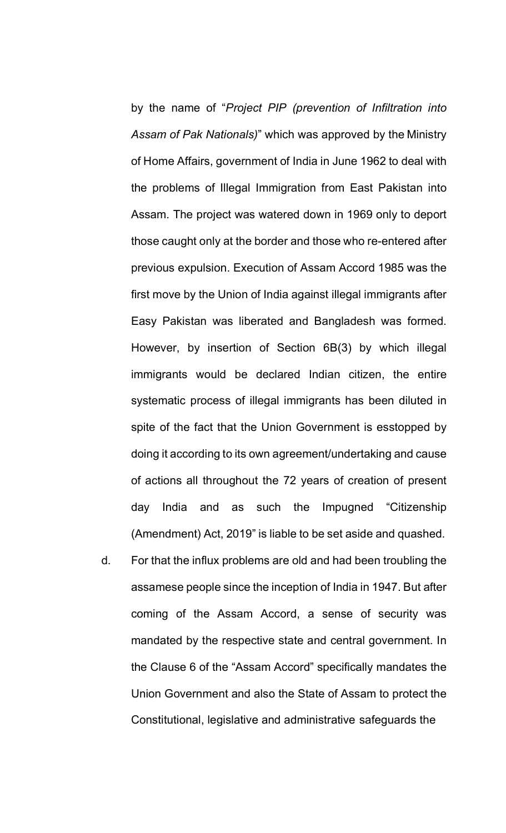by the name of "*Project PIP (prevention of Infiltration into Assam of Pak Nationals)*" which was approved by the Ministry of Home Affairs, government of India in June 1962 to deal with the problems of Illegal Immigration from East Pakistan into Assam. The project was watered down in 1969 only to deport those caught only at the border and those who re-entered after previous expulsion. Execution of Assam Accord 1985 was the first move by the Union of India against illegal immigrants after Easy Pakistan was liberated and Bangladesh was formed. However, by insertion of Section 6B(3) by which illegal immigrants would be declared Indian citizen, the entire systematic process of illegal immigrants has been diluted in spite of the fact that the Union Government is esstopped by doing it according to its own agreement/undertaking and cause of actions all throughout the 72 years of creation of present day India and as such the Impugned "Citizenship (Amendment) Act, 2019" is liable to be set aside and quashed.

d. For that the influx problems are old and had been troubling the assamese people since the inception of India in 1947. But after coming of the Assam Accord, a sense of security was mandated by the respective state and central government. In the Clause 6 of the "Assam Accord" specifically mandates the Union Government and also the State of Assam to protect the Constitutional, legislative and administrative safeguards the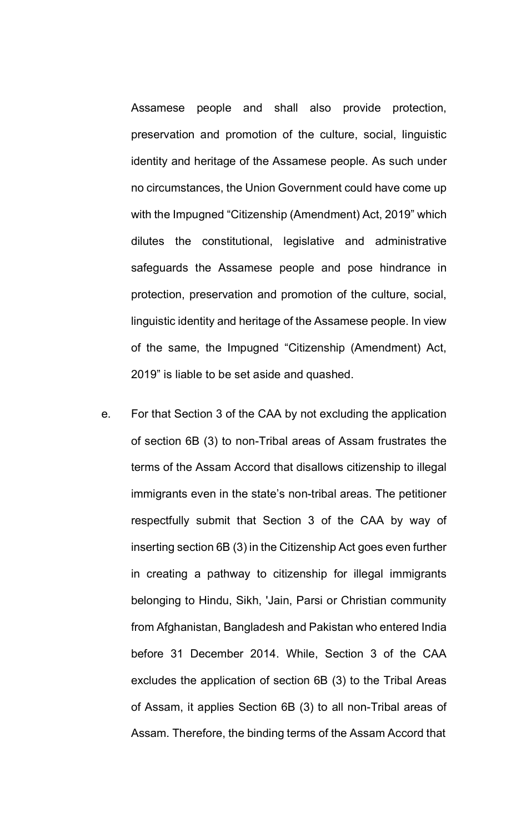Assamese people and shall also provide protection, preservation and promotion of the culture, social, linguistic identity and heritage of the Assamese people. As such under no circumstances, the Union Government could have come up with the Impugned "Citizenship (Amendment) Act, 2019" which dilutes the constitutional, legislative and administrative safeguards the Assamese people and pose hindrance in protection, preservation and promotion of the culture, social, linguistic identity and heritage of the Assamese people. In view of the same, the Impugned "Citizenship (Amendment) Act, 2019" is liable to be set aside and quashed.

e. For that Section 3 of the CAA by not excluding the application of section 6B (3) to non-Tribal areas of Assam frustrates the terms of the Assam Accord that disallows citizenship to illegal immigrants even in the state's non-tribal areas. The petitioner respectfully submit that Section 3 of the CAA by way of inserting section 6B (3) in the Citizenship Act goes even further in creating a pathway to citizenship for illegal immigrants belonging to Hindu, Sikh, 'Jain, Parsi or Christian community from Afghanistan, Bangladesh and Pakistan who entered India before 31 December 2014. While, Section 3 of the CAA excludes the application of section 6B (3) to the Tribal Areas of Assam, it applies Section 6B (3) to all non-Tribal areas of Assam. Therefore, the binding terms of the Assam Accord that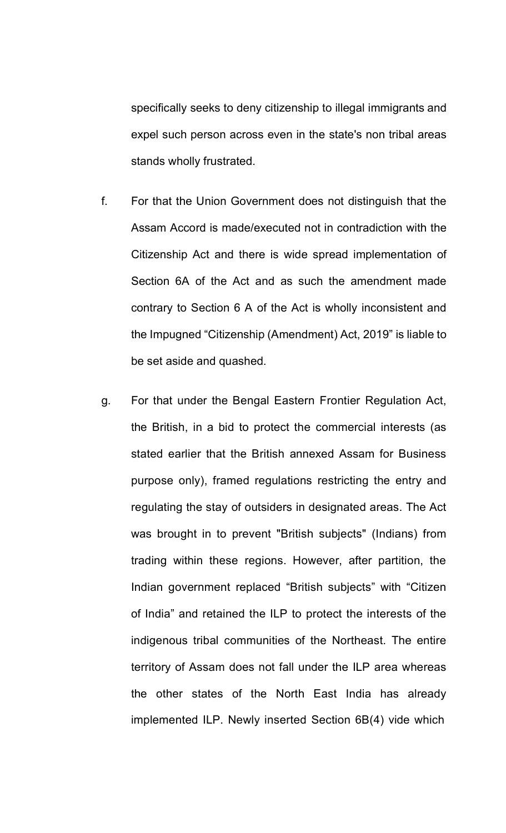specifically seeks to deny citizenship to illegal immigrants and expel such person across even in the state's non tribal areas stands wholly frustrated.

- f. For that the Union Government does not distinguish that the Assam Accord is made/executed not in contradiction with the Citizenship Act and there is wide spread implementation of Section 6A of the Act and as such the amendment made contrary to Section 6 A of the Act is wholly inconsistent and the Impugned "Citizenship (Amendment) Act, 2019" is liable to be set aside and quashed.
- g. For that under the Bengal Eastern Frontier Regulation Act, the British, in a bid to protect the commercial interests (as stated earlier that the British annexed Assam for Business purpose only), framed regulations restricting the entry and regulating the stay of outsiders in designated areas. The Act was brought in to prevent "British subjects" (Indians) from trading within these regions. However, after partition, the Indian government replaced "British subjects" with "Citizen of India" and retained the ILP to protect the interests of the indigenous tribal communities of the Northeast. The entire territory of Assam does not fall under the ILP area whereas the other states of the North East India has already implemented ILP. Newly inserted Section 6B(4) vide which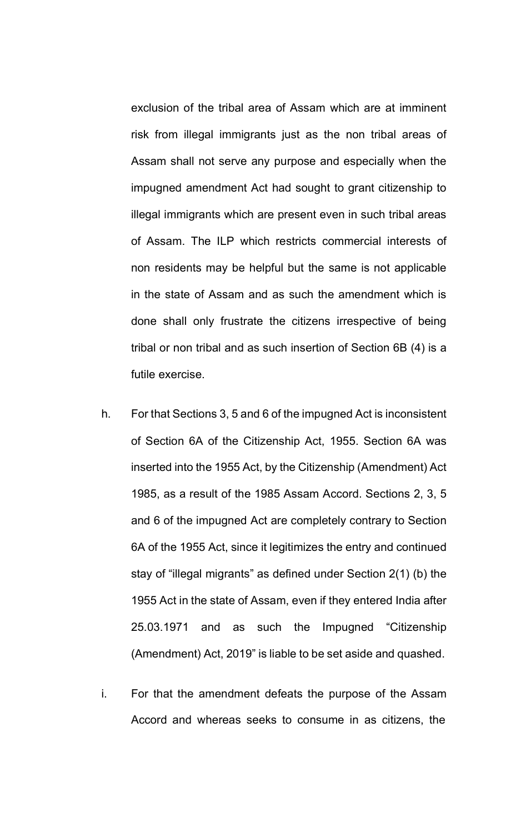exclusion of the tribal area of Assam which are at imminent risk from illegal immigrants just as the non tribal areas of Assam shall not serve any purpose and especially when the impugned amendment Act had sought to grant citizenship to illegal immigrants which are present even in such tribal areas of Assam. The ILP which restricts commercial interests of non residents may be helpful but the same is not applicable in the state of Assam and as such the amendment which is done shall only frustrate the citizens irrespective of being tribal or non tribal and as such insertion of Section 6B (4) is a futile exercise.

- h. For that Sections 3, 5 and 6 of the impugned Act is inconsistent of Section 6A of the Citizenship Act, 1955. Section 6A was inserted into the 1955 Act, by the Citizenship (Amendment) Act 1985, as a result of the 1985 Assam Accord. Sections 2, 3, 5 and 6 of the impugned Act are completely contrary to Section 6A of the 1955 Act, since it legitimizes the entry and continued stay of "illegal migrants" as defined under Section 2(1) (b) the 1955 Act in the state of Assam, even if they entered India after 25.03.1971 and as such the Impugned "Citizenship (Amendment) Act, 2019" is liable to be set aside and quashed.
- i. For that the amendment defeats the purpose of the Assam Accord and whereas seeks to consume in as citizens, the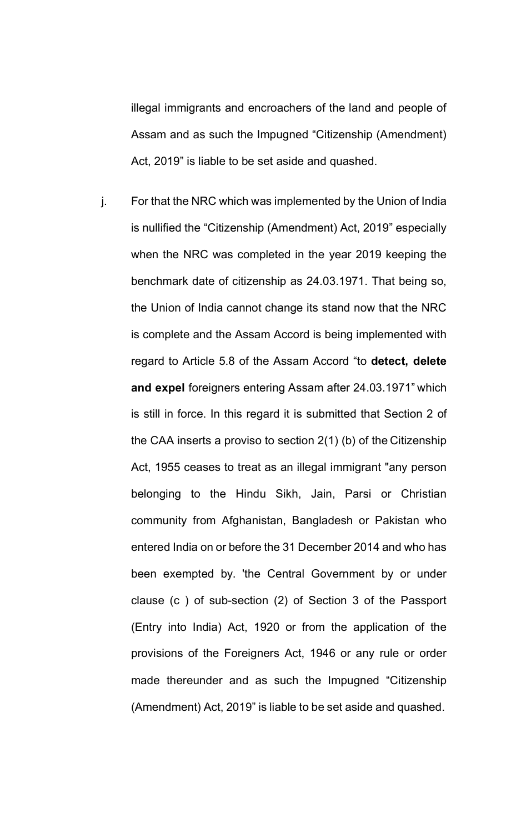illegal immigrants and encroachers of the land and people of Assam and as such the Impugned "Citizenship (Amendment) Act, 2019" is liable to be set aside and quashed.

j. For that the NRC which was implemented by the Union of India is nullified the "Citizenship (Amendment) Act, 2019" especially when the NRC was completed in the year 2019 keeping the benchmark date of citizenship as 24.03.1971. That being so, the Union of India cannot change its stand now that the NRC is complete and the Assam Accord is being implemented with regard to Article 5.8 of the Assam Accord "to **detect, delete and expel** foreigners entering Assam after 24.03.1971" which is still in force. In this regard it is submitted that Section 2 of the CAA inserts a proviso to section 2(1) (b) of the Citizenship Act, 1955 ceases to treat as an illegal immigrant "any person belonging to the Hindu Sikh, Jain, Parsi or Christian community from Afghanistan, Bangladesh or Pakistan who entered India on or before the 31 December 2014 and who has been exempted by. 'the Central Government by or under clause (c ) of sub-section (2) of Section 3 of the Passport (Entry into India) Act, 1920 or from the application of the provisions of the Foreigners Act, 1946 or any rule or order made thereunder and as such the Impugned "Citizenship (Amendment) Act, 2019" is liable to be set aside and quashed.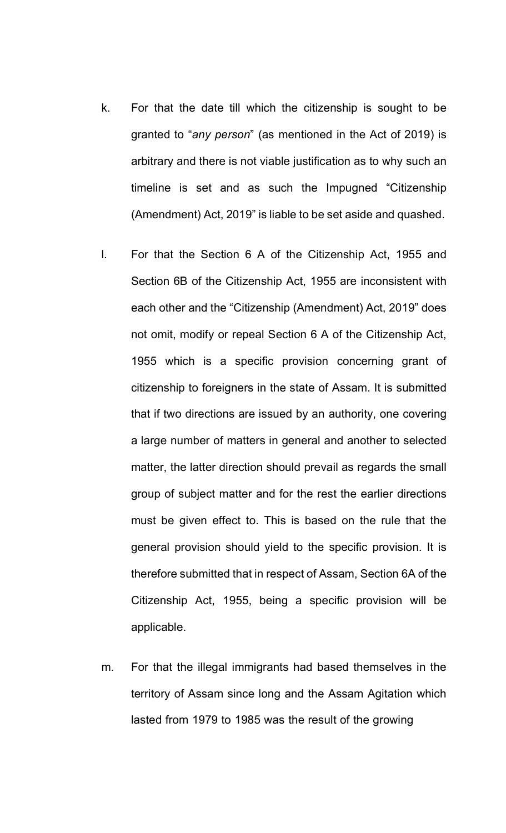- k. For that the date till which the citizenship is sought to be granted to "*any person*" (as mentioned in the Act of 2019) is arbitrary and there is not viable justification as to why such an timeline is set and as such the Impugned "Citizenship (Amendment) Act, 2019" is liable to be set aside and quashed.
- l. For that the Section 6 A of the Citizenship Act, 1955 and Section 6B of the Citizenship Act, 1955 are inconsistent with each other and the "Citizenship (Amendment) Act, 2019" does not omit, modify or repeal Section 6 A of the Citizenship Act, 1955 which is a specific provision concerning grant of citizenship to foreigners in the state of Assam. It is submitted that if two directions are issued by an authority, one covering a large number of matters in general and another to selected matter, the latter direction should prevail as regards the small group of subject matter and for the rest the earlier directions must be given effect to. This is based on the rule that the general provision should yield to the specific provision. It is therefore submitted that in respect of Assam, Section 6A of the Citizenship Act, 1955, being a specific provision will be applicable.
- m. For that the illegal immigrants had based themselves in the territory of Assam since long and the Assam Agitation which lasted from 1979 to 1985 was the result of the growing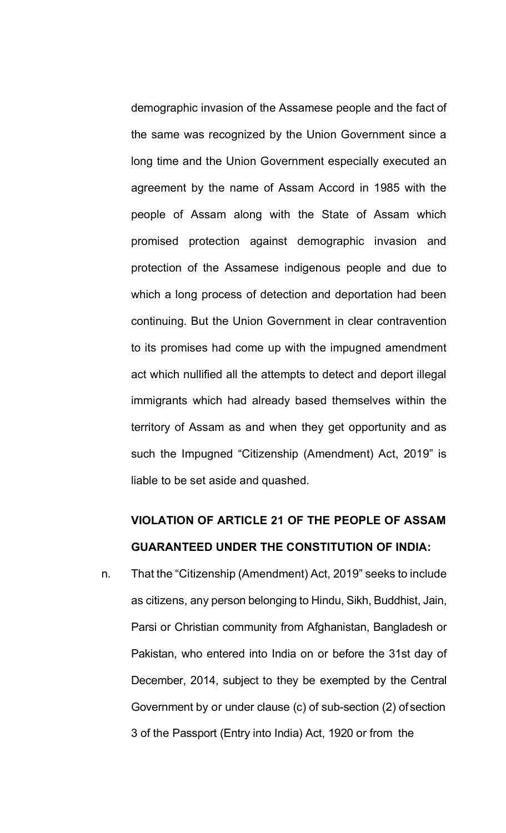demographic invasion of the Assamese people and the fact of the same was recognized by the Union Government since a long time and the Union Government especially executed an agreement by the name of Assam Accord in 1985 with the people of Assam along with the State of Assam which promised protection against demographic invasion and protection of the Assamese indigenous people and due to which a long process of detection and deportation had been continuing. But the Union Government in clear contravention to its promises had come up with the impugned amendment act which nullified all the attempts to detect and deport illegal immigrants which had already based themselves within the territory of Assam as and when they get opportunity and as such the Impugned "Citizenship (Amendment) Act, 2019" is liable to be set aside and quashed.

## **VIOLATION OF ARTICLE 21 OF THE PEOPLE OF ASSAM GUARANTEED UNDER THE CONSTITUTION OF INDIA:**

n. That the "Citizenship (Amendment) Act, 2019" seeks to include as citizens, any person belonging to Hindu, Sikh, Buddhist, Jain, Parsi or Christian community from Afghanistan, Bangladesh or Pakistan, who entered into India on or before the 31st day of December, 2014, subject to they be exempted by the Central Government by or under clause (c) of sub-section (2) ofsection 3 of the Passport (Entry into India) Act, 1920 or from the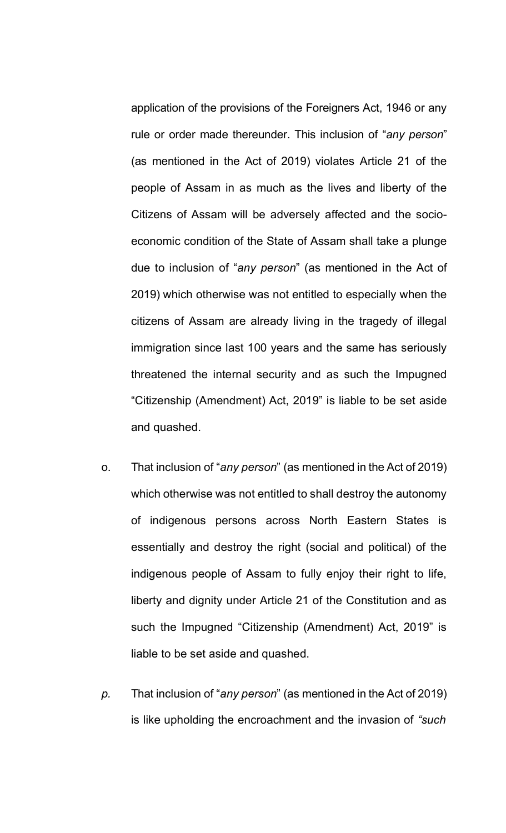application of the provisions of the Foreigners Act, 1946 or any rule or order made thereunder. This inclusion of "*any person*" (as mentioned in the Act of 2019) violates Article 21 of the people of Assam in as much as the lives and liberty of the Citizens of Assam will be adversely affected and the socioeconomic condition of the State of Assam shall take a plunge due to inclusion of "*any person*" (as mentioned in the Act of 2019) which otherwise was not entitled to especially when the citizens of Assam are already living in the tragedy of illegal immigration since last 100 years and the same has seriously threatened the internal security and as such the Impugned "Citizenship (Amendment) Act, 2019" is liable to be set aside and quashed.

- o. That inclusion of "*any person*" (as mentioned in the Act of 2019) which otherwise was not entitled to shall destroy the autonomy of indigenous persons across North Eastern States is essentially and destroy the right (social and political) of the indigenous people of Assam to fully enjoy their right to life, liberty and dignity under Article 21 of the Constitution and as such the Impugned "Citizenship (Amendment) Act, 2019" is liable to be set aside and quashed.
- *p.* That inclusion of "*any person*" (as mentioned in the Act of 2019) is like upholding the encroachment and the invasion of *"such*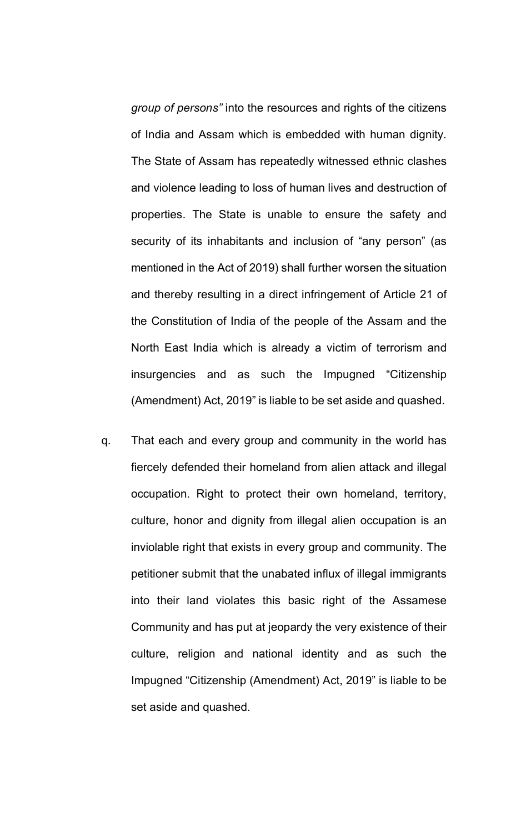*group of persons"* into the resources and rights of the citizens of India and Assam which is embedded with human dignity. The State of Assam has repeatedly witnessed ethnic clashes and violence leading to loss of human lives and destruction of properties. The State is unable to ensure the safety and security of its inhabitants and inclusion of "any person" (as mentioned in the Act of 2019) shall further worsen the situation and thereby resulting in a direct infringement of Article 21 of the Constitution of India of the people of the Assam and the North East India which is already a victim of terrorism and insurgencies and as such the Impugned "Citizenship (Amendment) Act, 2019" is liable to be set aside and quashed.

q. That each and every group and community in the world has fiercely defended their homeland from alien attack and illegal occupation. Right to protect their own homeland, territory, culture, honor and dignity from illegal alien occupation is an inviolable right that exists in every group and community. The petitioner submit that the unabated influx of illegal immigrants into their land violates this basic right of the Assamese Community and has put at jeopardy the very existence of their culture, religion and national identity and as such the Impugned "Citizenship (Amendment) Act, 2019" is liable to be set aside and quashed.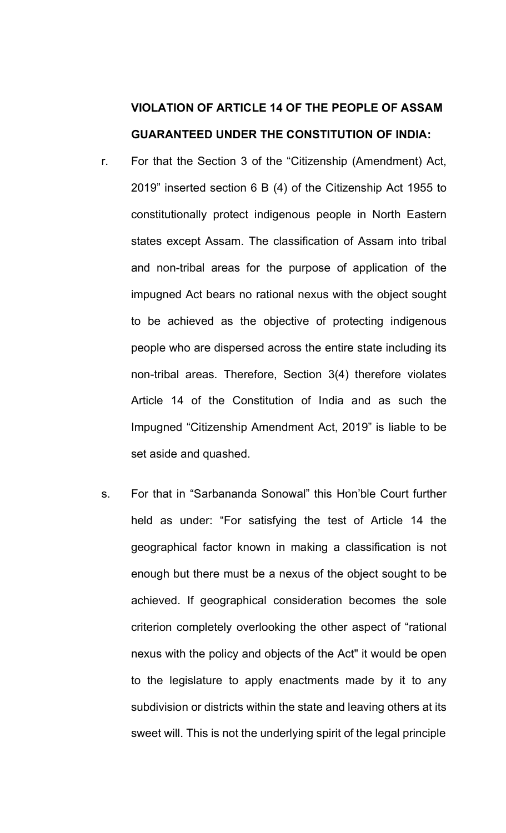# **VIOLATION OF ARTICLE 14 OF THE PEOPLE OF ASSAM GUARANTEED UNDER THE CONSTITUTION OF INDIA:**

- r. For that the Section 3 of the "Citizenship (Amendment) Act, 2019" inserted section 6 B (4) of the Citizenship Act 1955 to constitutionally protect indigenous people in North Eastern states except Assam. The classification of Assam into tribal and non-tribal areas for the purpose of application of the impugned Act bears no rational nexus with the object sought to be achieved as the objective of protecting indigenous people who are dispersed across the entire state including its non-tribal areas. Therefore, Section 3(4) therefore violates Article 14 of the Constitution of India and as such the Impugned "Citizenship Amendment Act, 2019" is liable to be set aside and quashed.
- s. For that in "Sarbananda Sonowal" this Hon'ble Court further held as under: "For satisfying the test of Article 14 the geographical factor known in making a classification is not enough but there must be a nexus of the object sought to be achieved. If geographical consideration becomes the sole criterion completely overlooking the other aspect of "rational nexus with the policy and objects of the Act" it would be open to the legislature to apply enactments made by it to any subdivision or districts within the state and leaving others at its sweet will. This is not the underlying spirit of the legal principle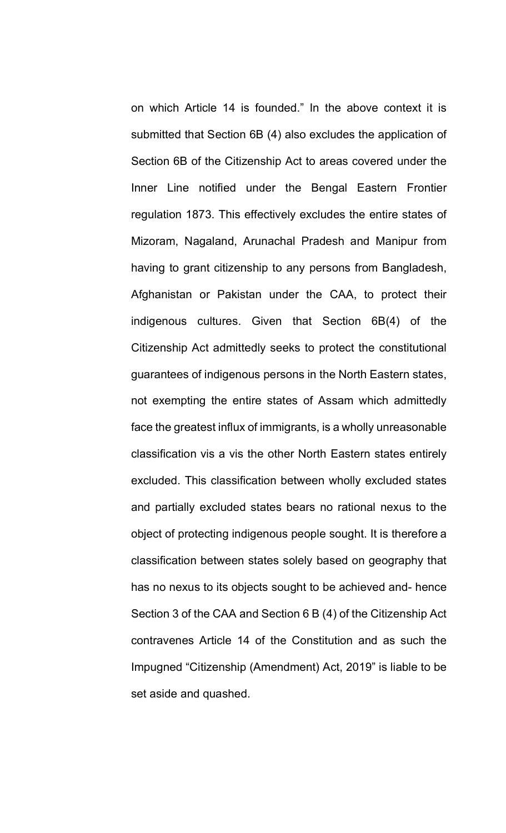on which Article 14 is founded." In the above context it is submitted that Section 6B (4) also excludes the application of Section 6B of the Citizenship Act to areas covered under the Inner Line notified under the Bengal Eastern Frontier regulation 1873. This effectively excludes the entire states of Mizoram, Nagaland, Arunachal Pradesh and Manipur from having to grant citizenship to any persons from Bangladesh, Afghanistan or Pakistan under the CAA, to protect their indigenous cultures. Given that Section 6B(4) of the Citizenship Act admittedly seeks to protect the constitutional guarantees of indigenous persons in the North Eastern states, not exempting the entire states of Assam which admittedly face the greatest influx of immigrants, is a wholly unreasonable classification vis a vis the other North Eastern states entirely excluded. This classification between wholly excluded states and partially excluded states bears no rational nexus to the object of protecting indigenous people sought. It is therefore a classification between states solely based on geography that has no nexus to its objects sought to be achieved and- hence Section 3 of the CAA and Section 6 B (4) of the Citizenship Act contravenes Article 14 of the Constitution and as such the Impugned "Citizenship (Amendment) Act, 2019" is liable to be set aside and quashed.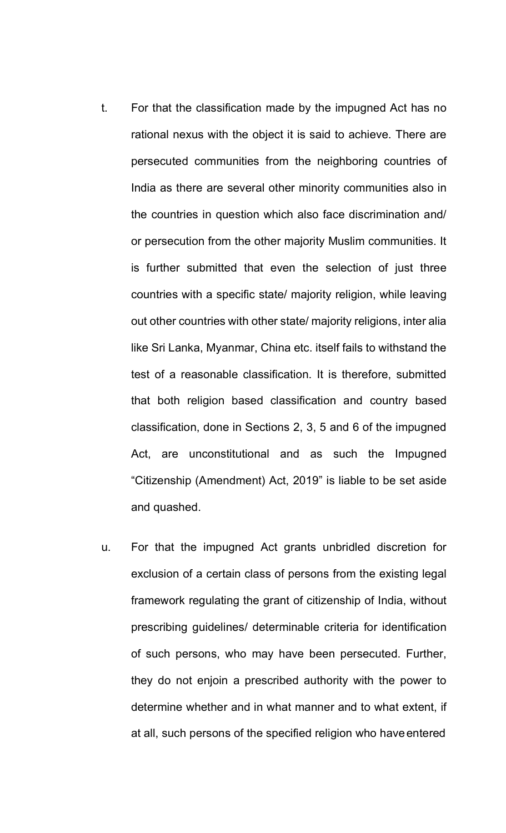- t. For that the classification made by the impugned Act has no rational nexus with the object it is said to achieve. There are persecuted communities from the neighboring countries of India as there are several other minority communities also in the countries in question which also face discrimination and/ or persecution from the other majority Muslim communities. It is further submitted that even the selection of just three countries with a specific state/ majority religion, while leaving out other countries with other state/ majority religions, inter alia like Sri Lanka, Myanmar, China etc. itself fails to withstand the test of a reasonable classification. It is therefore, submitted that both religion based classification and country based classification, done in Sections 2, 3, 5 and 6 of the impugned Act, are unconstitutional and as such the Impugned "Citizenship (Amendment) Act, 2019" is liable to be set aside and quashed.
- u. For that the impugned Act grants unbridled discretion for exclusion of a certain class of persons from the existing legal framework regulating the grant of citizenship of India, without prescribing guidelines/ determinable criteria for identification of such persons, who may have been persecuted. Further, they do not enjoin a prescribed authority with the power to determine whether and in what manner and to what extent, if at all, such persons of the specified religion who haveentered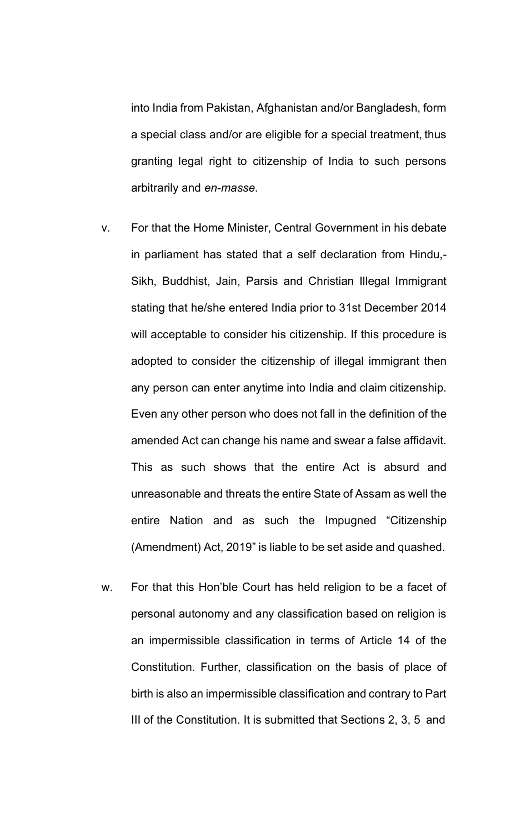into India from Pakistan, Afghanistan and/or Bangladesh, form a special class and/or are eligible for a special treatment, thus granting legal right to citizenship of India to such persons arbitrarily and *en-masse*.

- v. For that the Home Minister, Central Government in his debate in parliament has stated that a self declaration from Hindu,- Sikh, Buddhist, Jain, Parsis and Christian Illegal Immigrant stating that he/she entered India prior to 31st December 2014 will acceptable to consider his citizenship. If this procedure is adopted to consider the citizenship of illegal immigrant then any person can enter anytime into India and claim citizenship. Even any other person who does not fall in the definition of the amended Act can change his name and swear a false affidavit. This as such shows that the entire Act is absurd and unreasonable and threats the entire State of Assam as well the entire Nation and as such the Impugned "Citizenship (Amendment) Act, 2019" is liable to be set aside and quashed.
- w. For that this Hon'ble Court has held religion to be a facet of personal autonomy and any classification based on religion is an impermissible classification in terms of Article 14 of the Constitution. Further, classification on the basis of place of birth is also an impermissible classification and contrary to Part III of the Constitution. It is submitted that Sections 2, 3, 5 and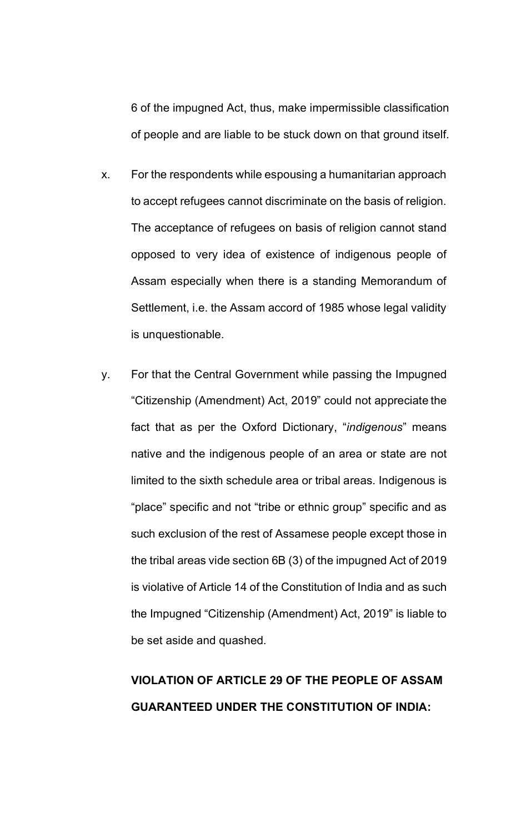6 of the impugned Act, thus, make impermissible classification of people and are liable to be stuck down on that ground itself.

- x. For the respondents while espousing a humanitarian approach to accept refugees cannot discriminate on the basis of religion. The acceptance of refugees on basis of religion cannot stand opposed to very idea of existence of indigenous people of Assam especially when there is a standing Memorandum of Settlement, i.e. the Assam accord of 1985 whose legal validity is unquestionable.
- y. For that the Central Government while passing the Impugned "Citizenship (Amendment) Act, 2019" could not appreciate the fact that as per the Oxford Dictionary, "*indigenous*" means native and the indigenous people of an area or state are not limited to the sixth schedule area or tribal areas. Indigenous is "place" specific and not "tribe or ethnic group" specific and as such exclusion of the rest of Assamese people except those in the tribal areas vide section 6B (3) of the impugned Act of 2019 is violative of Article 14 of the Constitution of India and as such the Impugned "Citizenship (Amendment) Act, 2019" is liable to be set aside and quashed.

# **VIOLATION OF ARTICLE 29 OF THE PEOPLE OF ASSAM GUARANTEED UNDER THE CONSTITUTION OF INDIA:**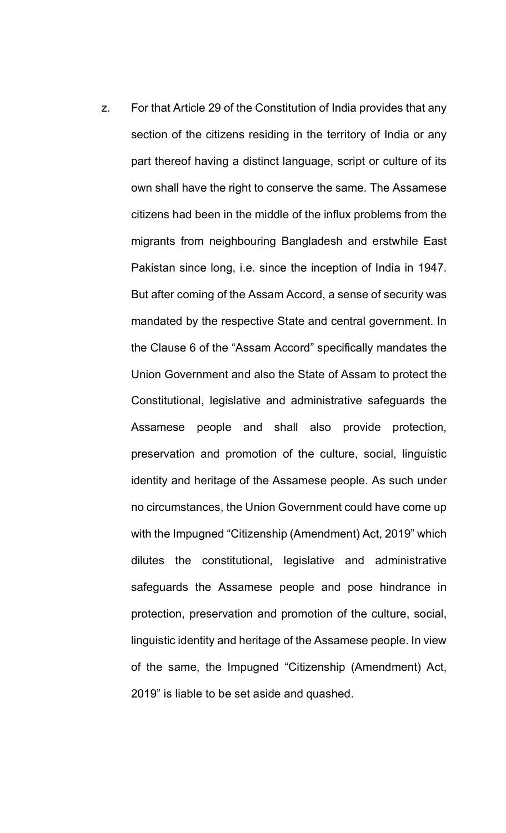z. For that Article 29 of the Constitution of India provides that any section of the citizens residing in the territory of India or any part thereof having a distinct language, script or culture of its own shall have the right to conserve the same. The Assamese citizens had been in the middle of the influx problems from the migrants from neighbouring Bangladesh and erstwhile East Pakistan since long, i.e. since the inception of India in 1947. But after coming of the Assam Accord, a sense of security was mandated by the respective State and central government. In the Clause 6 of the "Assam Accord" specifically mandates the Union Government and also the State of Assam to protect the Constitutional, legislative and administrative safeguards the Assamese people and shall also provide protection, preservation and promotion of the culture, social, linguistic identity and heritage of the Assamese people. As such under no circumstances, the Union Government could have come up with the Impugned "Citizenship (Amendment) Act, 2019" which dilutes the constitutional, legislative and administrative safeguards the Assamese people and pose hindrance in protection, preservation and promotion of the culture, social, linguistic identity and heritage of the Assamese people. In view of the same, the Impugned "Citizenship (Amendment) Act, 2019" is liable to be set aside and quashed.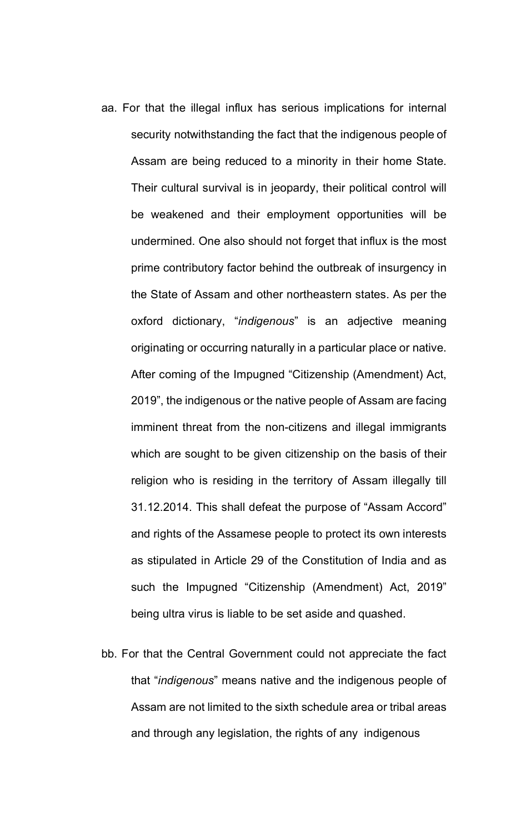- aa. For that the illegal influx has serious implications for internal security notwithstanding the fact that the indigenous people of Assam are being reduced to a minority in their home State. Their cultural survival is in jeopardy, their political control will be weakened and their employment opportunities will be undermined. One also should not forget that influx is the most prime contributory factor behind the outbreak of insurgency in the State of Assam and other northeastern states. As per the oxford dictionary, "*indigenous*" is an adjective meaning originating or occurring naturally in a particular place or native. After coming of the Impugned "Citizenship (Amendment) Act, 2019", the indigenous or the native people of Assam are facing imminent threat from the non-citizens and illegal immigrants which are sought to be given citizenship on the basis of their religion who is residing in the territory of Assam illegally till 31.12.2014. This shall defeat the purpose of "Assam Accord" and rights of the Assamese people to protect its own interests as stipulated in Article 29 of the Constitution of India and as such the Impugned "Citizenship (Amendment) Act, 2019" being ultra virus is liable to be set aside and quashed.
- bb. For that the Central Government could not appreciate the fact that "*indigenous*" means native and the indigenous people of Assam are not limited to the sixth schedule area or tribal areas and through any legislation, the rights of any indigenous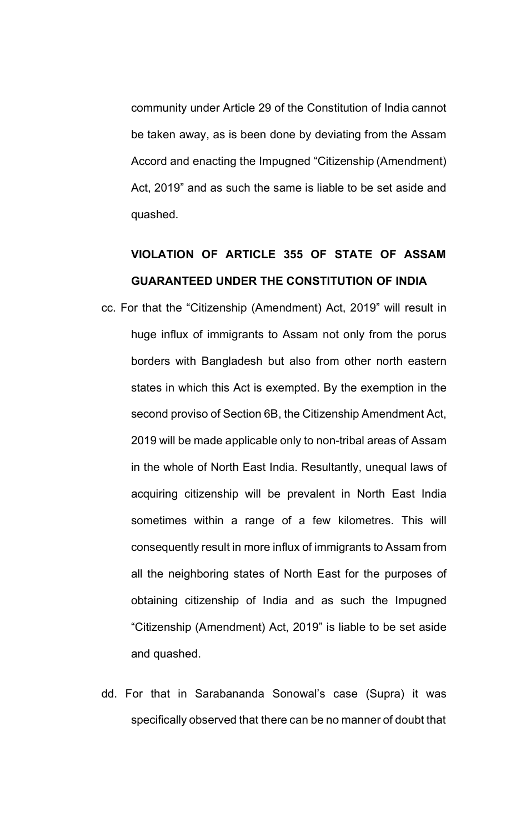community under Article 29 of the Constitution of India cannot be taken away, as is been done by deviating from the Assam Accord and enacting the Impugned "Citizenship (Amendment) Act, 2019" and as such the same is liable to be set aside and quashed.

## **VIOLATION OF ARTICLE 355 OF STATE OF ASSAM GUARANTEED UNDER THE CONSTITUTION OF INDIA**

- cc. For that the "Citizenship (Amendment) Act, 2019" will result in huge influx of immigrants to Assam not only from the porus borders with Bangladesh but also from other north eastern states in which this Act is exempted. By the exemption in the second proviso of Section 6B, the Citizenship Amendment Act, 2019 will be made applicable only to non-tribal areas of Assam in the whole of North East India. Resultantly, unequal laws of acquiring citizenship will be prevalent in North East India sometimes within a range of a few kilometres. This will consequently result in more influx of immigrants to Assam from all the neighboring states of North East for the purposes of obtaining citizenship of India and as such the Impugned "Citizenship (Amendment) Act, 2019" is liable to be set aside and quashed.
- dd. For that in Sarabananda Sonowal's case (Supra) it was specifically observed that there can be no manner of doubt that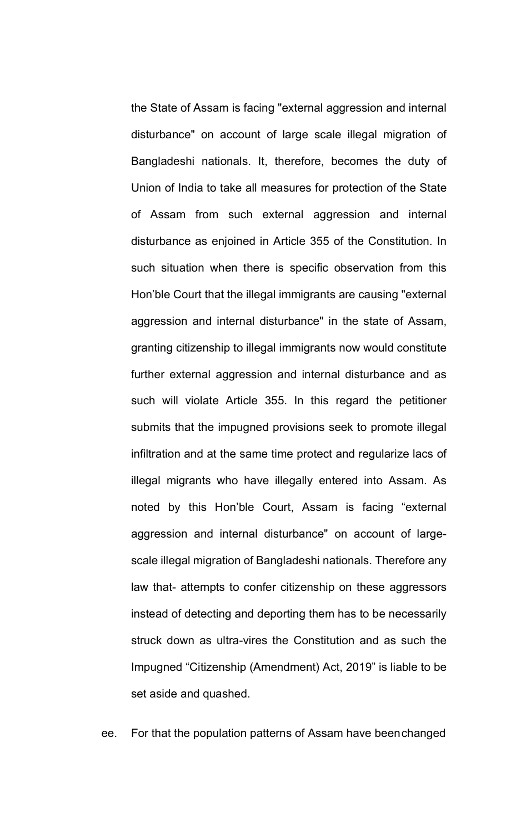the State of Assam is facing "external aggression and internal disturbance" on account of large scale illegal migration of Bangladeshi nationals. It, therefore, becomes the duty of Union of India to take all measures for protection of the State of Assam from such external aggression and internal disturbance as enjoined in Article 355 of the Constitution. In such situation when there is specific observation from this Hon'ble Court that the illegal immigrants are causing "external aggression and internal disturbance" in the state of Assam, granting citizenship to illegal immigrants now would constitute further external aggression and internal disturbance and as such will violate Article 355. In this regard the petitioner submits that the impugned provisions seek to promote illegal infiltration and at the same time protect and regularize lacs of illegal migrants who have illegally entered into Assam. As noted by this Hon'ble Court, Assam is facing "external aggression and internal disturbance" on account of largescale illegal migration of Bangladeshi nationals. Therefore any law that- attempts to confer citizenship on these aggressors instead of detecting and deporting them has to be necessarily struck down as ultra-vires the Constitution and as such the Impugned "Citizenship (Amendment) Act, 2019" is liable to be set aside and quashed.

ee. For that the population patterns of Assam have beenchanged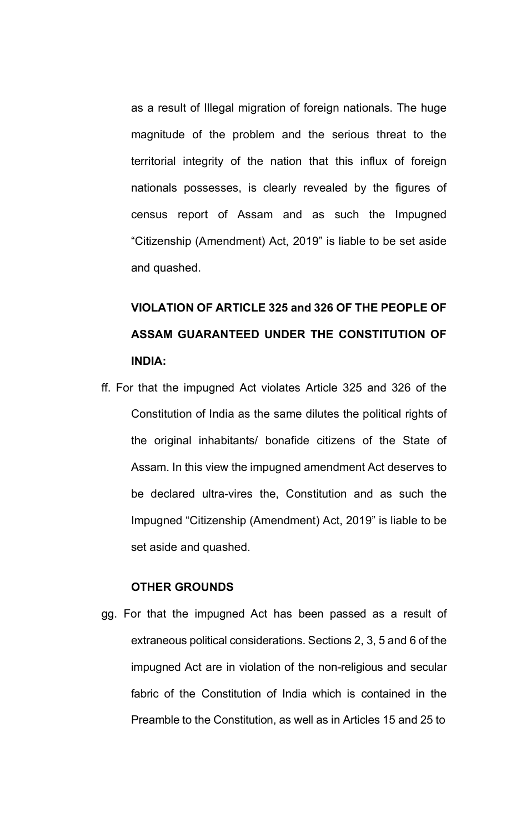as a result of Illegal migration of foreign nationals. The huge magnitude of the problem and the serious threat to the territorial integrity of the nation that this influx of foreign nationals possesses, is clearly revealed by the figures of census report of Assam and as such the Impugned "Citizenship (Amendment) Act, 2019" is liable to be set aside and quashed.

# **VIOLATION OF ARTICLE 325 and 326 OF THE PEOPLE OF ASSAM GUARANTEED UNDER THE CONSTITUTION OF INDIA:**

ff. For that the impugned Act violates Article 325 and 326 of the Constitution of India as the same dilutes the political rights of the original inhabitants/ bonafide citizens of the State of Assam. In this view the impugned amendment Act deserves to be declared ultra-vires the, Constitution and as such the Impugned "Citizenship (Amendment) Act, 2019" is liable to be set aside and quashed.

#### **OTHER GROUNDS**

gg. For that the impugned Act has been passed as a result of extraneous political considerations. Sections 2, 3, 5 and 6 of the impugned Act are in violation of the non-religious and secular fabric of the Constitution of India which is contained in the Preamble to the Constitution, as well as in Articles 15 and 25 to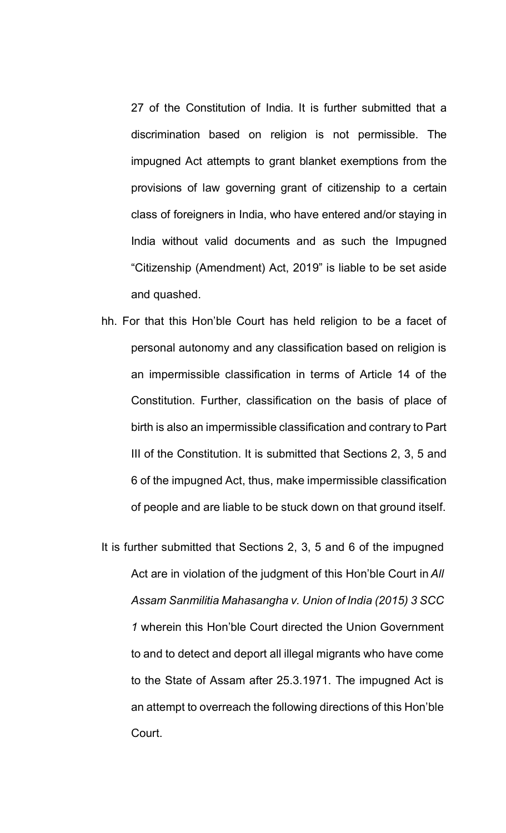27 of the Constitution of India. It is further submitted that a discrimination based on religion is not permissible. The impugned Act attempts to grant blanket exemptions from the provisions of law governing grant of citizenship to a certain class of foreigners in India, who have entered and/or staying in India without valid documents and as such the Impugned "Citizenship (Amendment) Act, 2019" is liable to be set aside and quashed.

- hh. For that this Hon'ble Court has held religion to be a facet of personal autonomy and any classification based on religion is an impermissible classification in terms of Article 14 of the Constitution. Further, classification on the basis of place of birth is also an impermissible classification and contrary to Part III of the Constitution. It is submitted that Sections 2, 3, 5 and 6 of the impugned Act, thus, make impermissible classification of people and are liable to be stuck down on that ground itself.
- It is further submitted that Sections 2, 3, 5 and 6 of the impugned Act are in violation of the judgment of this Hon'ble Court in *All Assam Sanmilitia Mahasangha v. Union of India (2015) 3 SCC 1* wherein this Hon'ble Court directed the Union Government to and to detect and deport all illegal migrants who have come to the State of Assam after 25.3.1971. The impugned Act is an attempt to overreach the following directions of this Hon'ble Court.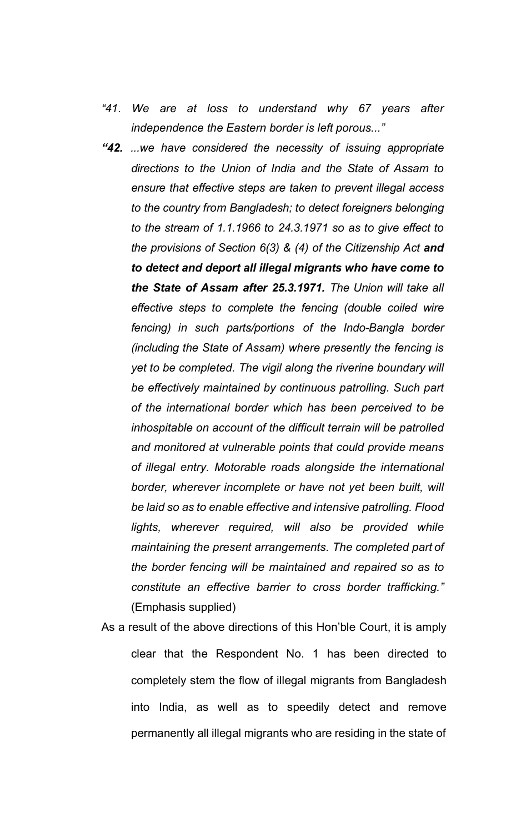- *"41. We are at loss to understand why 67 years after independence the Eastern border is left porous..."*
- *"42. ...we have considered the necessity of issuing appropriate directions to the Union of India and the State of Assam to ensure that effective steps are taken to prevent illegal access to the country from Bangladesh; to detect foreigners belonging to the stream of 1.1.1966 to 24.3.1971 so as to give effect to the provisions of Section 6(3) & (4) of the Citizenship Act and to detect and deport all illegal migrants who have come to the State of Assam after 25.3.1971. The Union will take all effective steps to complete the fencing (double coiled wire fencing) in such parts/portions of the Indo-Bangla border (including the State of Assam) where presently the fencing is yet to be completed. The vigil along the riverine boundary will be effectively maintained by continuous patrolling. Such part of the international border which has been perceived to be inhospitable on account of the difficult terrain will be patrolled and monitored at vulnerable points that could provide means of illegal entry. Motorable roads alongside the international border, wherever incomplete or have not yet been built, will be laid so as to enable effective and intensive patrolling. Flood lights, wherever required, will also be provided while maintaining the present arrangements. The completed part of the border fencing will be maintained and repaired so as to constitute an effective barrier to cross border trafficking."*  (Emphasis supplied)
- As a result of the above directions of this Hon'ble Court, it is amply clear that the Respondent No. 1 has been directed to completely stem the flow of illegal migrants from Bangladesh into India, as well as to speedily detect and remove permanently all illegal migrants who are residing in the state of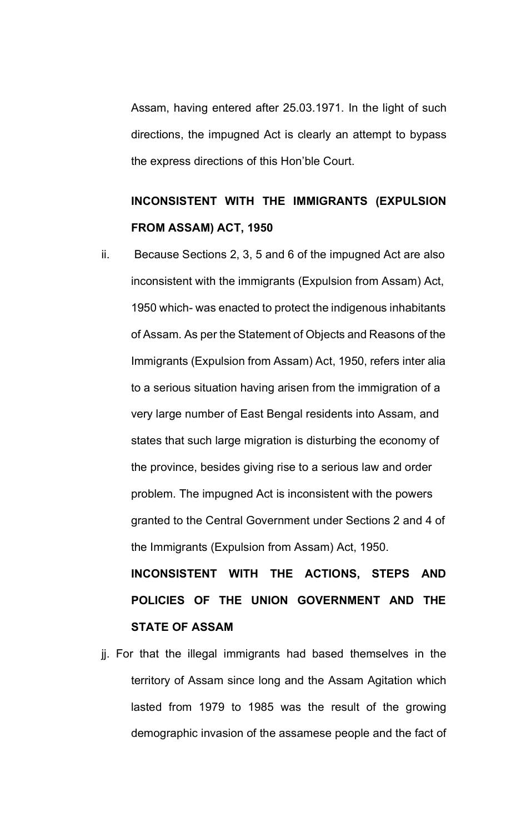Assam, having entered after 25.03.1971. In the light of such directions, the impugned Act is clearly an attempt to bypass the express directions of this Hon'ble Court.

# **INCONSISTENT WITH THE IMMIGRANTS (EXPULSION FROM ASSAM) ACT, 1950**

ii. Because Sections 2, 3, 5 and 6 of the impugned Act are also inconsistent with the immigrants (Expulsion from Assam) Act, 1950 which- was enacted to protect the indigenous inhabitants of Assam. As per the Statement of Objects and Reasons of the Immigrants (Expulsion from Assam) Act, 1950, refers inter alia to a serious situation having arisen from the immigration of a very large number of East Bengal residents into Assam, and states that such large migration is disturbing the economy of the province, besides giving rise to a serious law and order problem. The impugned Act is inconsistent with the powers granted to the Central Government under Sections 2 and 4 of the Immigrants (Expulsion from Assam) Act, 1950.

**INCONSISTENT WITH THE ACTIONS, STEPS AND POLICIES OF THE UNION GOVERNMENT AND THE STATE OF ASSAM**

jj. For that the illegal immigrants had based themselves in the territory of Assam since long and the Assam Agitation which lasted from 1979 to 1985 was the result of the growing demographic invasion of the assamese people and the fact of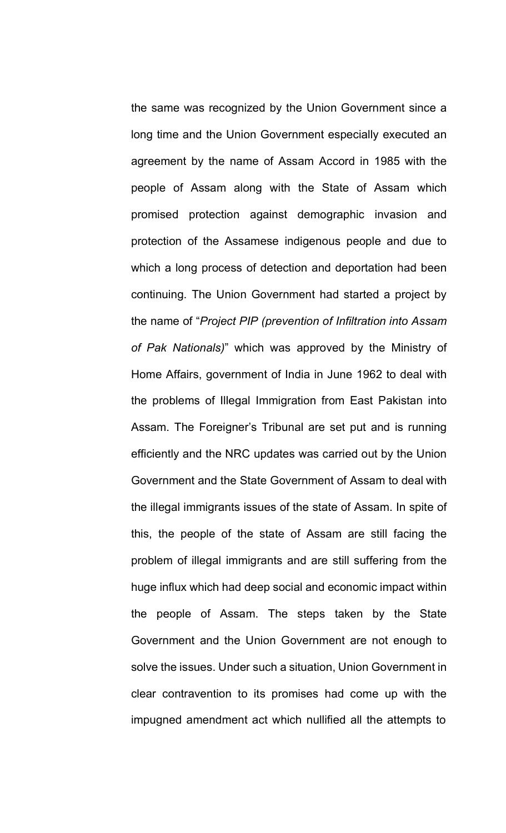the same was recognized by the Union Government since a long time and the Union Government especially executed an agreement by the name of Assam Accord in 1985 with the people of Assam along with the State of Assam which promised protection against demographic invasion and protection of the Assamese indigenous people and due to which a long process of detection and deportation had been continuing. The Union Government had started a project by the name of "*Project PIP (prevention of Infiltration into Assam of Pak Nationals)*" which was approved by the Ministry of Home Affairs, government of India in June 1962 to deal with the problems of Illegal Immigration from East Pakistan into Assam. The Foreigner's Tribunal are set put and is running efficiently and the NRC updates was carried out by the Union Government and the State Government of Assam to deal with the illegal immigrants issues of the state of Assam. In spite of this, the people of the state of Assam are still facing the problem of illegal immigrants and are still suffering from the huge influx which had deep social and economic impact within the people of Assam. The steps taken by the State Government and the Union Government are not enough to solve the issues. Under such a situation, Union Government in clear contravention to its promises had come up with the impugned amendment act which nullified all the attempts to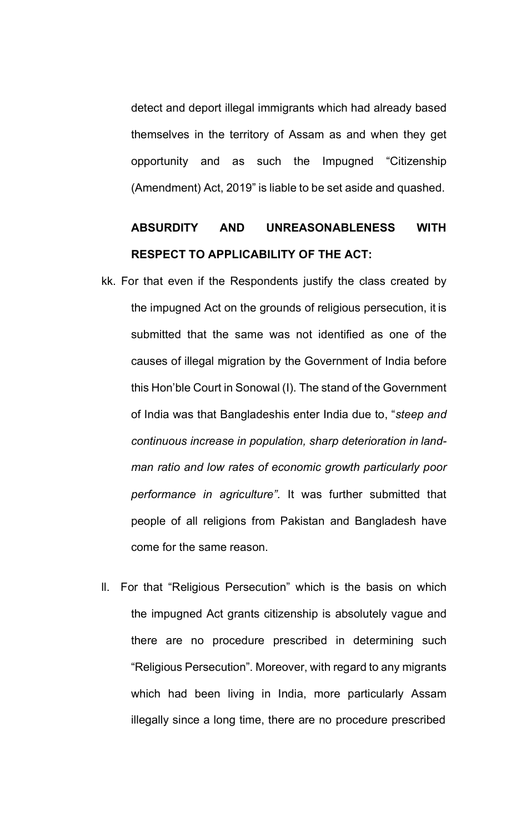detect and deport illegal immigrants which had already based themselves in the territory of Assam as and when they get opportunity and as such the Impugned "Citizenship (Amendment) Act, 2019" is liable to be set aside and quashed.

## **ABSURDITY AND UNREASONABLENESS WITH RESPECT TO APPLICABILITY OF THE ACT:**

- kk. For that even if the Respondents justify the class created by the impugned Act on the grounds of religious persecution, it is submitted that the same was not identified as one of the causes of illegal migration by the Government of India before this Hon'ble Court in Sonowal (I). The stand of the Government of India was that Bangladeshis enter India due to, "*steep and continuous increase in population, sharp deterioration in landman ratio and low rates of economic growth particularly poor performance in agriculture".* It was further submitted that people of all religions from Pakistan and Bangladesh have come for the same reason.
- ll. For that "Religious Persecution" which is the basis on which the impugned Act grants citizenship is absolutely vague and there are no procedure prescribed in determining such "Religious Persecution". Moreover, with regard to any migrants which had been living in India, more particularly Assam illegally since a long time, there are no procedure prescribed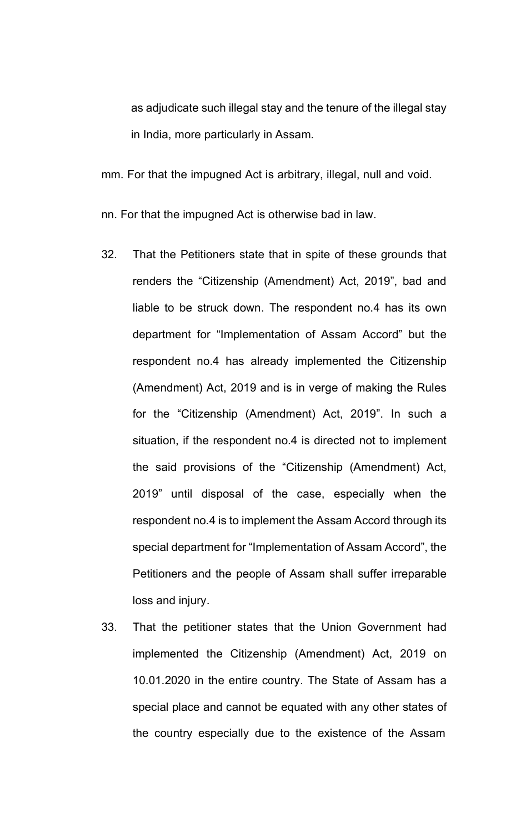as adjudicate such illegal stay and the tenure of the illegal stay in India, more particularly in Assam.

mm. For that the impugned Act is arbitrary, illegal, null and void.

nn. For that the impugned Act is otherwise bad in law.

- 32. That the Petitioners state that in spite of these grounds that renders the "Citizenship (Amendment) Act, 2019", bad and liable to be struck down. The respondent no.4 has its own department for "Implementation of Assam Accord" but the respondent no.4 has already implemented the Citizenship (Amendment) Act, 2019 and is in verge of making the Rules for the "Citizenship (Amendment) Act, 2019". In such a situation, if the respondent no.4 is directed not to implement the said provisions of the "Citizenship (Amendment) Act, 2019" until disposal of the case, especially when the respondent no.4 is to implement the Assam Accord through its special department for "Implementation of Assam Accord", the Petitioners and the people of Assam shall suffer irreparable loss and injury.
- 33. That the petitioner states that the Union Government had implemented the Citizenship (Amendment) Act, 2019 on 10.01.2020 in the entire country. The State of Assam has a special place and cannot be equated with any other states of the country especially due to the existence of the Assam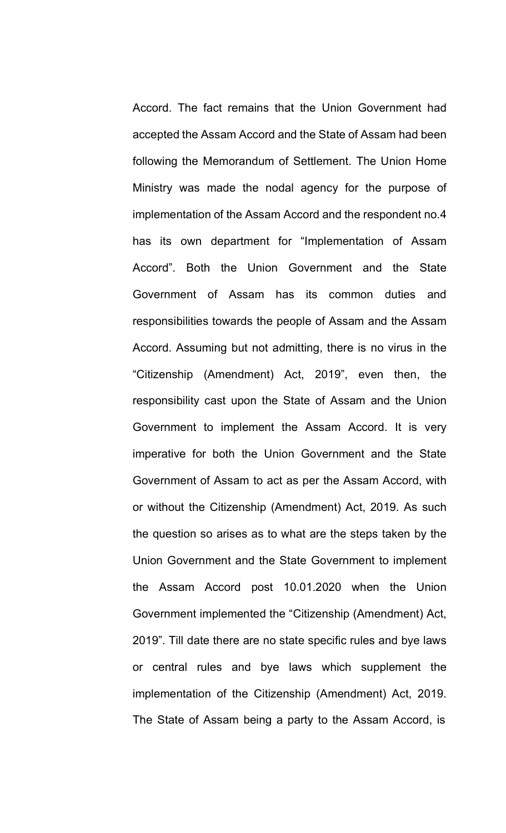Accord. The fact remains that the Union Government had accepted the Assam Accord and the State of Assam had been following the Memorandum of Settlement. The Union Home Ministry was made the nodal agency for the purpose of implementation of the Assam Accord and the respondent no.4 has its own department for "Implementation of Assam Accord". Both the Union Government and the State Government of Assam has its common duties and responsibilities towards the people of Assam and the Assam Accord. Assuming but not admitting, there is no virus in the "Citizenship (Amendment) Act, 2019", even then, the responsibility cast upon the State of Assam and the Union Government to implement the Assam Accord. It is very imperative for both the Union Government and the State Government of Assam to act as per the Assam Accord, with or without the Citizenship (Amendment) Act, 2019. As such the question so arises as to what are the steps taken by the Union Government and the State Government to implement the Assam Accord post 10.01.2020 when the Union Government implemented the "Citizenship (Amendment) Act, 2019". Till date there are no state specific rules and bye laws or central rules and bye laws which supplement the implementation of the Citizenship (Amendment) Act, 2019. The State of Assam being a party to the Assam Accord, is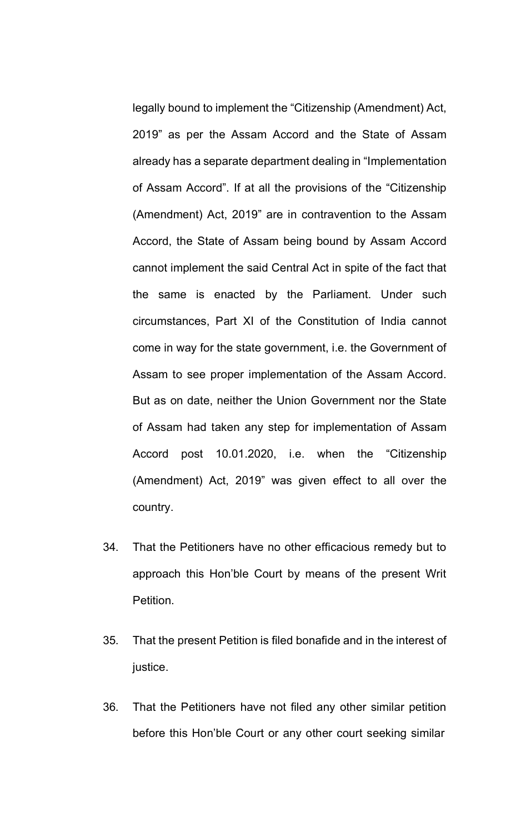legally bound to implement the "Citizenship (Amendment) Act, 2019" as per the Assam Accord and the State of Assam already has a separate department dealing in "Implementation of Assam Accord". If at all the provisions of the "Citizenship (Amendment) Act, 2019" are in contravention to the Assam Accord, the State of Assam being bound by Assam Accord cannot implement the said Central Act in spite of the fact that the same is enacted by the Parliament. Under such circumstances, Part XI of the Constitution of India cannot come in way for the state government, i.e. the Government of Assam to see proper implementation of the Assam Accord. But as on date, neither the Union Government nor the State of Assam had taken any step for implementation of Assam Accord post 10.01.2020, i.e. when the "Citizenship (Amendment) Act, 2019" was given effect to all over the country.

- 34. That the Petitioners have no other efficacious remedy but to approach this Hon'ble Court by means of the present Writ Petition.
- 35. That the present Petition is filed bonafide and in the interest of justice.
- 36. That the Petitioners have not filed any other similar petition before this Hon'ble Court or any other court seeking similar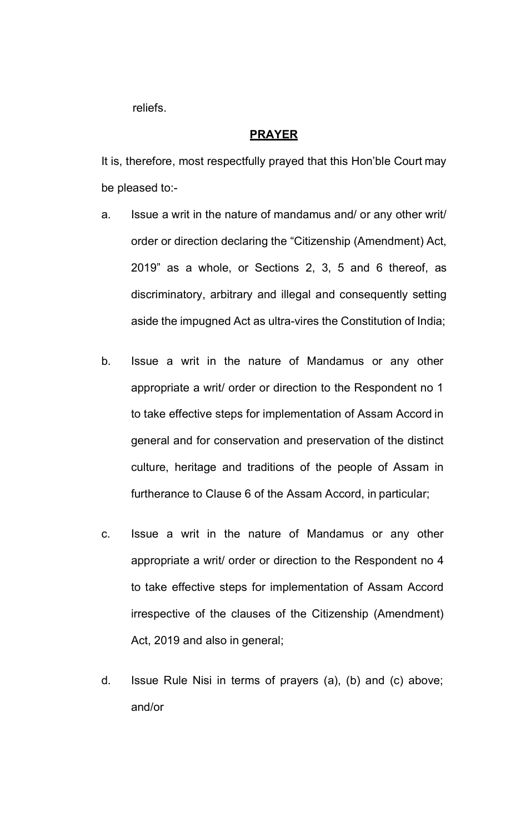reliefs.

#### **PRAYER**

It is, therefore, most respectfully prayed that this Hon'ble Court may be pleased to:-

- a. Issue a writ in the nature of mandamus and/ or any other writ/ order or direction declaring the "Citizenship (Amendment) Act, 2019" as a whole, or Sections 2, 3, 5 and 6 thereof, as discriminatory, arbitrary and illegal and consequently setting aside the impugned Act as ultra-vires the Constitution of India;
- b. Issue a writ in the nature of Mandamus or any other appropriate a writ/ order or direction to the Respondent no 1 to take effective steps for implementation of Assam Accord in general and for conservation and preservation of the distinct culture, heritage and traditions of the people of Assam in furtherance to Clause 6 of the Assam Accord, in particular;
- c. Issue a writ in the nature of Mandamus or any other appropriate a writ/ order or direction to the Respondent no 4 to take effective steps for implementation of Assam Accord irrespective of the clauses of the Citizenship (Amendment) Act, 2019 and also in general;
- d. Issue Rule Nisi in terms of prayers (a), (b) and (c) above; and/or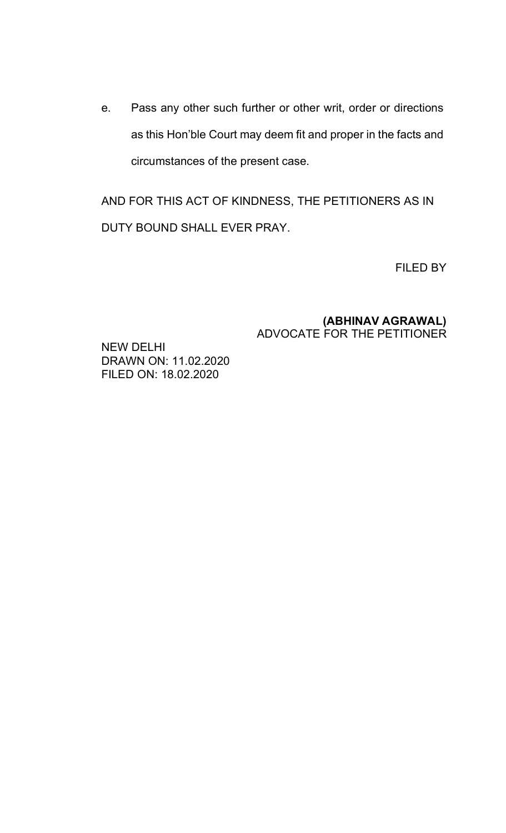e. Pass any other such further or other writ, order or directions as this Hon'ble Court may deem fit and proper in the facts and circumstances of the present case.

AND FOR THIS ACT OF KINDNESS, THE PETITIONERS AS IN DUTY BOUND SHALL EVER PRAY.

FILED BY

### **(ABHINAV AGRAWAL)** ADVOCATE FOR THE PETITIONER

NEW DELHI DRAWN ON: 11.02.2020 FILED ON: 18.02.2020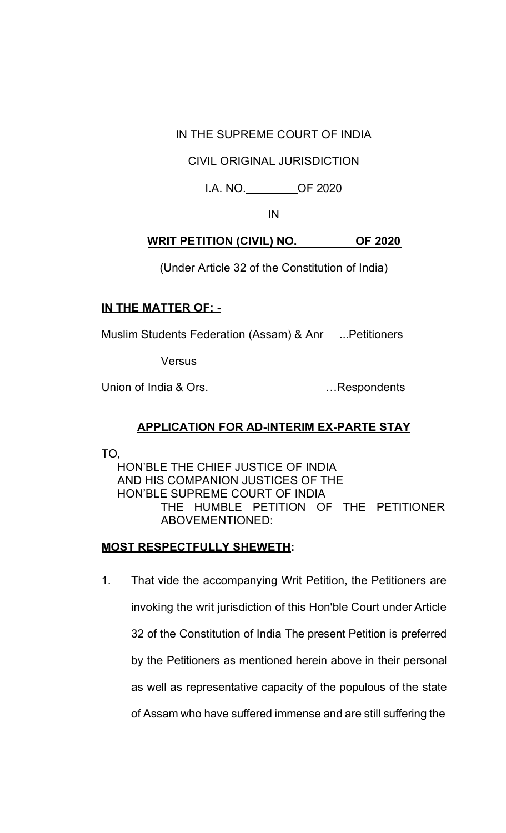IN THE SUPREME COURT OF INDIA

### CIVIL ORIGINAL JURISDICTION

I.A. NO. OF 2020

IN

### **WRIT PETITION (CIVIL) NO. OF 2020**

(Under Article 32 of the Constitution of India)

### **IN THE MATTER OF: -**

Muslim Students Federation (Assam) & Anr ...Petitioners

**Versus** 

Union of India & Ors. **Example 10** and the set of the Union of India & Ors.

### **APPLICATION FOR AD-INTERIM EX-PARTE STAY**

TO,

HON'BLE THE CHIEF JUSTICE OF INDIA AND HIS COMPANION JUSTICES OF THE HON'BLE SUPREME COURT OF INDIA THE HUMBLE PETITION OF THE PETITIONER ABOVEMENTIONED:

### **MOST RESPECTFULLY SHEWETH:**

1. That vide the accompanying Writ Petition, the Petitioners are invoking the writ jurisdiction of this Hon'ble Court under Article 32 of the Constitution of India The present Petition is preferred by the Petitioners as mentioned herein above in their personal as well as representative capacity of the populous of the state of Assam who have suffered immense and are still suffering the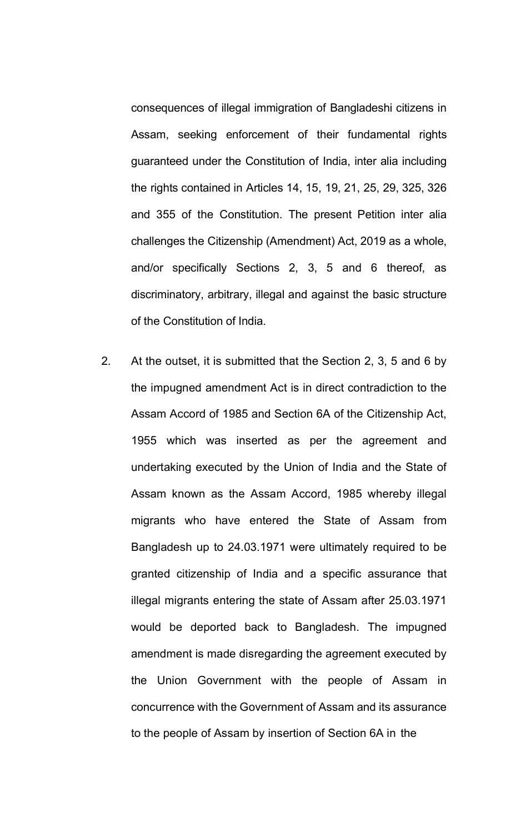consequences of illegal immigration of Bangladeshi citizens in Assam, seeking enforcement of their fundamental rights guaranteed under the Constitution of India, inter alia including the rights contained in Articles 14, 15, 19, 21, 25, 29, 325, 326 and 355 of the Constitution. The present Petition inter alia challenges the Citizenship (Amendment) Act, 2019 as a whole, and/or specifically Sections 2, 3, 5 and 6 thereof, as discriminatory, arbitrary, illegal and against the basic structure of the Constitution of India.

2. At the outset, it is submitted that the Section 2, 3, 5 and 6 by the impugned amendment Act is in direct contradiction to the Assam Accord of 1985 and Section 6A of the Citizenship Act, 1955 which was inserted as per the agreement and undertaking executed by the Union of India and the State of Assam known as the Assam Accord, 1985 whereby illegal migrants who have entered the State of Assam from Bangladesh up to 24.03.1971 were ultimately required to be granted citizenship of India and a specific assurance that illegal migrants entering the state of Assam after 25.03.1971 would be deported back to Bangladesh. The impugned amendment is made disregarding the agreement executed by the Union Government with the people of Assam in concurrence with the Government of Assam and its assurance to the people of Assam by insertion of Section 6A in the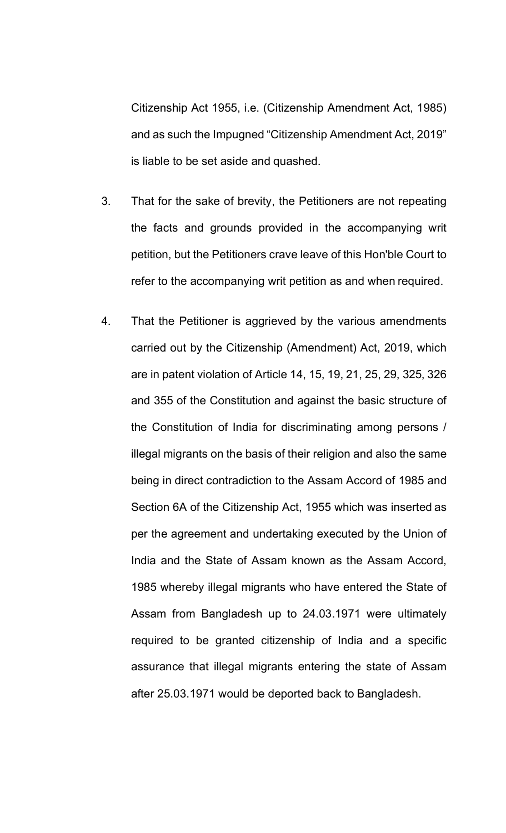Citizenship Act 1955, i.e. (Citizenship Amendment Act, 1985) and as such the Impugned "Citizenship Amendment Act, 2019" is liable to be set aside and quashed.

- 3. That for the sake of brevity, the Petitioners are not repeating the facts and grounds provided in the accompanying writ petition, but the Petitioners crave leave of this Hon'ble Court to refer to the accompanying writ petition as and when required.
- 4. That the Petitioner is aggrieved by the various amendments carried out by the Citizenship (Amendment) Act, 2019, which are in patent violation of Article 14, 15, 19, 21, 25, 29, 325, 326 and 355 of the Constitution and against the basic structure of the Constitution of India for discriminating among persons / illegal migrants on the basis of their religion and also the same being in direct contradiction to the Assam Accord of 1985 and Section 6A of the Citizenship Act, 1955 which was inserted as per the agreement and undertaking executed by the Union of India and the State of Assam known as the Assam Accord, 1985 whereby illegal migrants who have entered the State of Assam from Bangladesh up to 24.03.1971 were ultimately required to be granted citizenship of India and a specific assurance that illegal migrants entering the state of Assam after 25.03.1971 would be deported back to Bangladesh.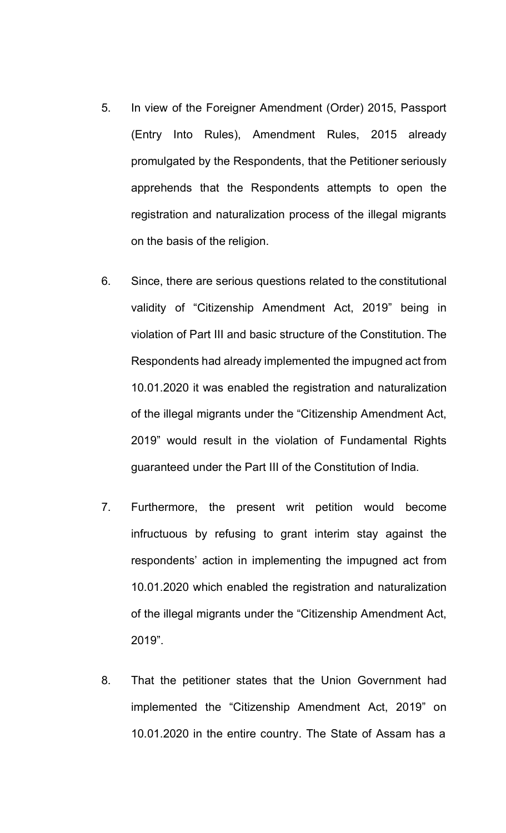- 5. In view of the Foreigner Amendment (Order) 2015, Passport (Entry Into Rules), Amendment Rules, 2015 already promulgated by the Respondents, that the Petitioner seriously apprehends that the Respondents attempts to open the registration and naturalization process of the illegal migrants on the basis of the religion.
- 6. Since, there are serious questions related to the constitutional validity of "Citizenship Amendment Act, 2019" being in violation of Part III and basic structure of the Constitution. The Respondents had already implemented the impugned act from 10.01.2020 it was enabled the registration and naturalization of the illegal migrants under the "Citizenship Amendment Act, 2019" would result in the violation of Fundamental Rights guaranteed under the Part III of the Constitution of India.
- 7. Furthermore, the present writ petition would become infructuous by refusing to grant interim stay against the respondents' action in implementing the impugned act from 10.01.2020 which enabled the registration and naturalization of the illegal migrants under the "Citizenship Amendment Act, 2019".
- 8. That the petitioner states that the Union Government had implemented the "Citizenship Amendment Act, 2019" on 10.01.2020 in the entire country. The State of Assam has a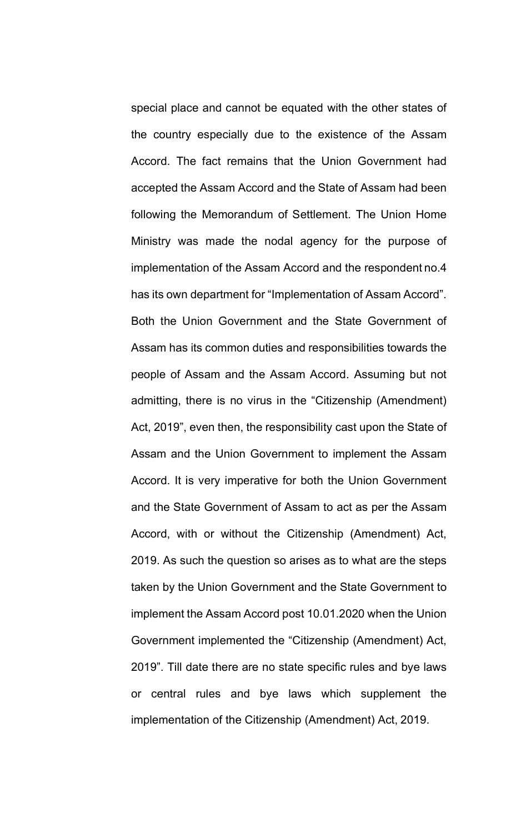special place and cannot be equated with the other states of the country especially due to the existence of the Assam Accord. The fact remains that the Union Government had accepted the Assam Accord and the State of Assam had been following the Memorandum of Settlement. The Union Home Ministry was made the nodal agency for the purpose of implementation of the Assam Accord and the respondent no.4 has its own department for "Implementation of Assam Accord". Both the Union Government and the State Government of Assam has its common duties and responsibilities towards the people of Assam and the Assam Accord. Assuming but not admitting, there is no virus in the "Citizenship (Amendment) Act, 2019", even then, the responsibility cast upon the State of Assam and the Union Government to implement the Assam Accord. It is very imperative for both the Union Government and the State Government of Assam to act as per the Assam Accord, with or without the Citizenship (Amendment) Act, 2019. As such the question so arises as to what are the steps taken by the Union Government and the State Government to implement the Assam Accord post 10.01.2020 when the Union Government implemented the "Citizenship (Amendment) Act, 2019". Till date there are no state specific rules and bye laws or central rules and bye laws which supplement the implementation of the Citizenship (Amendment) Act, 2019.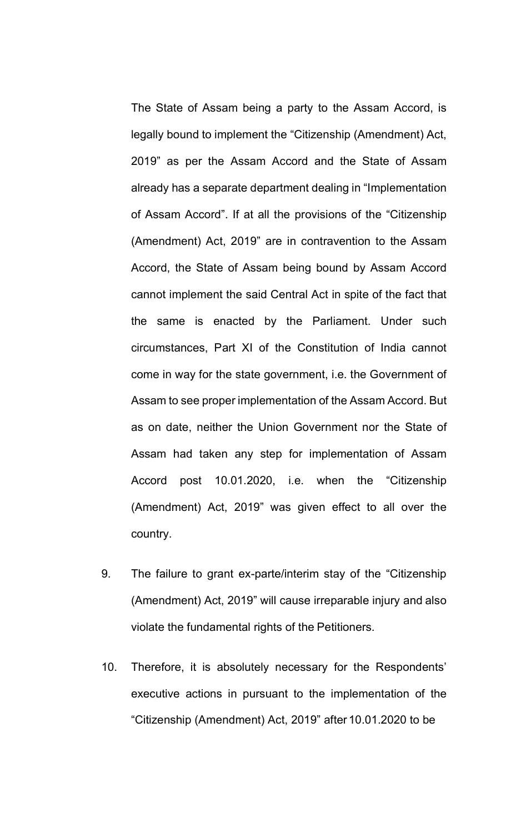The State of Assam being a party to the Assam Accord, is legally bound to implement the "Citizenship (Amendment) Act, 2019" as per the Assam Accord and the State of Assam already has a separate department dealing in "Implementation of Assam Accord". If at all the provisions of the "Citizenship (Amendment) Act, 2019" are in contravention to the Assam Accord, the State of Assam being bound by Assam Accord cannot implement the said Central Act in spite of the fact that the same is enacted by the Parliament. Under such circumstances, Part XI of the Constitution of India cannot come in way for the state government, i.e. the Government of Assam to see proper implementation of the Assam Accord. But as on date, neither the Union Government nor the State of Assam had taken any step for implementation of Assam Accord post 10.01.2020, i.e. when the "Citizenship (Amendment) Act, 2019" was given effect to all over the country.

- 9. The failure to grant ex-parte/interim stay of the "Citizenship (Amendment) Act, 2019" will cause irreparable injury and also violate the fundamental rights of the Petitioners.
- 10. Therefore, it is absolutely necessary for the Respondents' executive actions in pursuant to the implementation of the "Citizenship (Amendment) Act, 2019" after 10.01.2020 to be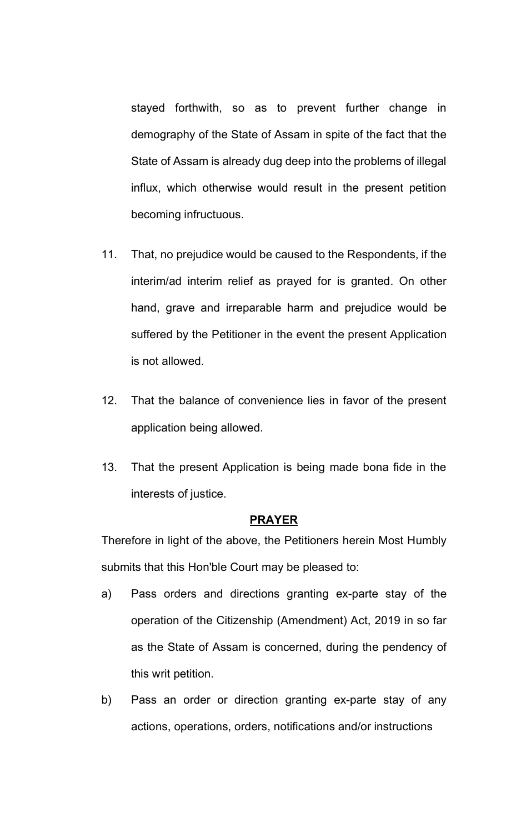stayed forthwith, so as to prevent further change in demography of the State of Assam in spite of the fact that the State of Assam is already dug deep into the problems of illegal influx, which otherwise would result in the present petition becoming infructuous.

- 11. That, no prejudice would be caused to the Respondents, if the interim/ad interim relief as prayed for is granted. On other hand, grave and irreparable harm and prejudice would be suffered by the Petitioner in the event the present Application is not allowed.
- 12. That the balance of convenience lies in favor of the present application being allowed.
- 13. That the present Application is being made bona fide in the interests of justice.

#### **PRAYER**

Therefore in light of the above, the Petitioners herein Most Humbly submits that this Hon'ble Court may be pleased to:

- a) Pass orders and directions granting ex-parte stay of the operation of the Citizenship (Amendment) Act, 2019 in so far as the State of Assam is concerned, during the pendency of this writ petition.
- b) Pass an order or direction granting ex-parte stay of any actions, operations, orders, notifications and/or instructions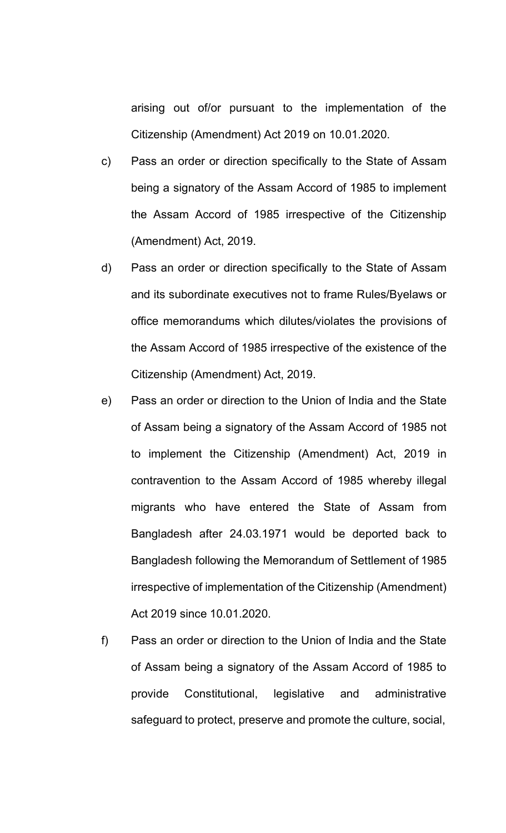arising out of/or pursuant to the implementation of the Citizenship (Amendment) Act 2019 on 10.01.2020.

- c) Pass an order or direction specifically to the State of Assam being a signatory of the Assam Accord of 1985 to implement the Assam Accord of 1985 irrespective of the Citizenship (Amendment) Act, 2019.
- d) Pass an order or direction specifically to the State of Assam and its subordinate executives not to frame Rules/Byelaws or office memorandums which dilutes/violates the provisions of the Assam Accord of 1985 irrespective of the existence of the Citizenship (Amendment) Act, 2019.
- e) Pass an order or direction to the Union of India and the State of Assam being a signatory of the Assam Accord of 1985 not to implement the Citizenship (Amendment) Act, 2019 in contravention to the Assam Accord of 1985 whereby illegal migrants who have entered the State of Assam from Bangladesh after 24.03.1971 would be deported back to Bangladesh following the Memorandum of Settlement of 1985 irrespective of implementation of the Citizenship (Amendment) Act 2019 since 10.01.2020.
- f) Pass an order or direction to the Union of India and the State of Assam being a signatory of the Assam Accord of 1985 to provide Constitutional, legislative and administrative safeguard to protect, preserve and promote the culture, social,